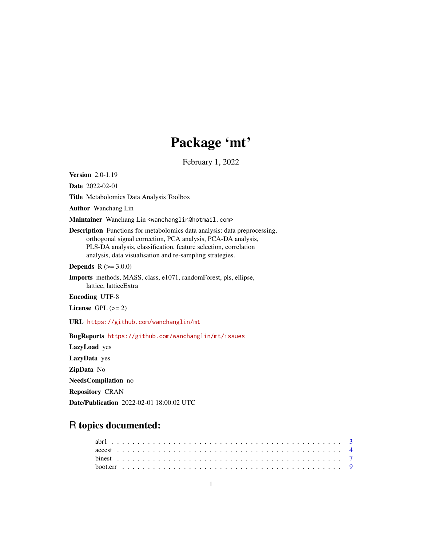# Package 'mt'

February 1, 2022

<span id="page-0-0"></span>Version 2.0-1.19

Date 2022-02-01

Title Metabolomics Data Analysis Toolbox

Author Wanchang Lin

Maintainer Wanchang Lin <wanchanglin@hotmail.com>

Description Functions for metabolomics data analysis: data preprocessing, orthogonal signal correction, PCA analysis, PCA-DA analysis, PLS-DA analysis, classification, feature selection, correlation analysis, data visualisation and re-sampling strategies.

**Depends** R  $(>= 3.0.0)$ 

Imports methods, MASS, class, e1071, randomForest, pls, ellipse, lattice, latticeExtra

Encoding UTF-8

License GPL  $(>= 2)$ 

URL <https://github.com/wanchanglin/mt>

BugReports <https://github.com/wanchanglin/mt/issues>

LazyLoad yes LazyData yes ZipData No NeedsCompilation no Repository CRAN Date/Publication 2022-02-01 18:00:02 UTC

## R topics documented: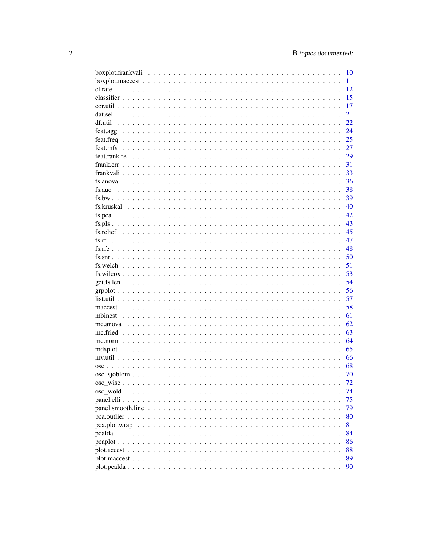|                                                                                                       | 10 |
|-------------------------------------------------------------------------------------------------------|----|
|                                                                                                       | 11 |
|                                                                                                       | 12 |
|                                                                                                       | 15 |
|                                                                                                       | 17 |
|                                                                                                       | 21 |
|                                                                                                       | 22 |
|                                                                                                       | 24 |
|                                                                                                       | 25 |
|                                                                                                       | 27 |
|                                                                                                       | 29 |
|                                                                                                       | 31 |
|                                                                                                       | 33 |
|                                                                                                       | 36 |
| fs.auc                                                                                                | 38 |
|                                                                                                       | 39 |
|                                                                                                       | 40 |
| fs.pca                                                                                                | 42 |
|                                                                                                       | 43 |
|                                                                                                       | 45 |
| fs.rf                                                                                                 | 47 |
|                                                                                                       | 48 |
|                                                                                                       |    |
|                                                                                                       | 50 |
|                                                                                                       | 51 |
| $fs.wilcox$                                                                                           | 53 |
|                                                                                                       | 54 |
|                                                                                                       | 56 |
|                                                                                                       | 57 |
|                                                                                                       | 58 |
|                                                                                                       | 61 |
|                                                                                                       | 62 |
|                                                                                                       | 63 |
|                                                                                                       | 64 |
|                                                                                                       | 65 |
|                                                                                                       | 66 |
|                                                                                                       | 68 |
|                                                                                                       | 70 |
|                                                                                                       | 72 |
|                                                                                                       | 74 |
|                                                                                                       | 75 |
|                                                                                                       | 79 |
|                                                                                                       | 80 |
| $pca. plot. wrap \ldots \ldots \ldots \ldots \ldots \ldots \ldots \ldots \ldots \ldots \ldots \ldots$ | 81 |
|                                                                                                       | 84 |
|                                                                                                       | 86 |
|                                                                                                       | 88 |
|                                                                                                       | 89 |
|                                                                                                       | 90 |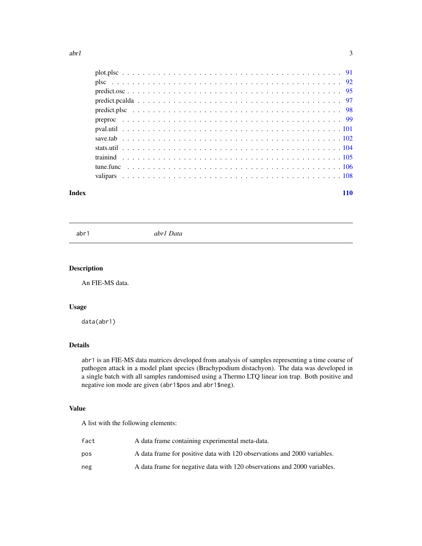<span id="page-2-0"></span>

### **Index** 2008 **[110](#page-109-0)**

abr1 *abr1 Data*

## Description

An FIE-MS data.

## Usage

data(abr1)

## Details

abr1 is an FIE-MS data matrices developed from analysis of samples representing a time course of pathogen attack in a model plant species (Brachypodium distachyon). The data was developed in a single batch with all samples randomised using a Thermo LTQ linear ion trap. Both positive and negative ion mode are given (abr1\$pos and abr1\$neg).

## Value

A list with the following elements:

| fact | A data frame containing experimental meta-data.                          |
|------|--------------------------------------------------------------------------|
| pos  | A data frame for positive data with 120 observations and 2000 variables. |
| neg  | A data frame for negative data with 120 observations and 2000 variables. |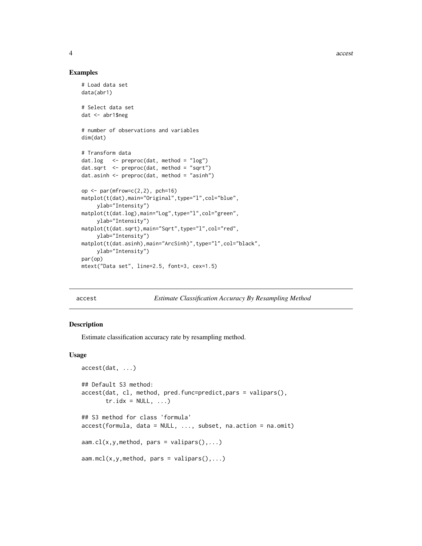4 access and  $\alpha$  access and  $\alpha$  access and  $\alpha$  access access and  $\alpha$  access and  $\alpha$  access and  $\alpha$  access and  $\alpha$  access and  $\alpha$  access and  $\alpha$  access and  $\alpha$  access and  $\alpha$  access and  $\alpha$  access and  $\alpha$  acces

#### Examples

```
# Load data set
data(abr1)
# Select data set
dat <- abr1$neg
# number of observations and variables
dim(dat)
# Transform data
dat.log <- preproc(dat, method = "log")
dat.sqrt <- preproc(dat, method = "sqrt")
dat.asinh <- preproc(dat, method = "asinh")
op \leq par(mfrow=c(2, 2), pch=16)
matplot(t(dat),main="Original",type="l",col="blue",
     ylab="Intensity")
matplot(t(dat.log),main="Log",type="l",col="green",
     ylab="Intensity")
matplot(t(dat.sqrt),main="Sqrt",type="l",col="red",
     ylab="Intensity")
matplot(t(dat.asinh),main="ArcSinh)",type="l",col="black",
     ylab="Intensity")
par(op)
mtext("Data set", line=2.5, font=3, cex=1.5)
```
<span id="page-3-1"></span>accest *Estimate Classification Accuracy By Resampling Method*

## Description

Estimate classification accuracy rate by resampling method.

#### Usage

```
accest(dat, ...)
## Default S3 method:
accest(dat, cl, method, pred.func=predict,pars = valipars(),
       tr.idx = NULL, ...)## S3 method for class 'formula'
accest(formula, data = NULL, ..., subset, na.action = na.omit)
aaam.cl(x,y,method, pars = valipars(),...)
aaam.mcl(x, y, \text{method}, \text{pars} = \text{valipars}(), \dots)
```
<span id="page-3-0"></span>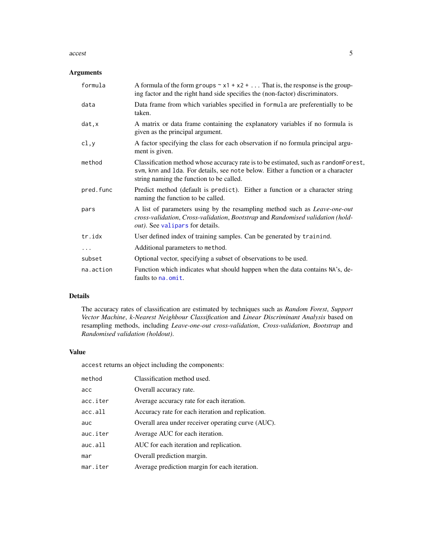#### accest 5

## Arguments

| formula   | A formula of the form groups $\sim x1 + x2 + $ That is, the response is the group-<br>ing factor and the right hand side specifies the (non-factor) discriminators.                                                |
|-----------|--------------------------------------------------------------------------------------------------------------------------------------------------------------------------------------------------------------------|
| data      | Data frame from which variables specified in formula are preferentially to be<br>taken.                                                                                                                            |
| dat, x    | A matrix or data frame containing the explanatory variables if no formula is<br>given as the principal argument.                                                                                                   |
| cl,y      | A factor specifying the class for each observation if no formula principal argu-<br>ment is given.                                                                                                                 |
| method    | Classification method whose accuracy rate is to be estimated, such as randomForest,<br>svm, knn and 1da. For details, see note below. Either a function or a character<br>string naming the function to be called. |
| pred.func | Predict method (default is predict). Either a function or a character string<br>naming the function to be called.                                                                                                  |
| pars      | A list of parameters using by the resampling method such as <i>Leave-one-out</i><br>cross-validation, Cross-validation, Bootstrap and Randomised validation (hold-<br><i>out</i> ). See valipars for details.      |
| tr.idx    | User defined index of training samples. Can be generated by trainind.                                                                                                                                              |
| $\ddots$  | Additional parameters to method.                                                                                                                                                                                   |
| subset    | Optional vector, specifying a subset of observations to be used.                                                                                                                                                   |
| na.action | Function which indicates what should happen when the data contains NA's, de-<br>faults to na, omit.                                                                                                                |

## Details

The accuracy rates of classification are estimated by techniques such as *Random Forest*, *Support Vector Machine*, *k-Nearest Neighbour Classification* and *Linear Discriminant Analysis* based on resampling methods, including *Leave-one-out cross-validation*, *Cross-validation*, *Bootstrap* and *Randomised validation (holdout)*.

## Value

accest returns an object including the components:

| method   | Classification method used.                        |
|----------|----------------------------------------------------|
| acc      | Overall accuracy rate.                             |
| acc.iter | Average accuracy rate for each iteration.          |
| acc.all  | Accuracy rate for each iteration and replication.  |
| auc      | Overall area under receiver operating curve (AUC). |
| auc.iter | Average AUC for each iteration.                    |
| auc. all | AUC for each iteration and replication.            |
| mar      | Overall prediction margin.                         |
| mar.iter | Average prediction margin for each iteration.      |
|          |                                                    |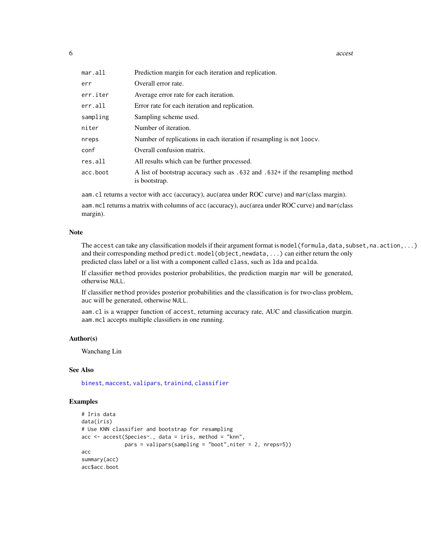6 access of the contract of the contract of the contract of the contract of the contract of the contract of the contract of the contract of the contract of the contract of the contract of the contract of the contract of th

| $mar.$ all | Prediction margin for each iteration and replication.                                         |
|------------|-----------------------------------------------------------------------------------------------|
| err        | Overall error rate.                                                                           |
| err.iter   | Average error rate for each iteration.                                                        |
| err.all    | Error rate for each iteration and replication.                                                |
| sampling   | Sampling scheme used.                                                                         |
| niter      | Number of iteration.                                                                          |
| nreps      | Number of replications in each iteration if resampling is not loocy.                          |
| conf       | Overall confusion matrix.                                                                     |
| res.all    | All results which can be further processed.                                                   |
| acc.boot   | A list of bootstrap accuracy such as .632 and .632+ if the resampling method<br>is bootstrap. |

aam.cl returns a vector with acc (accuracy), auc(area under ROC curve) and mar(class margin).

aam.mcl returns a matrix with columns of acc (accuracy), auc(area under ROC curve) and mar(class margin).

## Note

The accest can take any classification models if their argument format is model (formula, data, subset, na. action, ...) and their corresponding method predict.model(object,newdata,...) can either return the only predicted class label or a list with a component called class, such as lda and pcalda.

If classifier method provides posterior probabilities, the prediction margin mar will be generated, otherwise NULL.

If classifier method provides posterior probabilities and the classification is for two-class problem, auc will be generated, otherwise NULL.

aam.cl is a wrapper function of accest, returning accuracy rate, AUC and classification margin. aam.mcl accepts multiple classifiers in one running.

#### Author(s)

Wanchang Lin

## See Also

[binest](#page-6-1), [maccest](#page-57-1), [valipars](#page-107-1), [trainind](#page-104-1), [classifier](#page-14-1)

```
# Iris data
data(iris)
# Use KNN classifier and bootstrap for resampling
acc \leq -\text{accept}(Species \leq \ldots, data = iris, method = "knn",pars = valipars(sampling = "boot", niter = 2, nreps=5))acc
summary(acc)
acc$acc.boot
```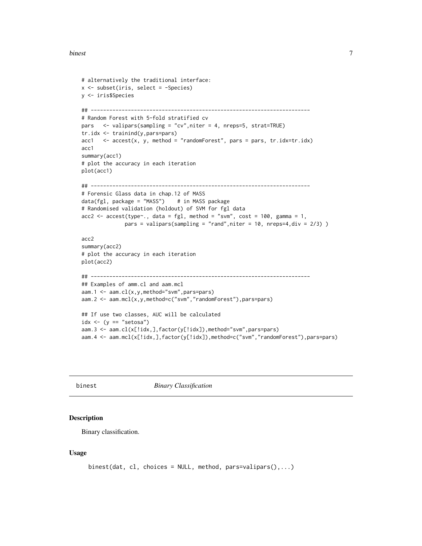#### <span id="page-6-0"></span>binest 7

```
# alternatively the traditional interface:
x \leftarrow subset(iris, select = -Species)y <- iris$Species
## -----------------------------------------------------------------------
# Random Forest with 5-fold stratified cv
pars <- valipars(sampling = "cv",niter = 4, nreps=5, strat=TRUE)
tr.idx <- trainind(y,pars=pars)
acc1 \leq -accest(x, y, method = "randomForest", pars = pars, tr.idx=tr.idx)acc1
summary(acc1)
# plot the accuracy in each iteration
plot(acc1)
## -----------------------------------------------------------------------
# Forensic Glass data in chap.12 of MASS
data(fgl, package = "MASS") # in MASS package
# Randomised validation (holdout) of SVM for fgl data
acc2 \leq accet(type^*, data = fgl, method = "swm", cost = 100, gamma = 1,pars = valipars(sampling = "rand", niter = 10, nreps=4, div = 2/3))
acc2
summary(acc2)
# plot the accuracy in each iteration
plot(acc2)
## -----------------------------------------------------------------------
## Examples of amm.cl and aam.mcl
aam.1 <- aam.cl(x,y,method="svm",pars=pars)
aam.2 <- aam.mcl(x,y,method=c("svm","randomForest"),pars=pars)
## If use two classes, AUC will be calculated
idx \leftarrow (y == "setosa")
aam.3 <- aam.cl(x[!idx,],factor(y[!idx]),method="svm",pars=pars)
aam.4 <- aam.mcl(x[!idx,],factor(y[!idx]),method=c("svm","randomForest"),pars=pars)
```
<span id="page-6-1"></span>

binest *Binary Classification*

#### **Description**

Binary classification.

#### Usage

```
binest(dat, cl, choices = NULL, method, pars=valipars(),...)
```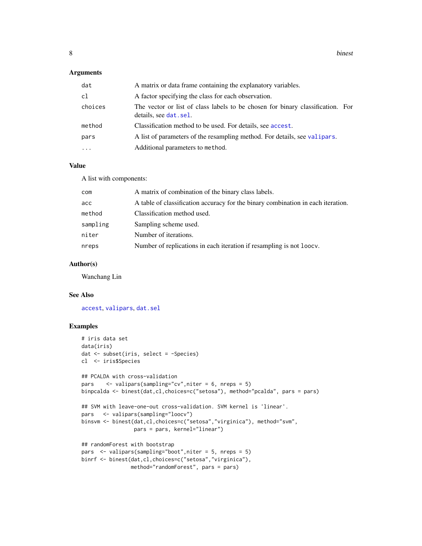## Arguments

| dat      | A matrix or data frame containing the explanatory variables.                                             |
|----------|----------------------------------------------------------------------------------------------------------|
| cl       | A factor specifying the class for each observation.                                                      |
| choices  | The vector or list of class labels to be chosen for binary classification. For<br>details, see dat. sel. |
| method   | Classification method to be used. For details, see accest.                                               |
| pars     | A list of parameters of the resampling method. For details, see valipars.                                |
| $\ddots$ | Additional parameters to method.                                                                         |

#### Value

A list with components:

| com      | A matrix of combination of the binary class labels.                              |
|----------|----------------------------------------------------------------------------------|
| acc      | A table of classification accuracy for the binary combination in each iteration. |
| method   | Classification method used.                                                      |
| sampling | Sampling scheme used.                                                            |
| niter    | Number of iterations.                                                            |
| nreps    | Number of replications in each iteration if resampling is not loocy.             |
|          |                                                                                  |

#### Author(s)

Wanchang Lin

#### See Also

[accest](#page-3-1), [valipars](#page-107-1), [dat.sel](#page-20-1)

```
# iris data set
data(iris)
dat <- subset(iris, select = -Species)
cl <- iris$Species
## PCALDA with cross-validation
pars <- valipars(sampling="cv",niter = 6, nreps = 5)
binpcalda <- binest(dat,cl,choices=c("setosa"), method="pcalda", pars = pars)
## SVM with leave-one-out cross-validation. SVM kernel is 'linear'.
pars <- valipars(sampling="loocv")
binsvm <- binest(dat,cl,choices=c("setosa","virginica"), method="svm",
                pars = pars, kernel="linear")
## randomForest with bootstrap
pars <- valipars(sampling="boot",niter = 5, nreps = 5)
binrf <- binest(dat,cl,choices=c("setosa","virginica"),
               method="randomForest", pars = pars)
```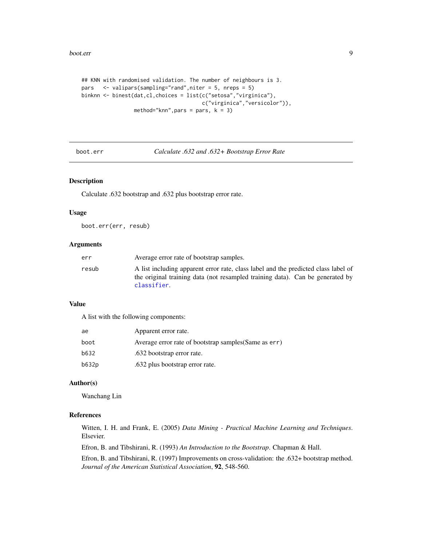```
## KNN with randomised validation. The number of neighbours is 3.
pars <- valipars(sampling="rand",niter = 5, nreps = 5)
binknn <- binest(dat,cl,choices = list(c("setosa","virginica"),
                                       c("virginica","versicolor")),
                 method="knn", pars = pars, k = 3)
```
boot.err *Calculate .632 and .632+ Bootstrap Error Rate*

## Description

Calculate .632 bootstrap and .632 plus bootstrap error rate.

## Usage

boot.err(err, resub)

## Arguments

| err   | Average error rate of bootstrap samples.                                                                                                                                           |
|-------|------------------------------------------------------------------------------------------------------------------------------------------------------------------------------------|
| resub | A list including apparent error rate, class label and the predicted class label of<br>the original training data (not resampled training data). Can be generated by<br>classifier. |

## Value

A list with the following components:

| ae    | Apparent error rate.                                  |
|-------|-------------------------------------------------------|
| boot  | Average error rate of bootstrap samples (Same as err) |
| b632  | .632 bootstrap error rate.                            |
| b632p | .632 plus bootstrap error rate.                       |

## Author(s)

Wanchang Lin

#### References

Witten, I. H. and Frank, E. (2005) *Data Mining - Practical Machine Learning and Techniques*. Elsevier.

Efron, B. and Tibshirani, R. (1993) *An Introduction to the Bootstrap*. Chapman & Hall.

Efron, B. and Tibshirani, R. (1997) Improvements on cross-validation: the .632+ bootstrap method. *Journal of the American Statistical Association*, 92, 548-560.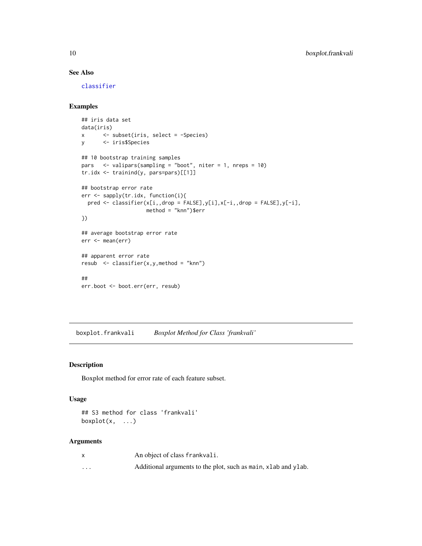## See Also

[classifier](#page-14-1)

## Examples

```
## iris data set
data(iris)
x <- subset(iris, select = -Species)
y <- iris$Species
## 10 bootstrap training samples
pars <- valipars(sampling = "boot", niter = 1, nreps = 10)
tr.idx <- trainind(y, pars=pars)[[1]]
## bootstrap error rate
err <- sapply(tr.idx, function(i){
 pred <- classifier(x[i,,drop = FALSE],y[i],x[-i,,drop = FALSE],y[-i],
                    method = "knn")$err
})
## average bootstrap error rate
err <- mean(err)
## apparent error rate
resub <- classifier(x,y,method = "knn")
##
err.boot <- boot.err(err, resub)
```
<span id="page-9-1"></span>boxplot.frankvali *Boxplot Method for Class 'frankvali'*

## Description

Boxplot method for error rate of each feature subset.

## Usage

```
## S3 method for class 'frankvali'
boxplot(x, \ldots)
```
## Arguments

|          | An object of class frankvali.                                  |
|----------|----------------------------------------------------------------|
| $\cdots$ | Additional arguments to the plot, such as main, xlab and ylab. |

<span id="page-9-0"></span>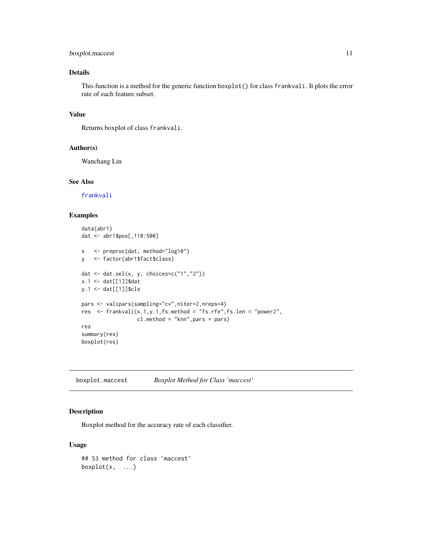## <span id="page-10-0"></span>boxplot.maccest 11

## Details

This function is a method for the generic function boxplot() for class frankvali. It plots the error rate of each feature subset.

## Value

Returns boxplot of class frankvali.

## Author(s)

Wanchang Lin

## See Also

[frankvali](#page-32-1)

## Examples

```
data(abr1)
dat <- abr1$pos[,110:500]
x <- preproc(dat, method="log10")
y <- factor(abr1$fact$class)
dat <- dat.sel(x, y, choices=c("1","2"))
x.1 <- dat[[1]]$dat
y.1 <- dat[[1]]$cls
pars <- valipars(sampling="cv",niter=2,nreps=4)
res \leq frankvali(x.1, y.1, fs.method = "fs.rfe", fs.len = "power2",
                  cl.method = "knn",pars = pars)
res
summary(res)
boxplot(res)
```
boxplot.maccest *Boxplot Method for Class 'maccest'*

#### Description

Boxplot method for the accuracy rate of each classifier.

#### Usage

```
## S3 method for class 'maccest'
boxplot(x, \ldots)
```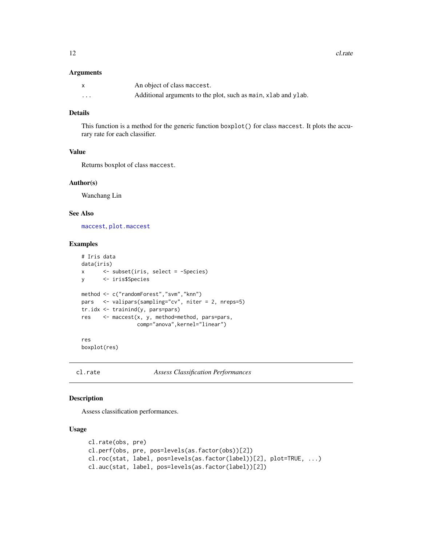<span id="page-11-0"></span>12 cl. rate

#### Arguments

|   | An object of class maccest.                                    |
|---|----------------------------------------------------------------|
| . | Additional arguments to the plot, such as main, xlab and ylab. |

## Details

This function is a method for the generic function boxplot() for class maccest. It plots the accurary rate for each classifier.

## Value

Returns boxplot of class maccest.

## Author(s)

Wanchang Lin

## See Also

[maccest](#page-57-1), [plot.maccest](#page-88-1)

#### Examples

```
# Iris data
data(iris)
x <- subset(iris, select = -Species)
y <- iris$Species
method <- c("randomForest","svm","knn")
pars <- valipars(sampling="cv", niter = 2, nreps=5)
tr.idx <- trainind(y, pars=pars)
res <- maccest(x, y, method=method, pars=pars,
                 comp="anova",kernel="linear")
res
```
boxplot(res)

cl.rate *Assess Classification Performances*

## Description

Assess classification performances.

#### Usage

```
cl.rate(obs, pre)
cl.perf(obs, pre, pos=levels(as.factor(obs))[2])
cl.roc(stat, label, pos=levels(as.factor(label))[2], plot=TRUE, ...)
cl.auc(stat, label, pos=levels(as.factor(label))[2])
```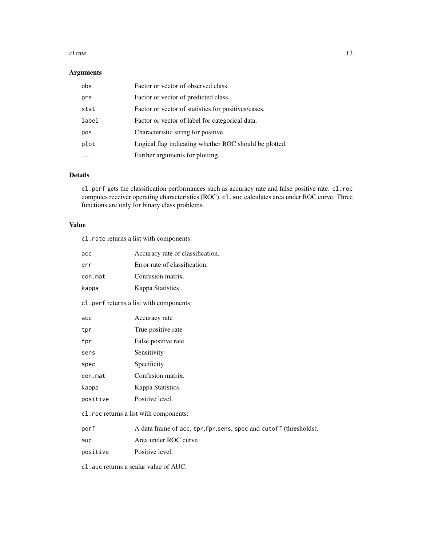#### cl.rate 13

## Arguments

| obs   | Factor or vector of observed class.                    |
|-------|--------------------------------------------------------|
| pre   | Factor or vector of predicted class.                   |
| stat  | Factor or vector of statistics for positives/cases.    |
| label | Factor or vector of label for categorical data.        |
| pos   | Characteristic string for positive.                    |
| plot  | Logical flag indicating whether ROC should be plotted. |
|       | Further arguments for plotting.                        |

## Details

cl.perf gets the classification performances such as accuracy rate and false positive rate. cl.roc computes receiver operating characteristics (ROC). cl. auc calculates area under ROC curve. Three functions are only for binary class problems.

## Value

cl.rate returns a list with components:

| acc      | Accuracy rate of classification.                                   |
|----------|--------------------------------------------------------------------|
| err      | Error rate of classification.                                      |
| con.mat  | Confusion matrix.                                                  |
| kappa    | Kappa Statistics.                                                  |
|          | cl.perf returns a list with components:                            |
| acc      | Accuracy rate                                                      |
| tpr      | True positive rate                                                 |
| fpr      | False positive rate                                                |
| sens     | Sensitivity                                                        |
| spec     | Specificity                                                        |
| con.mat  | Confusion matrix.                                                  |
| kappa    | Kappa Statistics.                                                  |
| positive | Positive level.                                                    |
|          | c1. roc returns a list with components:                            |
| perf     | A data frame of acc, tpr, fpr, sens, spec and cutoff (thresholds). |
| auc      | Area under ROC curve                                               |
| positive | Positive level.                                                    |

cl.auc returns a scalar value of AUC.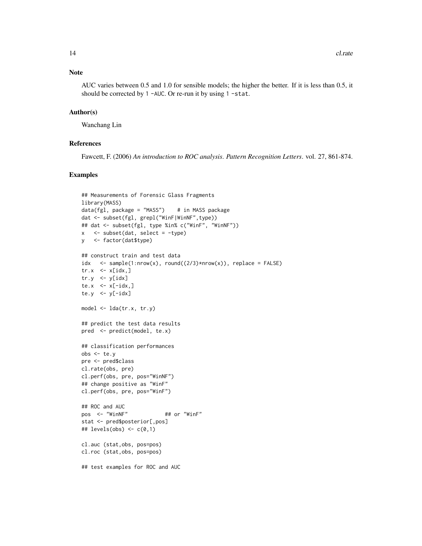## Note

AUC varies between 0.5 and 1.0 for sensible models; the higher the better. If it is less than 0.5, it should be corrected by 1 -AUC. Or re-run it by using 1 -stat.

#### Author(s)

Wanchang Lin

#### References

Fawcett, F. (2006) *An introduction to ROC analysis*. *Pattern Recognition Letters*. vol. 27, 861-874.

```
## Measurements of Forensic Glass Fragments
library(MASS)
data(fgl, package = "MASS") # in MASS package
dat <- subset(fgl, grepl("WinF|WinNF",type))
## dat <- subset(fgl, type %in% c("WinF", "WinNF"))
x \le subset(dat, select = -type)
y <- factor(dat$type)
## construct train and test data
idx \langle - sample(1:nrow(x), round((2/3)*nrow(x)), replace = FALSE)
tr.x \leq x[idx, ]tr.y \leq -y[idx]te.x \leq -x[-idx,]te.y \leftarrow y[-idx]
model <- lda(tr.x, tr.y)
## predict the test data results
pred <- predict(model, te.x)
## classification performances
obs <- te.y
pre <- pred$class
cl.rate(obs, pre)
cl.perf(obs, pre, pos="WinNF")
## change positive as "WinF"
cl.perf(obs, pre, pos="WinF")
## ROC and AUC
pos <- "WinNF" ## or "WinF"
stat <- pred$posterior[,pos]
## levels(obs) <- c(\emptyset,1)cl.auc (stat,obs, pos=pos)
cl.roc (stat,obs, pos=pos)
## test examples for ROC and AUC
```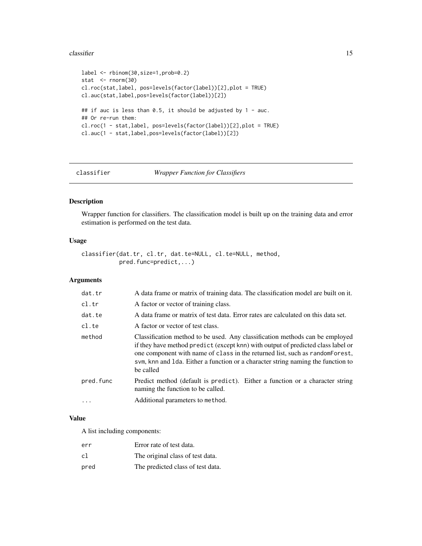#### <span id="page-14-0"></span> $\alpha$  classifier that the classifier that the classifier that the classifier that  $\alpha$  is the classifier that  $\alpha$  is the classifier that  $\alpha$  is the classifier that  $\alpha$  is the classifier that  $\alpha$  is the classifier that

```
label <- rbinom(30,size=1,prob=0.2)
stat <- rnorm(30)
cl.roc(stat,label, pos=levels(factor(label))[2],plot = TRUE)
cl.auc(stat,label,pos=levels(factor(label))[2])
## if auc is less than 0.5, it should be adjusted by 1 - auc.
## Or re-run them:
cl.roc(1 - stat,label, pos=levels(factor(label))[2],plot = TRUE)
cl.auc(1 - stat,label,pos=levels(factor(label))[2])
```
<span id="page-14-1"></span>

#### classifier *Wrapper Function for Classifiers*

## Description

Wrapper function for classifiers. The classification model is built up on the training data and error estimation is performed on the test data.

## Usage

```
classifier(dat.tr, cl.tr, dat.te=NULL, cl.te=NULL, method,
           pred.func=predict,...)
```
## Arguments

| dat.tr    | A data frame or matrix of training data. The classification model are built on it.                                                                                                                                                                                                                                                                 |
|-----------|----------------------------------------------------------------------------------------------------------------------------------------------------------------------------------------------------------------------------------------------------------------------------------------------------------------------------------------------------|
| cl.tr     | A factor or vector of training class.                                                                                                                                                                                                                                                                                                              |
| dat.te    | A data frame or matrix of test data. Error rates are calculated on this data set.                                                                                                                                                                                                                                                                  |
| cl.te     | A factor or vector of test class.                                                                                                                                                                                                                                                                                                                  |
| method    | Classification method to be used. Any classification methods can be employed<br>if they have method predict (except knn) with output of predicted class label or<br>one component with name of class in the returned list, such as random Forest,<br>sym, knn and Ida. Either a function or a character string naming the function to<br>be called |
| pred.func | Predict method (default is predict). Either a function or a character string<br>naming the function to be called.                                                                                                                                                                                                                                  |
|           | Additional parameters to method.                                                                                                                                                                                                                                                                                                                   |
|           |                                                                                                                                                                                                                                                                                                                                                    |

## Value

A list including components:

| err  | Error rate of test data.          |
|------|-----------------------------------|
| cl   | The original class of test data.  |
| pred | The predicted class of test data. |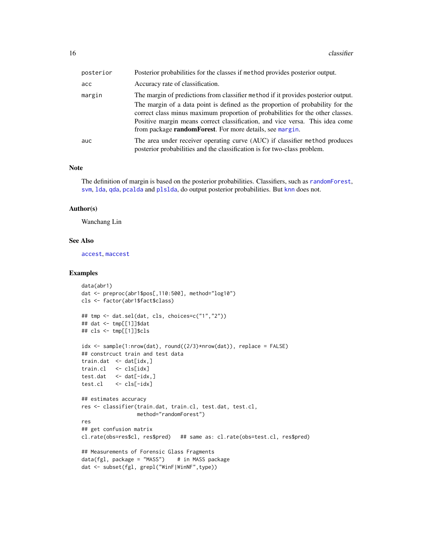| posterior | Posterior probabilities for the classes if method provides posterior output.                                                                                                                                                                                                                                         |
|-----------|----------------------------------------------------------------------------------------------------------------------------------------------------------------------------------------------------------------------------------------------------------------------------------------------------------------------|
| acc       | Accuracy rate of classification.                                                                                                                                                                                                                                                                                     |
| margin    | The margin of predictions from classifier method if it provides posterior output.                                                                                                                                                                                                                                    |
|           | The margin of a data point is defined as the proportion of probability for the<br>correct class minus maximum proportion of probabilities for the other classes.<br>Positive margin means correct classification, and vice versa. This idea come<br>from package <b>randomForest</b> . For more details, see margin. |
| auc       | The area under receiver operating curve (AUC) if classifier method produces<br>posterior probabilities and the classification is for two-class problem.                                                                                                                                                              |

#### Note

The definition of margin is based on the posterior probabilities. Classifiers, such as [randomForest](#page-0-0), [svm](#page-0-0), [lda](#page-0-0), [qda](#page-0-0), [pcalda](#page-83-1) and [plslda](#page-91-1), do output posterior probabilities. But [knn](#page-0-0) does not.

#### Author(s)

Wanchang Lin

#### See Also

[accest](#page-3-1), [maccest](#page-57-1)

```
data(abr1)
dat <- preproc(abr1$pos[,110:500], method="log10")
cls <- factor(abr1$fact$class)
## tmp <- dat.sel(dat, cls, choices=c("1","2"))
## dat <- tmp[[1]]$dat
## cls <- tmp[[1]]$cls
idx \leq sample(1:nrow(dat), round((2/3)*nrow(dat)), replace = FALSE)
## constrcuct train and test data
train.dat <- dat[idx,]
train.cl <- cls[idx]
test.dat < -dat[-idx, ]test.cl <- cls[-idx]
## estimates accuracy
res <- classifier(train.dat, train.cl, test.dat, test.cl,
                 method="randomForest")
res
## get confusion matrix
cl.rate(obs=res$cl, res$pred) ## same as: cl.rate(obs=test.cl, res$pred)
## Measurements of Forensic Glass Fragments
data(fgl, package = "MASS") # in MASS package
dat <- subset(fgl, grepl("WinF|WinNF",type))
```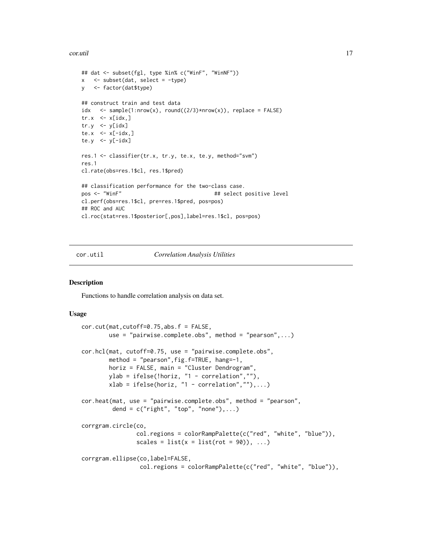#### <span id="page-16-0"></span>cor.util the control of the control of the control of the control of the control of the control of the control of the control of the control of the control of the control of the control of the control of the control of the

```
## dat <- subset(fgl, type %in% c("WinF", "WinNF"))
x <- subset(dat, select = -type)
y <- factor(dat$type)
## construct train and test data
idx \langle - sample(1:nrow(x), round((2/3)*nrow(x)), replace = FALSE)
tr.x \leq x[idx, ]tr.y \leq y[idx]te.x \leq x[-idx,]
te.y \leq y[-idx]res.1 <- classifier(tr.x, tr.y, te.x, te.y, method="svm")
res.1
cl.rate(obs=res.1$cl, res.1$pred)
## classification performance for the two-class case.
pos <- "WinF" \qquad ## select positive level
cl.perf(obs=res.1$cl, pre=res.1$pred, pos=pos)
## ROC and AUC
cl.roc(stat=res.1$posterior[,pos],label=res.1$cl, pos=pos)
```
#### cor.util *Correlation Analysis Utilities*

#### Description

Functions to handle correlation analysis on data set.

#### Usage

```
cor.cut(mat,cutoff=0.75,abs.f = FALSE,
       use = "pairwise.complete.obs", method = "pearson",...)
cor.hcl(mat, cutoff=0.75, use = "pairwise.complete.obs",
       method = "pearson",fig.f=TRUE, hang=-1,
       horiz = FALSE, main = "Cluster Dendrogram",
       ylab = ifelse(!horiz, "1 - correlation",""),
       xlab = ifelse(horiz, "1 - correlation", ""), ...cor.heat(mat, use = "pairwise.complete.obs", method = "pearson",
         dend = c("right", "top", "none"), ...)
corrgram.circle(co,
                col.regions = colorRampPalette(c("red", "white", "blue")),
                scales = list(x = list(root = 90)), ...corrgram.ellipse(co,label=FALSE,
                 col.regions = colorRampPalette(c("red", "white", "blue")),
```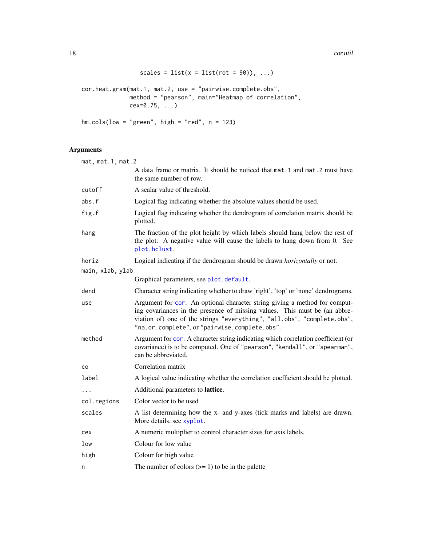18 cor.util

```
scales = list(x = list(root = 90)), ...cor.heat.gram(mat.1, mat.2, use = "pairwise.complete.obs",
             method = "pearson", main="Heatmap of correlation",
             cex=0.75, ...hm.cols(low = "green", high = "red", n = 123)
```
## Arguments

| mat, mat.1, mat.2 |                                                                                                                                                                                                                                                                                      |  |
|-------------------|--------------------------------------------------------------------------------------------------------------------------------------------------------------------------------------------------------------------------------------------------------------------------------------|--|
|                   | A data frame or matrix. It should be noticed that mat. 1 and mat. 2 must have<br>the same number of row.                                                                                                                                                                             |  |
| cutoff            | A scalar value of threshold.                                                                                                                                                                                                                                                         |  |
| abs.f             | Logical flag indicating whether the absolute values should be used.                                                                                                                                                                                                                  |  |
| fig.f             | Logical flag indicating whether the dendrogram of correlation matrix should be<br>plotted.                                                                                                                                                                                           |  |
| hang              | The fraction of the plot height by which labels should hang below the rest of<br>the plot. A negative value will cause the labels to hang down from 0. See<br>plot.hclust.                                                                                                           |  |
| horiz             | Logical indicating if the dendrogram should be drawn <i>horizontally</i> or not.                                                                                                                                                                                                     |  |
| main, xlab, ylab  |                                                                                                                                                                                                                                                                                      |  |
|                   | Graphical parameters, see plot. default.                                                                                                                                                                                                                                             |  |
| dend              | Character string indicating whether to draw 'right', 'top' or 'none' dendrograms.                                                                                                                                                                                                    |  |
| use               | Argument for cor. An optional character string giving a method for comput-<br>ing covariances in the presence of missing values. This must be (an abbre-<br>viation of) one of the strings "everything", "all.obs", "complete.obs",<br>"na.or.complete", or "pairwise.complete.obs". |  |
| method            | Argument for cor. A character string indicating which correlation coefficient (or<br>covariance) is to be computed. One of "pearson", "kendall", or "spearman",<br>can be abbreviated.                                                                                               |  |
| co                | Correlation matrix                                                                                                                                                                                                                                                                   |  |
| label             | A logical value indicating whether the correlation coefficient should be plotted.                                                                                                                                                                                                    |  |
| $\cdots$          | Additional parameters to lattice.                                                                                                                                                                                                                                                    |  |
| col.regions       | Color vector to be used                                                                                                                                                                                                                                                              |  |
| scales            | A list determining how the x- and y-axes (tick marks and labels) are drawn.<br>More details, see xyplot.                                                                                                                                                                             |  |
| cex               | A numeric multiplier to control character sizes for axis labels.                                                                                                                                                                                                                     |  |
| low               | Colour for low value                                                                                                                                                                                                                                                                 |  |
| high              | Colour for high value                                                                                                                                                                                                                                                                |  |
| n                 | The number of colors $(>= 1)$ to be in the palette                                                                                                                                                                                                                                   |  |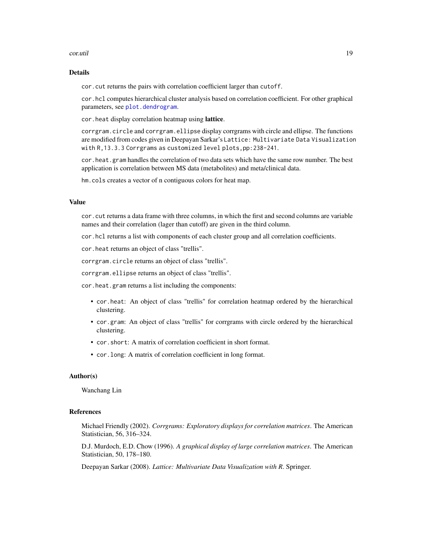#### cor.util and the core of the core of the core of the core of the core of the core of the core of the core of the core of the core of the core of the core of the core of the core of the core of the core of the core of the c

## Details

cor.cut returns the pairs with correlation coefficient larger than cutoff.

cor.hcl computes hierarchical cluster analysis based on correlation coefficient. For other graphical parameters, see [plot.dendrogram](#page-0-0).

cor.heat display correlation heatmap using lattice.

corrgram.circle and corrgram.ellipse display corrgrams with circle and ellipse. The functions are modified from codes given in Deepayan Sarkar's Lattice: Multivariate Data Visualization with R,13.3.3 Corrgrams as customized level plots,pp:238-241.

cor.heat.gram handles the correlation of two data sets which have the same row number. The best application is correlation between MS data (metabolites) and meta/clinical data.

hm.cols creates a vector of n contiguous colors for heat map.

#### Value

cor.cut returns a data frame with three columns, in which the first and second columns are variable names and their correlation (lager than cutoff) are given in the third column.

cor.hcl returns a list with components of each cluster group and all correlation coefficients.

cor.heat returns an object of class "trellis".

corrgram.circle returns an object of class "trellis".

corrgram.ellipse returns an object of class "trellis".

cor.heat.gram returns a list including the components:

- cor.heat: An object of class "trellis" for correlation heatmap ordered by the hierarchical clustering.
- cor.gram: An object of class "trellis" for corrgrams with circle ordered by the hierarchical clustering.
- cor.short: A matrix of correlation coefficient in short format.
- cor.long: A matrix of correlation coefficient in long format.

#### Author(s)

Wanchang Lin

#### References

Michael Friendly (2002). *Corrgrams: Exploratory displays for correlation matrices*. The American Statistician, 56, 316–324.

D.J. Murdoch, E.D. Chow (1996). *A graphical display of large correlation matrices*. The American Statistician, 50, 178–180.

Deepayan Sarkar (2008). *Lattice: Multivariate Data Visualization with R*. Springer.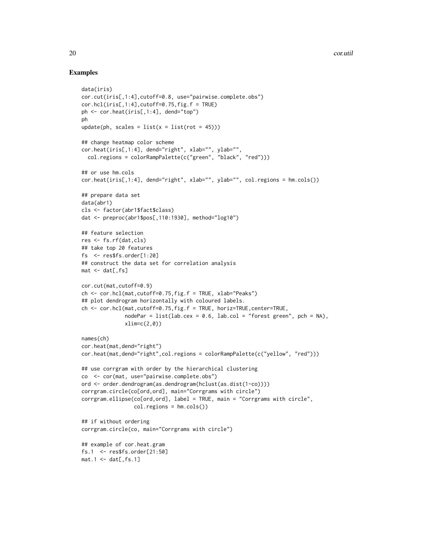```
data(iris)
cor.cut(iris[,1:4],cutoff=0.8, use="pairwise.complete.obs")
cor.hcl(iris[,1:4], cutoff=0.75, fig.f = TRUE)ph <- cor.heat(iris[,1:4], dend="top")
ph
update(ph, scales = list(x = list(root = 45)))## change heatmap color scheme
cor.heat(iris[,1:4], dend="right", xlab="", ylab="",
  col.regions = colorRampPalette(c("green", "black", "red")))
## or use hm.cols
cor.heat(iris[,1:4], dend="right", xlab="", ylab="", col.regions = hm.cols())
## prepare data set
data(abr1)
cls <- factor(abr1$fact$class)
dat <- preproc(abr1$pos[,110:1930], method="log10")
## feature selection
res <- fs.rf(dat,cls)
## take top 20 features
fs <- res$fs.order[1:20]
## construct the data set for correlation analysis
mat < -dat[, fs]cor.cut(mat,cutoff=0.9)
ch <- cor.hcl(mat,cutoff=0.75,fig.f = TRUE, xlab="Peaks")
## plot dendrogram horizontally with coloured labels.
ch <- cor.hcl(mat,cutoff=0.75,fig.f = TRUE, horiz=TRUE,center=TRUE,
              nodePar = list(lab.cex = 0.6, lab.col = "forest green", pch = NA),xlim=c(2,0)names(ch)
cor.heat(mat,dend="right")
cor.heat(mat,dend="right",col.regions = colorRampPalette(c("yellow", "red")))
## use corrgram with order by the hierarchical clustering
co <- cor(mat, use="pairwise.complete.obs")
ord <- order.dendrogram(as.dendrogram(hclust(as.dist(1-co))))
corrgram.circle(co[ord,ord], main="Corrgrams with circle")
corrgram.ellipse(co[ord,ord], label = TRUE, main = "Corrgrams with circle",
                 col.regions = hm.cols())
## if without ordering
corrgram.circle(co, main="Corrgrams with circle")
## example of cor.heat.gram
fs.1 <- res$fs.order[21:50]
mat.1 \leftarrow dat[,fs.1]
```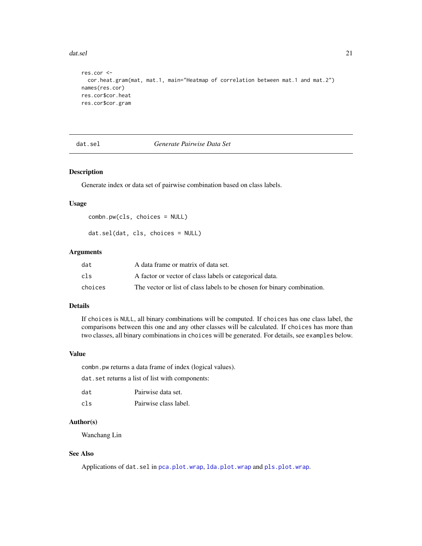#### <span id="page-20-0"></span>dat.sel 21

```
res.cor <-
  cor.heat.gram(mat, mat.1, main="Heatmap of correlation between mat.1 and mat.2")
names(res.cor)
res.cor$cor.heat
res.cor$cor.gram
```
<span id="page-20-1"></span>dat.sel *Generate Pairwise Data Set*

## Description

Generate index or data set of pairwise combination based on class labels.

#### Usage

```
combn.pw(cls, choices = NULL)
```
dat.sel(dat, cls, choices = NULL)

## Arguments

| dat     | A data frame or matrix of data set.                                     |
|---------|-------------------------------------------------------------------------|
| cls     | A factor or vector of class labels or categorical data.                 |
| choices | The vector or list of class labels to be chosen for binary combination. |

## Details

If choices is NULL, all binary combinations will be computed. If choices has one class label, the comparisons between this one and any other classes will be calculated. If choices has more than two classes, all binary combinations in choices will be generated. For details, see examples below.

## Value

combn.pw returns a data frame of index (logical values).

dat.set returns a list of list with components:

| dat | Pairwise data set.    |
|-----|-----------------------|
| cls | Pairwise class label. |

#### Author(s)

Wanchang Lin

## See Also

Applications of dat.sel in [pca.plot.wrap](#page-80-1), [lda.plot.wrap](#page-80-2) and [pls.plot.wrap](#page-80-2).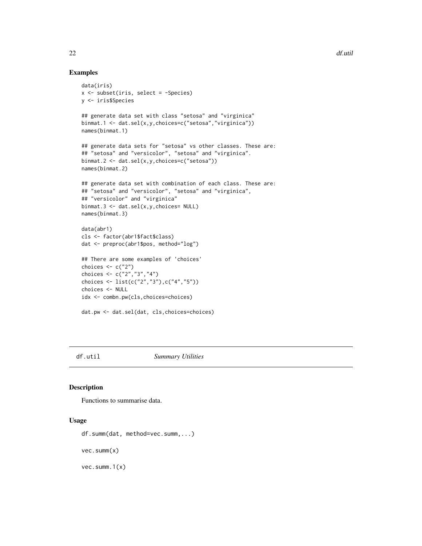## Examples

```
data(iris)
x <- subset(iris, select = -Species)
y <- iris$Species
## generate data set with class "setosa" and "virginica"
binmat.1 <- dat.sel(x,y,choices=c("setosa","virginica"))
names(binmat.1)
## generate data sets for "setosa" vs other classes. These are:
## "setosa" and "versicolor", "setosa" and "virginica".
binmat.2 <- dat.sel(x,y,choices=c("setosa"))
names(binmat.2)
## generate data set with combination of each class. These are:
## "setosa" and "versicolor", "setosa" and "virginica",
## "versicolor" and "virginica"
binmat.3 <- dat.sel(x,y,choices= NULL)
names(binmat.3)
data(abr1)
cls <- factor(abr1$fact$class)
dat <- preproc(abr1$pos, method="log")
## There are some examples of 'choices'
choices <- c("2")
choices <- c("2","3","4")
choices <- list(c("2","3"),c("4","5"))
choices <- NULL
idx <- combn.pw(cls,choices=choices)
dat.pw <- dat.sel(dat, cls,choices=choices)
```
df.util *Summary Utilities*

## Description

Functions to summarise data.

#### Usage

```
df.summ(dat, method=vec.summ,...)
vec.summ(x)
```
vec.summ.1(x)

<span id="page-21-0"></span>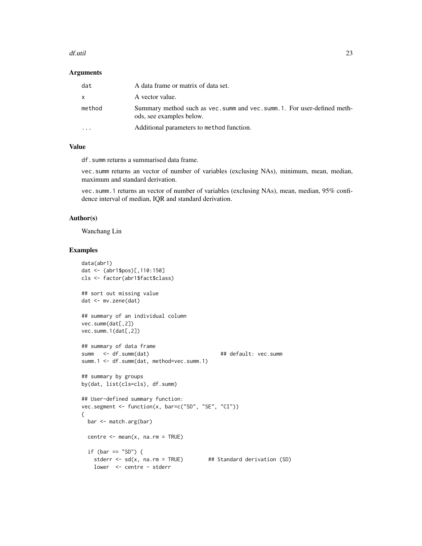#### df.util 23

#### **Arguments**

| dat       | A data frame or matrix of data set.                                                                   |
|-----------|-------------------------------------------------------------------------------------------------------|
| x         | A vector value.                                                                                       |
| method    | Summary method such as vec. summ and vec. summ. 1. For user-defined meth-<br>ods, see examples below. |
| $\ddotsc$ | Additional parameters to method function.                                                             |

### Value

df.summ returns a summarised data frame.

vec.summ returns an vector of number of variables (exclusing NAs), minimum, mean, median, maximum and standard derivation.

vec.summ.1 returns an vector of number of variables (exclusing NAs), mean, median, 95% confidence interval of median, IQR and standard derivation.

#### Author(s)

Wanchang Lin

```
data(abr1)
dat <- (abr1$pos)[,110:150]
cls <- factor(abr1$fact$class)
## sort out missing value
dat <- mv.zene(dat)
## summary of an individual column
vec.summ(dat[,2])
vec.summ.1(dat[,2])
## summary of data frame
summ <- df.summ(dat) ## default: vec.summ
summ.1 <- df.summ(dat, method=vec.summ.1)
## summary by groups
by(dat, list(cls=cls), df.summ)
## User-defined summary function:
vec.segment <- function(x, bar=c("SD", "SE", "CI"))
{
 bar <- match.arg(bar)
 centre \leq mean(x, na.rm = TRUE)
 if (bar == "SD") {
   stderr \leq sd(x, na.rm = TRUE) ## Standard derivation (SD)
   lower <- centre - stderr
```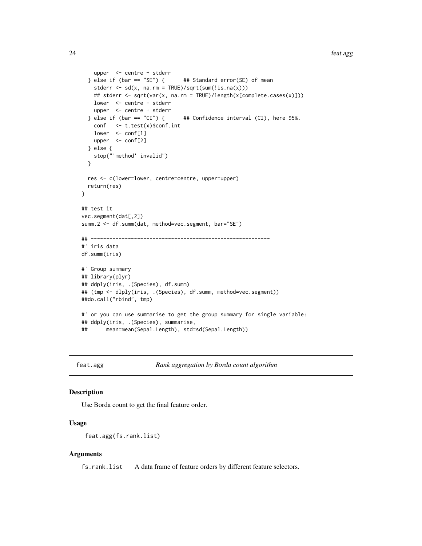```
upper <- centre + stderr
 } else if (bar == "SE") { # Standard error(SE) of mean
   stderr \leq sd(x, na.rm = TRUE)/sqrt(sum(!is.na(x)))
   ## stderr <- sqrt(var(x, na.rm = TRUE)/length(x[complete.cases(x)]))
   lower <- centre - stderr
   upper <- centre + stderr
 } else if (bar == "CI") { # Confidence interval (CI), here 95%.
   conf <- t.test(x)$conf.int
   lower <- conf[1]
   upper <- conf[2]
 } else {
    stop("'method' invalid")
 }
 res <- c(lower=lower, centre=centre, upper=upper)
 return(res)
}
## test it
vec.segment(dat[,2])
summ.2 <- df.summ(dat, method=vec.segment, bar="SE")
## ----------------------------------------------------------
#' iris data
df.summ(iris)
#' Group summary
## library(plyr)
## ddply(iris, .(Species), df.summ)
## (tmp <- dlply(iris, .(Species), df.summ, method=vec.segment))
##do.call("rbind", tmp)
#' or you can use summarise to get the group summary for single variable:
## ddply(iris, .(Species), summarise,
## mean=mean(Sepal.Length), std=sd(Sepal.Length))
```
feat.agg *Rank aggregation by Borda count algorithm*

#### Description

Use Borda count to get the final feature order.

## Usage

```
feat.agg(fs.rank.list)
```
#### Arguments

fs.rank.list A data frame of feature orders by different feature selectors.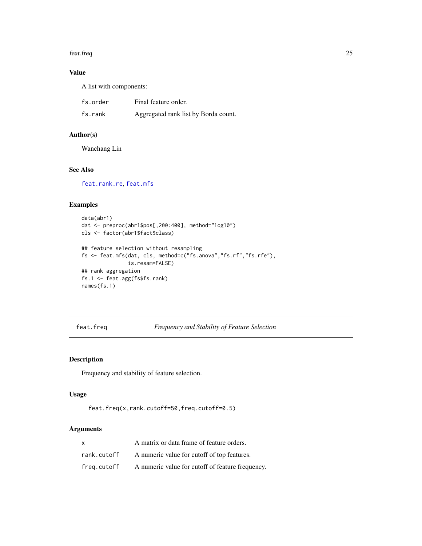#### <span id="page-24-0"></span>feat.freq 25

## Value

A list with components:

| fs.order | Final feature order.                 |
|----------|--------------------------------------|
| fs.rank  | Aggregated rank list by Borda count. |

## Author(s)

Wanchang Lin

## See Also

[feat.rank.re](#page-28-1), [feat.mfs](#page-26-1)

## Examples

```
data(abr1)
dat <- preproc(abr1$pos[,200:400], method="log10")
cls <- factor(abr1$fact$class)
## feature selection without resampling
fs <- feat.mfs(dat, cls, method=c("fs.anova","fs.rf","fs.rfe"),
               is.resam=FALSE)
## rank aggregation
fs.1 <- feat.agg(fs$fs.rank)
names(fs.1)
```
<span id="page-24-1"></span>feat.freq *Frequency and Stability of Feature Selection*

## Description

Frequency and stability of feature selection.

## Usage

```
feat.freq(x,rank.cutoff=50,freq.cutoff=0.5)
```
## Arguments

| $\mathsf{x}$ | A matrix or data frame of feature orders.        |
|--------------|--------------------------------------------------|
| rank.cutoff  | A numeric value for cutoff of top features.      |
| freg.cutoff  | A numeric value for cutoff of feature frequency. |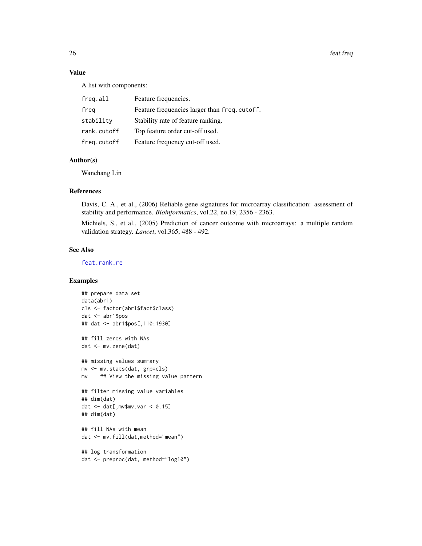26 feat.freq

## Value

A list with components:

| freq.all    | Feature frequencies.                          |
|-------------|-----------------------------------------------|
| freg        | Feature frequencies larger than freq. cutoff. |
| stability   | Stability rate of feature ranking.            |
| rank.cutoff | Top feature order cut-off used.               |
| freg.cutoff | Feature frequency cut-off used.               |

## Author(s)

Wanchang Lin

#### References

Davis, C. A., et al., (2006) Reliable gene signatures for microarray classification: assessment of stability and performance. *Bioinformatics*, vol.22, no.19, 2356 - 2363.

Michiels, S., et al., (2005) Prediction of cancer outcome with microarrays: a multiple random validation strategy. *Lancet*, vol.365, 488 - 492.

## See Also

[feat.rank.re](#page-28-1)

```
## prepare data set
data(abr1)
cls <- factor(abr1$fact$class)
dat <- abr1$pos
## dat <- abr1$pos[,110:1930]
## fill zeros with NAs
dat <- mv.zene(dat)
## missing values summary
mv <- mv.stats(dat, grp=cls)
mv ## View the missing value pattern
## filter missing value variables
## dim(dat)
dat \leq dat[, mv$mv.var \leq 0.15]
## dim(dat)
## fill NAs with mean
dat <- mv.fill(dat,method="mean")
## log transformation
dat <- preproc(dat, method="log10")
```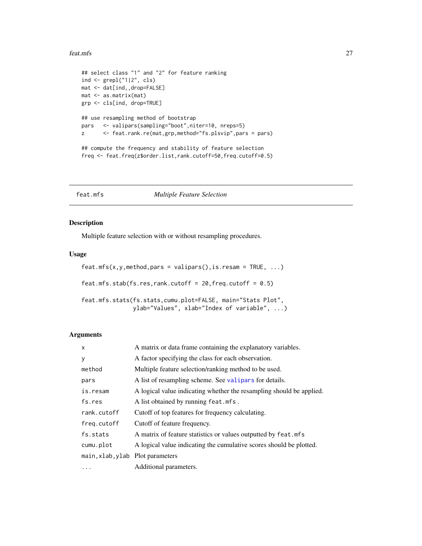#### <span id="page-26-0"></span>feat.mfs 27

```
## select class "1" and "2" for feature ranking
ind <- grepl("1|2", cls)
mat <- dat[ind,,drop=FALSE]
mat <- as.matrix(mat)
grp <- cls[ind, drop=TRUE]
## use resampling method of bootstrap
pars <- valipars(sampling="boot",niter=10, nreps=5)
z <- feat.rank.re(mat,grp,method="fs.plsvip",pars = pars)
## compute the frequency and stability of feature selection
freq <- feat.freq(z$order.list,rank.cutoff=50,freq.cutoff=0.5)
```
<span id="page-26-1"></span>

feat.mfs *Multiple Feature Selection*

## Description

Multiple feature selection with or without resampling procedures.

## Usage

```
feat.mfs(x,y,method, pars = valipars(), is.resam = TRUE, ...)feat.mfs.stab(fs.res,rank.cutoff = 20,freq.cutoff = 0.5)
feat.mfs.stats(fs.stats,cumu.plot=FALSE, main="Stats Plot",
              ylab="Values", xlab="Index of variable", ...)
```
#### Arguments

| X                                | A matrix or data frame containing the explanatory variables.         |  |
|----------------------------------|----------------------------------------------------------------------|--|
| y                                | A factor specifying the class for each observation.                  |  |
| method                           | Multiple feature selection/ranking method to be used.                |  |
| pars                             | A list of resampling scheme. See valipars for details.               |  |
| is.resam                         | A logical value indicating whether the resampling should be applied. |  |
| fs.res                           | A list obtained by running feat.mfs.                                 |  |
| rank.cutoff                      | Cutoff of top features for frequency calculating.                    |  |
| freg.cutoff                      | Cutoff of feature frequency.                                         |  |
| fs.stats                         | A matrix of feature statistics or values outputted by feat.mfs       |  |
| cumu.plot                        | A logical value indicating the cumulative scores should be plotted.  |  |
| main, xlab, ylab Plot parameters |                                                                      |  |
| $\cdots$                         | Additional parameters.                                               |  |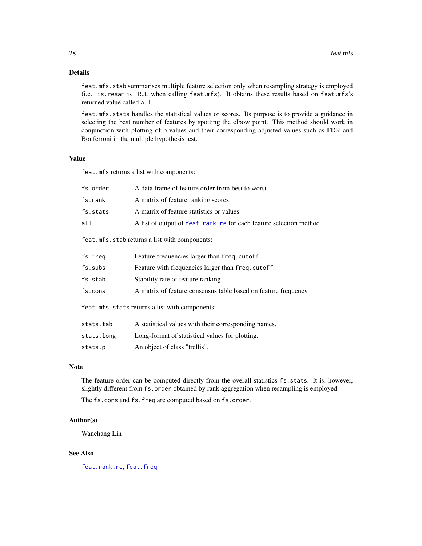## Details

feat.mfs.stab summarises multiple feature selection only when resampling strategy is employed (i.e. is.resam is TRUE when calling feat.mfs). It obtains these results based on feat.mfs's returned value called all.

feat.mfs.stats handles the statistical values or scores. Its purpose is to provide a guidance in selecting the best number of features by spotting the elbow point. This method should work in conjunction with plotting of p-values and their corresponding adjusted values such as FDR and Bonferroni in the multiple hypothesis test.

#### Value

feat.mfs returns a list with components:

| fs.order | A data frame of feature order from best to worst.                     |
|----------|-----------------------------------------------------------------------|
| fs.rank  | A matrix of feature ranking scores.                                   |
| fs.stats | A matrix of feature statistics or values.                             |
| all      | A list of output of feat. rank. re for each feature selection method. |
|          |                                                                       |

feat.mfs.stab returns a list with components:

| fs.freq | Feature frequencies larger than freq. cutoff.                   |
|---------|-----------------------------------------------------------------|
| fs.subs | Feature with frequencies larger than freq. cutoff.              |
| fs.stab | Stability rate of feature ranking.                              |
| fs.cons | A matrix of feature consensus table based on feature frequency. |
|         |                                                                 |

feat.mfs.stats returns a list with components:

| stats.tab  | A statistical values with their corresponding names. |
|------------|------------------------------------------------------|
| stats.long | Long-format of statistical values for plotting.      |

stats.p An object of class "trellis".

## Note

The feature order can be computed directly from the overall statistics fs.stats. It is, however, slightly different from fs.order obtained by rank aggregation when resampling is employed.

The fs.cons and fs.freq are computed based on fs.order.

#### Author(s)

Wanchang Lin

#### See Also

[feat.rank.re](#page-28-1), [feat.freq](#page-24-1)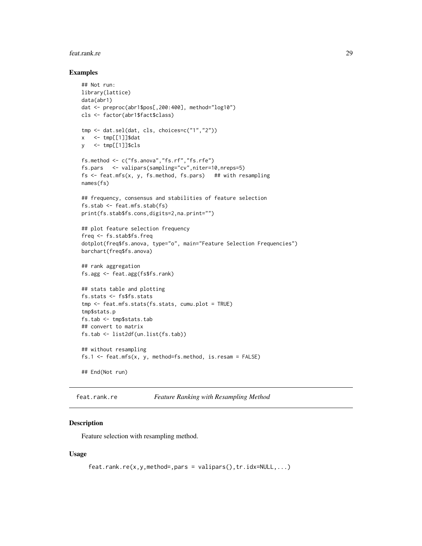#### <span id="page-28-0"></span>feat.rank.re 29

#### Examples

```
## Not run:
library(lattice)
data(abr1)
dat <- preproc(abr1$pos[,200:400], method="log10")
cls <- factor(abr1$fact$class)
tmp <- dat.sel(dat, cls, choices=c("1","2"))
x <- tmp[[1]]$dat
y <- tmp[[1]]$cls
fs.method <- c("fs.anova","fs.rf","fs.rfe")
fs.pars <- valipars(sampling="cv",niter=10,nreps=5)
fs \le feat.mfs(x, y, fs.method, fs.pars) ## with resampling
names(fs)
## frequency, consensus and stabilities of feature selection
fs.stab <- feat.mfs.stab(fs)
print(fs.stab$fs.cons,digits=2,na.print="")
## plot feature selection frequency
freq <- fs.stab$fs.freq
dotplot(freq$fs.anova, type="o", main="Feature Selection Frequencies")
barchart(freq$fs.anova)
## rank aggregation
fs.agg <- feat.agg(fs$fs.rank)
## stats table and plotting
fs.stats <- fs$fs.stats
tmp <- feat.mfs.stats(fs.stats, cumu.plot = TRUE)
tmp$stats.p
fs.tab <- tmp$stats.tab
## convert to matrix
fs.tab <- list2df(un.list(fs.tab))
## without resampling
fs.1 <- feat.mfs(x, y, method=fs.method, is.resam = FALSE)
## End(Not run)
```

```
feat.rank.re Feature Ranking with Resampling Method
```
#### Description

Feature selection with resampling method.

#### Usage

```
feat.rank.re(x,y,method=,pars = valipars(),tr.idx=NULL,...)
```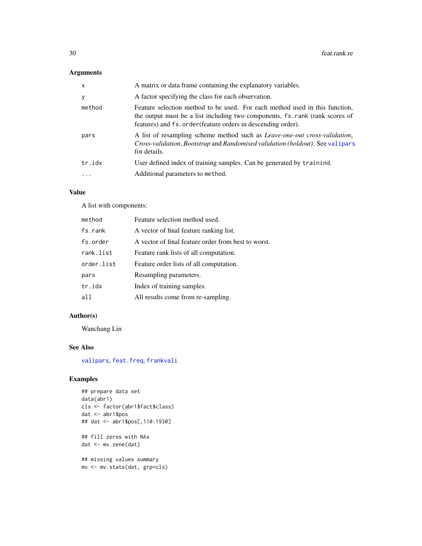## Arguments

| $\mathsf{x}$ | A matrix or data frame containing the explanatory variables.                                                                                                                                                                |  |
|--------------|-----------------------------------------------------------------------------------------------------------------------------------------------------------------------------------------------------------------------------|--|
| У            | A factor specifying the class for each observation.                                                                                                                                                                         |  |
| method       | Feature selection method to be used. For each method used in this function,<br>the output must be a list including two components, fs. rank (rank scores of<br>features) and fs.order (feature orders in descending order). |  |
| pars         | A list of resampling scheme method such as <i>Leave-one-out cross-validation</i> ,<br><i>Cross-validation, Bootstrap and Randomised validation (holdout). See valipars</i><br>for details.                                  |  |
| tr.idx<br>.  | User defined index of training samples. Can be generated by trainind.<br>Additional parameters to method.                                                                                                                   |  |
|              |                                                                                                                                                                                                                             |  |

## Value

A list with components:

| method     | Feature selection method used.                      |  |
|------------|-----------------------------------------------------|--|
| fs.rank    | A vector of final feature ranking list.             |  |
| fs.order   | A vector of final feature order from best to worst. |  |
| rank.list  | Feature rank lists of all computation.              |  |
| order.list | Feature order lists of all computation.             |  |
| pars       | Resampling parameters.                              |  |
| tr.idx     | Index of training samples.                          |  |
| all        | All results come from re-sampling.                  |  |

## Author(s)

Wanchang Lin

## See Also

[valipars](#page-107-1), [feat.freq](#page-24-1), [frankvali](#page-32-1)

## Examples

```
## prepare data set
data(abr1)
cls <- factor(abr1$fact$class)
dat <- abr1$pos
## dat <- abr1$pos[,110:1930]
```
## fill zeros with NAs dat <- mv.zene(dat)

## missing values summary mv <- mv.stats(dat, grp=cls)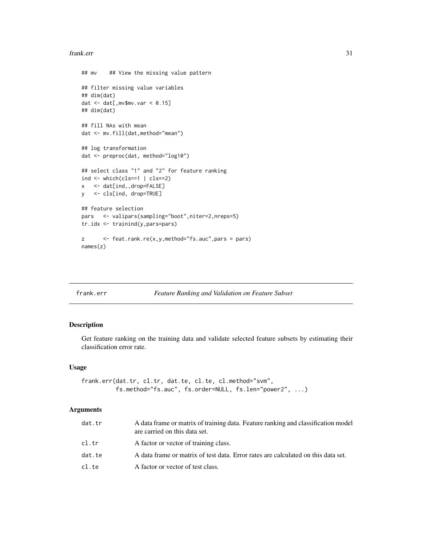#### <span id="page-30-0"></span>frank.err 31

```
## mv ## View the missing value pattern
## filter missing value variables
## dim(dat)
dat \leq dat[, mv$mv.var \leq 0.15]
## dim(dat)
## fill NAs with mean
dat <- mv.fill(dat,method="mean")
## log transformation
dat <- preproc(dat, method="log10")
## select class "1" and "2" for feature ranking
ind \leftarrow which (cls==1 | cls==2)x <- dat[ind,,drop=FALSE]
y <- cls[ind, drop=TRUE]
## feature selection
pars <- valipars(sampling="boot",niter=2,nreps=5)
tr.idx <- trainind(y,pars=pars)
z <- feat.rank.re(x,y,method="fs.auc",pars = pars)
names(z)
```
<span id="page-30-1"></span>

#### frank.err *Feature Ranking and Validation on Feature Subset*

## Description

Get feature ranking on the training data and validate selected feature subsets by estimating their classification error rate.

## Usage

```
frank.err(dat.tr, cl.tr, dat.te, cl.te, cl.method="svm",
          fs.method="fs.auc", fs.order=NULL, fs.len="power2", ...)
```
## Arguments

| dat.tr | A data frame or matrix of training data. Feature ranking and classification model<br>are carried on this data set. |  |
|--------|--------------------------------------------------------------------------------------------------------------------|--|
| cl.tr  | A factor or vector of training class.                                                                              |  |
| dat.te | A data frame or matrix of test data. Error rates are calculated on this data set.                                  |  |
| cl.te  | A factor or vector of test class.                                                                                  |  |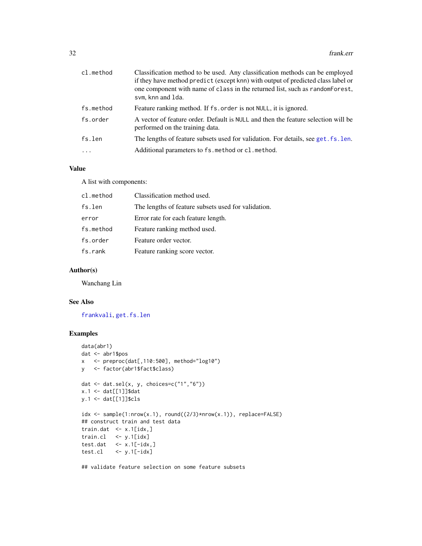| cl.method | Classification method to be used. Any classification methods can be employed<br>if they have method predict (except knn) with output of predicted class label or<br>one component with name of class in the returned list, such as random Forest,<br>svm, knn and 1da. |
|-----------|------------------------------------------------------------------------------------------------------------------------------------------------------------------------------------------------------------------------------------------------------------------------|
| fs.method | Feature ranking method. If fs. order is not NULL, it is ignored.                                                                                                                                                                                                       |
| fs.order  | A vector of feature order. Default is NULL and then the feature selection will be<br>performed on the training data.                                                                                                                                                   |
| fs.len    | The lengths of feature subsets used for validation. For details, see get. fs. len.                                                                                                                                                                                     |
| $\cdots$  | Additional parameters to fs. method or cl. method.                                                                                                                                                                                                                     |

#### Value

A list with components:

| cl.method | Classification method used.                         |  |
|-----------|-----------------------------------------------------|--|
| fs.len    | The lengths of feature subsets used for validation. |  |
| error     | Error rate for each feature length.                 |  |
| fs.method | Feature ranking method used.                        |  |
| fs.order  | Feature order vector.                               |  |
| fs.rank   | Feature ranking score vector.                       |  |

## Author(s)

Wanchang Lin

#### See Also

[frankvali](#page-32-1), [get.fs.len](#page-53-1)

## Examples

```
data(abr1)
dat <- abr1$pos
x <- preproc(dat[,110:500], method="log10")
y <- factor(abr1$fact$class)
dat \leq dat.sel(x, y, choices=c("1","6"))
x.1 \leftarrow \text{dat}[[1]]$dat
y.1 <- dat[[1]]$cls
idx \leq samelet(1: nrow(x.1), round((2/3)*nrow(x.1)), replace=False)## construct train and test data
train.dat \leq x.1[idx,]
train.cl <- y.1[idx]
test.dat \leq x.1[-idx,]test(cl \le -y.l[-idx]
```
## validate feature selection on some feature subsets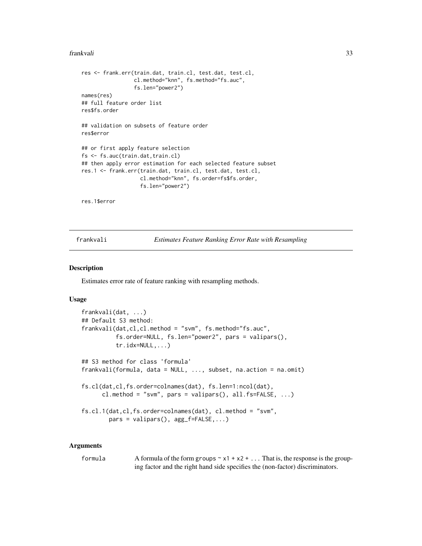#### <span id="page-32-0"></span>frankvali 33

```
res <- frank.err(train.dat, train.cl, test.dat, test.cl,
                 cl.method="knn", fs.method="fs.auc",
                 fs.len="power2")
names(res)
## full feature order list
res$fs.order
## validation on subsets of feature order
res$error
## or first apply feature selection
fs <- fs.auc(train.dat,train.cl)
## then apply error estimation for each selected feature subset
res.1 <- frank.err(train.dat, train.cl, test.dat, test.cl,
                   cl.method="knn", fs.order=fs$fs.order,
                   fs.len="power2")
```
res.1\$error

<span id="page-32-1"></span>frankvali *Estimates Feature Ranking Error Rate with Resampling*

#### **Description**

Estimates error rate of feature ranking with resampling methods.

#### Usage

```
frankvali(dat, ...)
## Default S3 method:
frankvali(dat,cl,cl.method = "svm", fs.method="fs.auc",
          fs.order=NULL, fs.len="power2", pars = valipars(),
          tr.idx=NULL,...)
## S3 method for class 'formula'
frankvali(formula, data = NULL, ..., subset, na.action = na.omit)
fs.cl(dat,cl,fs.order=colnames(dat), fs.len=1:ncol(dat),
      cl.method = "svm", pars = valipars(), all.fs=FALSE, \ldots)
fs.cl.1(dat,cl,fs.order=colnames(dat), cl.method = "svm",
        pars = valipars(), agg_f=FALSE,...)
```
#### Arguments

formula A formula of the form groups  $\sim x_1 + x_2 + ...$  That is, the response is the grouping factor and the right hand side specifies the (non-factor) discriminators.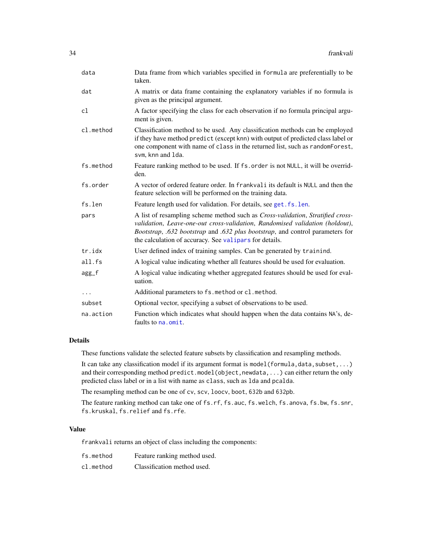| data      | Data frame from which variables specified in formula are preferentially to be<br>taken.                                                                                                                                                                                                                   |
|-----------|-----------------------------------------------------------------------------------------------------------------------------------------------------------------------------------------------------------------------------------------------------------------------------------------------------------|
| dat       | A matrix or data frame containing the explanatory variables if no formula is<br>given as the principal argument.                                                                                                                                                                                          |
| cl        | A factor specifying the class for each observation if no formula principal argu-<br>ment is given.                                                                                                                                                                                                        |
| cl.method | Classification method to be used. Any classification methods can be employed<br>if they have method predict (except knn) with output of predicted class label or<br>one component with name of class in the returned list, such as randomForest,<br>svm, knn and 1da.                                     |
| fs.method | Feature ranking method to be used. If fs.order is not NULL, it will be overrid-<br>den.                                                                                                                                                                                                                   |
| fs.order  | A vector of ordered feature order. In frankvali its default is NULL and then the<br>feature selection will be performed on the training data.                                                                                                                                                             |
| fs.len    | Feature length used for validation. For details, see get. fs. len.                                                                                                                                                                                                                                        |
| pars      | A list of resampling scheme method such as Cross-validation, Stratified cross-<br>validation, Leave-one-out cross-validation, Randomised validation (holdout),<br>Bootstrap, .632 bootstrap and .632 plus bootstrap, and control parameters for<br>the calculation of accuracy. See valipars for details. |
| tr.idx    | User defined index of training samples. Can be generated by trainind.                                                                                                                                                                                                                                     |
| all.fs    | A logical value indicating whether all features should be used for evaluation.                                                                                                                                                                                                                            |
| agg_f     | A logical value indicating whether aggregated features should be used for eval-<br>uation.                                                                                                                                                                                                                |
| $\cdots$  | Additional parameters to fs. method or cl. method.                                                                                                                                                                                                                                                        |
| subset    | Optional vector, specifying a subset of observations to be used.                                                                                                                                                                                                                                          |
| na.action | Function which indicates what should happen when the data contains NA's, de-<br>faults to na. omit.                                                                                                                                                                                                       |

## Details

These functions validate the selected feature subsets by classification and resampling methods.

It can take any classification model if its argument format is model(formula,data,subset,...) and their corresponding method predict.model(object,newdata,...) can either return the only predicted class label or in a list with name as class, such as lda and pcalda.

The resampling method can be one of cv, scv, loocv, boot, 632b and 632pb.

The feature ranking method can take one of fs.rf, fs.auc, fs.welch, fs.anova, fs.bw, fs.snr, fs.kruskal, fs.relief and fs.rfe.

## Value

frankvali returns an object of class including the components:

| fs.method | Feature ranking method used. |
|-----------|------------------------------|
| cl.method | Classification method used.  |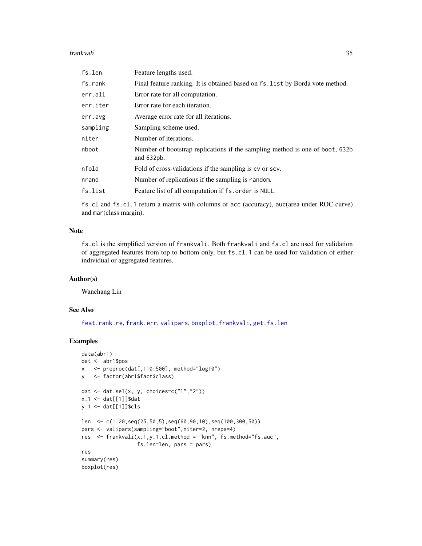#### frankvali 35

| fs.len   | Feature lengths used.                                                                        |
|----------|----------------------------------------------------------------------------------------------|
| fs.rank  | Final feature ranking. It is obtained based on fs. list by Borda vote method.                |
| err.all  | Error rate for all computation.                                                              |
| err.iter | Error rate for each iteration.                                                               |
| err.avg  | Average error rate for all iterations.                                                       |
| sampling | Sampling scheme used.                                                                        |
| niter    | Number of iterations.                                                                        |
| nboot    | Number of bootstrap replications if the sampling method is one of boot, 632b<br>and $632pb.$ |
| nfold    | Fold of cross-validations if the sampling is cv or scv.                                      |
| nrand    | Number of replications if the sampling is random.                                            |
| fs.list  | Feature list of all computation if fs. order is NULL.                                        |

fs.cl and fs.cl.1 return a matrix with columns of acc (accuracy), auc(area under ROC curve) and mar(class margin).

## Note

fs.cl is the simplified version of frankvali. Both frankvali and fs.cl are used for validation of aggregated features from top to bottom only, but fs.cl.1 can be used for validation of either individual or aggregated features.

#### Author(s)

Wanchang Lin

## See Also

[feat.rank.re](#page-28-1), [frank.err](#page-30-1), [valipars](#page-107-1), [boxplot.frankvali](#page-9-1), [get.fs.len](#page-53-1)

```
data(abr1)
dat <- abr1$pos
x <- preproc(dat[,110:500], method="log10")
y <- factor(abr1$fact$class)
dat <- dat.sel(x, y, choices=c("1","2"))
x.1 <- dat[[1]]$dat
y.1 <- dat[[1]]$cls
len <- c(1:20,seq(25,50,5),seq(60,90,10),seq(100,300,50))
pars <- valipars(sampling="boot",niter=2, nreps=4)
res <- frankvali(x.1,y.1,cl.method = "knn", fs.method="fs.auc",
                 fs.len=len, pars = pars)
res
summary(res)
boxplot(res)
```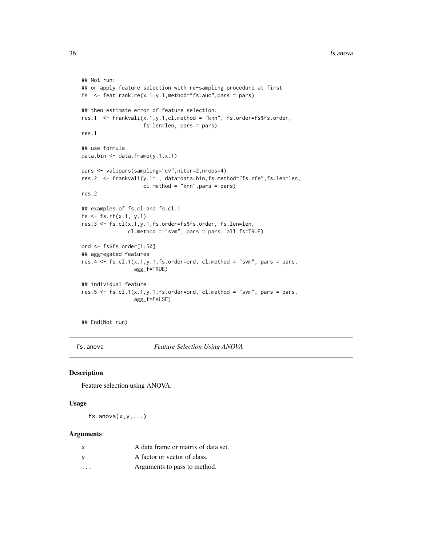```
## Not run:
## or apply feature selection with re-sampling procedure at first
fs \leq feat.rank.re(x.1,y.1,method="fs.auc", pars = pars)
## then estimate error of feature selection.
res.1 <- frankvali(x.1,y.1,cl.method = "knn", fs.order=fs$fs.order,
                    fs.len=len, pars = pars)
res.1
## use formula
data.bin <- data.frame(y.1,x.1)
pars <- valipars(sampling="cv",niter=2,nreps=4)
res.2 <- frankvali(y.1~., data=data.bin,fs.method="fs.rfe",fs.len=len,
                    cl.method = "knn",pars = pars)
res.2
## examples of fs.cl and fs.cl.1
fs \le fs.rf(x.1, y.1)
res.3 <- fs.cl(x.1,y.1,fs.order=fs$fs.order, fs.len=len,
               cl.method = "svm", pars = pars, all.fs=TRUE)
ord <- fs$fs.order[1:50]
## aggregated features
res.4 \le fs.cl.1(x.1,y.1,fs.order=ord, cl.method = "svm", pars = pars,
                 agg_f=TRUE)
## individual feature
res.5 <- fscl.1(x.1,y.1,fs.order=ord, cl.method = "swm", pars = pars,agg_f=FALSE)
```
## End(Not run)

fs.anova *Feature Selection Using ANOVA*

#### Description

Feature selection using ANOVA.

#### Usage

 $fs.$ anova $(x,y,...)$ 

#### Arguments

| x       | A data frame or matrix of data set. |
|---------|-------------------------------------|
| V       | A factor or vector of class.        |
| $\cdot$ | Arguments to pass to method.        |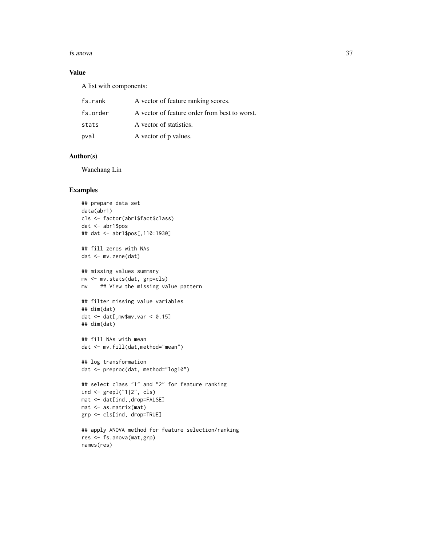#### fs.anova 37

# Value

A list with components:

| fs.rank  | A vector of feature ranking scores.           |
|----------|-----------------------------------------------|
| fs.order | A vector of feature order from best to worst. |
| stats    | A vector of statistics.                       |
| pval     | A vector of p values.                         |

## Author(s)

Wanchang Lin

```
## prepare data set
data(abr1)
cls <- factor(abr1$fact$class)
dat <- abr1$pos
## dat <- abr1$pos[,110:1930]
## fill zeros with NAs
dat <- mv.zene(dat)
## missing values summary
mv <- mv.stats(dat, grp=cls)
mv ## View the missing value pattern
## filter missing value variables
## dim(dat)
dat \leq dat[, mv$mv.var \leq 0.15]
## dim(dat)
## fill NAs with mean
dat <- mv.fill(dat,method="mean")
## log transformation
dat <- preproc(dat, method="log10")
## select class "1" and "2" for feature ranking
ind <- grepl("1|2", cls)
mat <- dat[ind,,drop=FALSE]
mat <- as.matrix(mat)
grp <- cls[ind, drop=TRUE]
## apply ANOVA method for feature selection/ranking
```

```
res <- fs.anova(mat,grp)
names(res)
```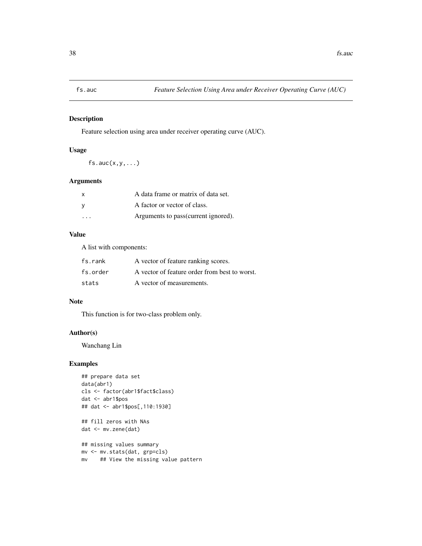## Description

Feature selection using area under receiver operating curve (AUC).

## Usage

 $fs.auc(x,y,...)$ 

## Arguments

| $\times$                | A data frame or matrix of data set.  |
|-------------------------|--------------------------------------|
| <b>V</b>                | A factor or vector of class.         |
| $\cdot$ $\cdot$ $\cdot$ | Arguments to pass (current ignored). |

### Value

A list with components:

| fs.rank  | A vector of feature ranking scores.           |
|----------|-----------------------------------------------|
| fs.order | A vector of feature order from best to worst. |
| stats    | A vector of measurements.                     |

## Note

This function is for two-class problem only.

### Author(s)

Wanchang Lin

```
## prepare data set
data(abr1)
cls <- factor(abr1$fact$class)
dat <- abr1$pos
## dat <- abr1$pos[,110:1930]
## fill zeros with NAs
dat <- mv.zene(dat)
## missing values summary
mv <- mv.stats(dat, grp=cls)
mv ## View the missing value pattern
```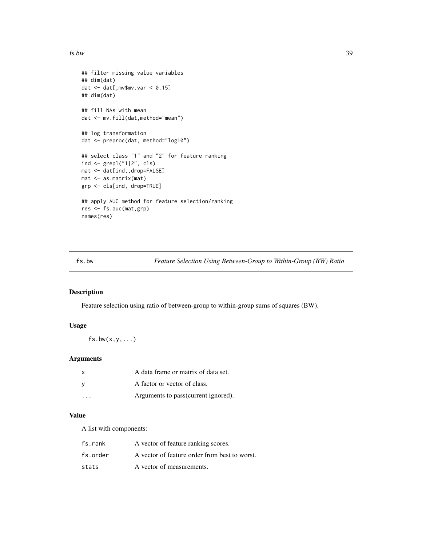#### $f_s.bw$  39

```
## filter missing value variables
## dim(dat)
dat <- dat[,mv$mv.var < 0.15]
## dim(dat)
## fill NAs with mean
dat <- mv.fill(dat,method="mean")
## log transformation
dat <- preproc(dat, method="log10")
## select class "1" and "2" for feature ranking
ind <- grepl("1|2", cls)
mat <- dat[ind,,drop=FALSE]
mat <- as.matrix(mat)
grp <- cls[ind, drop=TRUE]
## apply AUC method for feature selection/ranking
res <- fs.auc(mat,grp)
names(res)
```
fs.bw *Feature Selection Using Between-Group to Within-Group (BW) Ratio*

## **Description**

Feature selection using ratio of between-group to within-group sums of squares (BW).

## Usage

 $fs.bw(x,y,...)$ 

### Arguments

| x       | A data frame or matrix of data set.  |
|---------|--------------------------------------|
| v       | A factor or vector of class.         |
| $\cdot$ | Arguments to pass (current ignored). |

### Value

A list with components:

| fs.rank  | A vector of feature ranking scores.           |
|----------|-----------------------------------------------|
| fs.order | A vector of feature order from best to worst. |
| stats    | A vector of measurements.                     |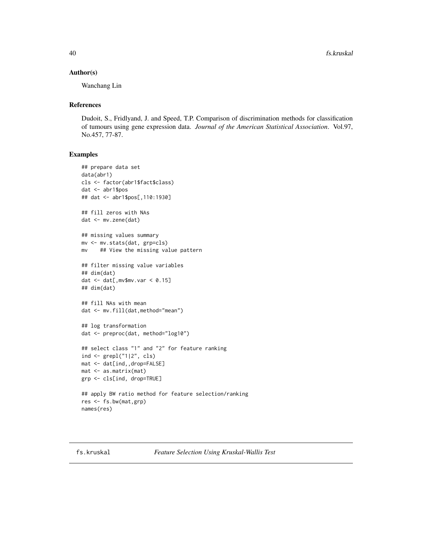### Author(s)

Wanchang Lin

### References

Dudoit, S., Fridlyand, J. and Speed, T.P. Comparison of discrimination methods for classification of tumours using gene expression data. *Journal of the American Statistical Association*. Vol.97, No.457, 77-87.

```
## prepare data set
data(abr1)
cls <- factor(abr1$fact$class)
dat <- abr1$pos
## dat <- abr1$pos[,110:1930]
## fill zeros with NAs
dat <- mv.zene(dat)
## missing values summary
mv <- mv.stats(dat, grp=cls)
mv ## View the missing value pattern
## filter missing value variables
## dim(dat)
dat \leq dat[, mv$mv.var \leq 0.15]
## dim(dat)
## fill NAs with mean
dat <- mv.fill(dat,method="mean")
## log transformation
dat <- preproc(dat, method="log10")
## select class "1" and "2" for feature ranking
ind <- grepl("1|2", cls)
mat <- dat[ind,,drop=FALSE]
mat <- as.matrix(mat)
grp <- cls[ind, drop=TRUE]
## apply BW ratio method for feature selection/ranking
res <- fs.bw(mat,grp)
names(res)
```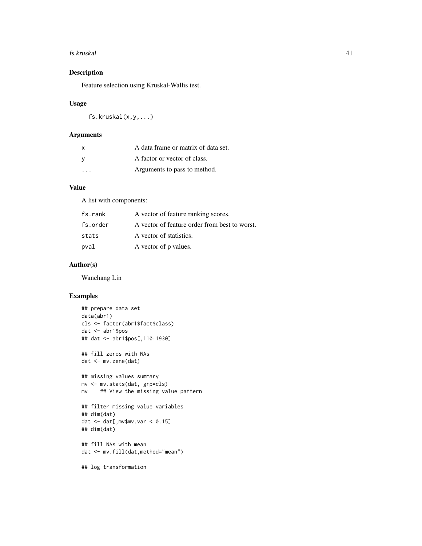#### fs.kruskal 41

## Description

Feature selection using Kruskal-Wallis test.

### Usage

fs.kruskal(x,y,...)

### Arguments

| X        | A data frame or matrix of data set. |
|----------|-------------------------------------|
| <b>V</b> | A factor or vector of class.        |
| .        | Arguments to pass to method.        |

### Value

A list with components:

| fs.rank  | A vector of feature ranking scores.           |
|----------|-----------------------------------------------|
| fs.order | A vector of feature order from best to worst. |
| stats    | A vector of statistics.                       |
| pval     | A vector of p values.                         |

## Author(s)

Wanchang Lin

# Examples

```
## prepare data set
data(abr1)
cls <- factor(abr1$fact$class)
dat <- abr1$pos
## dat <- abr1$pos[,110:1930]
## fill zeros with NAs
dat <- mv.zene(dat)
## missing values summary
mv <- mv.stats(dat, grp=cls)
mv ## View the missing value pattern
## filter missing value variables
## dim(dat)
dat \leq dat[, mv$mv.var \leq 0.15]
## dim(dat)
## fill NAs with mean
dat <- mv.fill(dat,method="mean")
```
## log transformation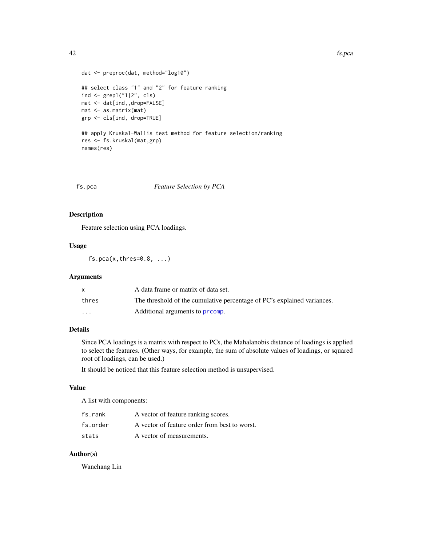```
dat <- preproc(dat, method="log10")
## select class "1" and "2" for feature ranking
ind <- grepl("1|2", cls)
mat <- dat[ind,,drop=FALSE]
mat <- as.matrix(mat)
grp <- cls[ind, drop=TRUE]
## apply Kruskal-Wallis test method for feature selection/ranking
res <- fs.kruskal(mat,grp)
```

```
names(res)
```
### fs.pca *Feature Selection by PCA*

#### Description

Feature selection using PCA loadings.

## Usage

 $fs.pca(x, thres=0.8, ...)$ 

## Arguments

|                         | A data frame or matrix of data set.                                     |
|-------------------------|-------------------------------------------------------------------------|
| thres                   | The threshold of the cumulative percentage of PC's explained variances. |
| $\cdot$ $\cdot$ $\cdot$ | Additional arguments to promp.                                          |

### Details

Since PCA loadings is a matrix with respect to PCs, the Mahalanobis distance of loadings is applied to select the features. (Other ways, for example, the sum of absolute values of loadings, or squared root of loadings, can be used.)

It should be noticed that this feature selection method is unsupervised.

#### Value

A list with components:

| fs.rank  | A vector of feature ranking scores.           |
|----------|-----------------------------------------------|
| fs.order | A vector of feature order from best to worst. |
| stats    | A vector of measurements.                     |

### Author(s)

Wanchang Lin

42 fs.pca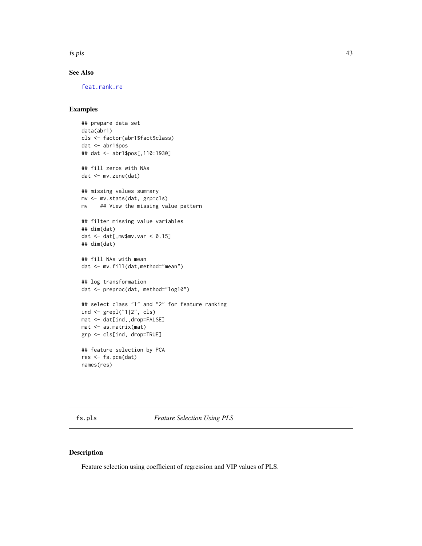fs.pls 43

## See Also

[feat.rank.re](#page-28-0)

### Examples

```
## prepare data set
data(abr1)
cls <- factor(abr1$fact$class)
dat <- abr1$pos
## dat <- abr1$pos[,110:1930]
## fill zeros with NAs
dat <- mv.zene(dat)
## missing values summary
mv <- mv.stats(dat, grp=cls)
mv ## View the missing value pattern
## filter missing value variables
## dim(dat)
dat \leq dat[, mv$mv.var \leq 0.15]
## dim(dat)
## fill NAs with mean
dat <- mv.fill(dat,method="mean")
## log transformation
dat <- preproc(dat, method="log10")
## select class "1" and "2" for feature ranking
ind \leq grepl("1|2", cls)
mat <- dat[ind,,drop=FALSE]
mat <- as.matrix(mat)
grp <- cls[ind, drop=TRUE]
## feature selection by PCA
res <- fs.pca(dat)
names(res)
```
fs.pls *Feature Selection Using PLS*

### Description

Feature selection using coefficient of regression and VIP values of PLS.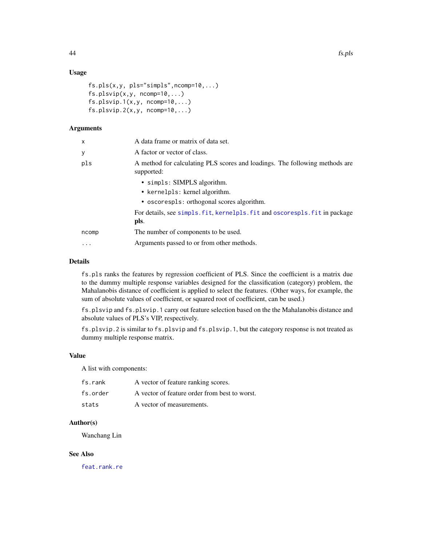## Usage

```
fs. pls(x, y, pls="simple", ncomp=10, ...)fs.plsvip(x,y, ncomp=10,...)fs.plsvip.1(x,y, ncomp=10,...)fs.plsvip.2(x,y, ncomp=10,...)
```
## Arguments

| $\mathsf{x}$ | A data frame or matrix of data set.                                                       |
|--------------|-------------------------------------------------------------------------------------------|
| У            | A factor or vector of class.                                                              |
| pls          | A method for calculating PLS scores and loadings. The following methods are<br>supported: |
|              | • simpls: SIMPLS algorithm.                                                               |
|              | • kernelpls: kernel algorithm.                                                            |
|              | • oscorespls: orthogonal scores algorithm.                                                |
|              | For details, see simpls. fit, kernelpls. fit and oscorespls. fit in package<br>pls.       |
| ncomp        | The number of components to be used.                                                      |
| $\ddotsc$    | Arguments passed to or from other methods.                                                |

# Details

fs.pls ranks the features by regression coefficient of PLS. Since the coefficient is a matrix due to the dummy multiple response variables designed for the classification (category) problem, the Mahalanobis distance of coefficient is applied to select the features. (Other ways, for example, the sum of absolute values of coefficient, or squared root of coefficient, can be used.)

fs.plsvip and fs.plsvip.1 carry out feature selection based on the the Mahalanobis distance and absolute values of PLS's VIP, respectively.

fs.plsvip.2 is similar to fs.plsvip and fs.plsvip.1, but the category response is not treated as dummy multiple response matrix.

### Value

A list with components:

| fs.rank  | A vector of feature ranking scores.           |
|----------|-----------------------------------------------|
| fs.order | A vector of feature order from best to worst. |
| stats    | A vector of measurements.                     |

## Author(s)

Wanchang Lin

## See Also

[feat.rank.re](#page-28-0)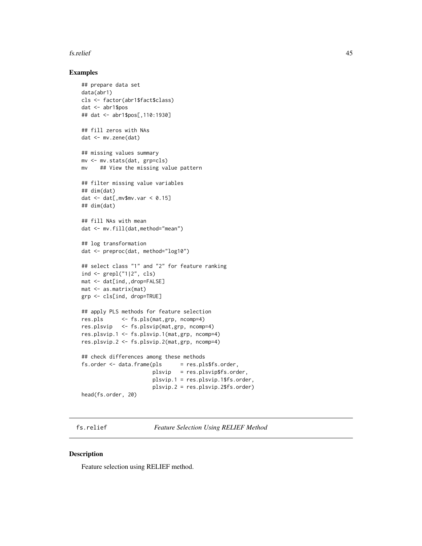### fs.relief 45

### Examples

```
## prepare data set
data(abr1)
cls <- factor(abr1$fact$class)
dat <- abr1$pos
## dat <- abr1$pos[,110:1930]
## fill zeros with NAs
dat <- mv.zene(dat)
## missing values summary
mv <- mv.stats(dat, grp=cls)
mv ## View the missing value pattern
## filter missing value variables
## dim(dat)
dat \leq dat[, mv$mv.var \leq 0.15]
## dim(dat)
## fill NAs with mean
dat <- mv.fill(dat,method="mean")
## log transformation
dat <- preproc(dat, method="log10")
## select class "1" and "2" for feature ranking
ind <- grepl("1|2", cls)
mat <- dat[ind,,drop=FALSE]
mat <- as.matrix(mat)
grp <- cls[ind, drop=TRUE]
## apply PLS methods for feature selection
res.pls <- fs.pls(mat,grp, ncomp=4)
res.plsvip <- fs.plsvip(mat,grp, ncomp=4)
res.plsvip.1 <- fs.plsvip.1(mat,grp, ncomp=4)
res.plsvip.2 <- fs.plsvip.2(mat,grp, ncomp=4)
## check differences among these methods
fs.order <- data.frame(pls = res.pls$fs.order,
                      plsvip = res.plsvip$fs.order,
                       plsvip.1 = res.plsvip.1$fs.order,
                       plsvip.2 = res.plsvip.2$fs.order)
head(fs.order, 20)
```
fs.relief *Feature Selection Using RELIEF Method*

#### Description

Feature selection using RELIEF method.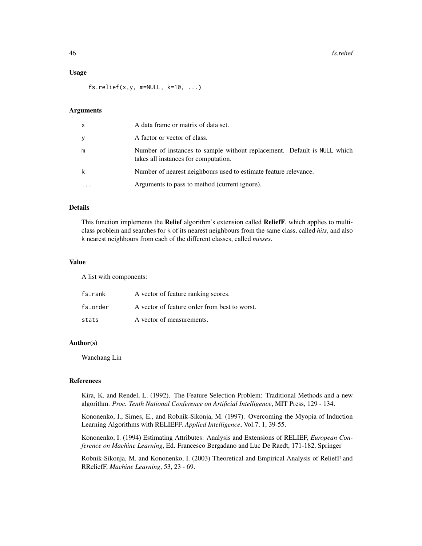#### Usage

 $fs.$ relief(x,y, m=NULL, k=10, ...)

### Arguments

| $\mathsf{x}$ | A data frame or matrix of data set.                                                                              |
|--------------|------------------------------------------------------------------------------------------------------------------|
| y            | A factor or vector of class.                                                                                     |
| m            | Number of instances to sample without replacement. Default is NULL which<br>takes all instances for computation. |
| k            | Number of nearest neighbours used to estimate feature relevance.                                                 |
|              | Arguments to pass to method (current ignore).                                                                    |

#### Details

This function implements the Relief algorithm's extension called ReliefF, which applies to multiclass problem and searches for k of its nearest neighbours from the same class, called *hits*, and also k nearest neighbours from each of the different classes, called *misses*.

#### Value

A list with components:

| fs.rank  | A vector of feature ranking scores.           |
|----------|-----------------------------------------------|
| fs.order | A vector of feature order from best to worst. |
| stats    | A vector of measurements.                     |

### Author(s)

Wanchang Lin

### References

Kira, K. and Rendel, L. (1992). The Feature Selection Problem: Traditional Methods and a new algorithm. *Proc. Tenth National Conference on Artificial Intelligence*, MIT Press, 129 - 134.

Kononenko, I., Simes, E., and Robnik-Sikonja, M. (1997). Overcoming the Myopia of Induction Learning Algorithms with RELIEFF. *Applied Intelligence*, Vol.7, 1, 39-55.

Kononenko, I. (1994) Estimating Attributes: Analysis and Extensions of RELIEF, *European Conference on Machine Learning*, Ed. Francesco Bergadano and Luc De Raedt, 171-182, Springer

Robnik-Sikonja, M. and Kononenko, I. (2003) Theoretical and Empirical Analysis of ReliefF and RReliefF, *Machine Learning*, 53, 23 - 69.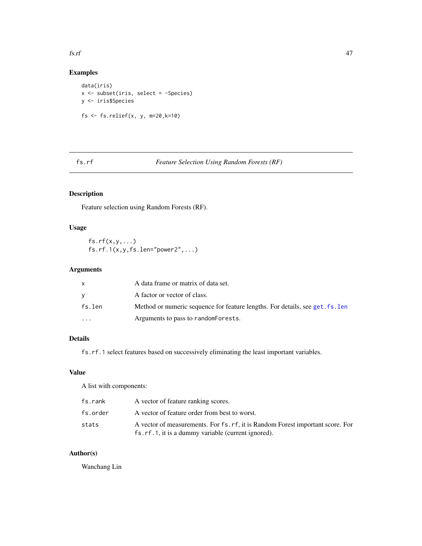#### fs.rf 47

## Examples

```
data(iris)
x <- subset(iris, select = -Species)
y <- iris$Species
fs \le fs.relief(x, y, m=20,k=10)
```
fs.rf *Feature Selection Using Random Forests (RF)*

# Description

Feature selection using Random Forests (RF).

## Usage

 $fs.rf(x,y,...)$  $fs.rf.1(x,y,fs.len="power2",...)$ 

## Arguments

|           | A data frame or matrix of data set.                                           |
|-----------|-------------------------------------------------------------------------------|
|           | A factor or vector of class.                                                  |
| fs.len    | Method or numeric sequence for feature lengths. For details, see get. fs. len |
| $\ddotsc$ | Arguments to pass to random Forests.                                          |

# Details

fs.rf.1 select features based on successively eliminating the least important variables.

### Value

A list with components:

| fs.rank  | A vector of feature ranking scores.                                                                                                  |
|----------|--------------------------------------------------------------------------------------------------------------------------------------|
| fs.order | A vector of feature order from best to worst.                                                                                        |
| stats    | A vector of measurements. For fs. rf, it is Random Forest important score. For<br>fs.rf.1, it is a dummy variable (current ignored). |

## Author(s)

Wanchang Lin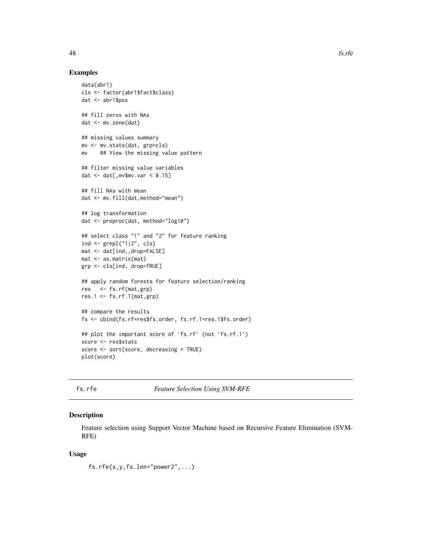#### Examples

```
data(abr1)
cls <- factor(abr1$fact$class)
dat <- abr1$pos
## fill zeros with NAs
dat <- mv.zene(dat)
## missing values summary
mv <- mv.stats(dat, grp=cls)
mv ## View the missing value pattern
## filter missing value variables
dat \leq dat[, mv$mv.var \leq 0.15]
## fill NAs with mean
dat <- mv.fill(dat,method="mean")
## log transformation
dat <- preproc(dat, method="log10")
## select class "1" and "2" for feature ranking
ind <- grepl("1|2", cls)
mat <- dat[ind,,drop=FALSE]
mat <- as.matrix(mat)
grp <- cls[ind, drop=TRUE]
## apply random forests for feature selection/ranking
res <- fs.rf(mat,grp)
res.1 <- fs.rf.1(mat,grp)
## compare the results
fs <- cbind(fs.rf=res$fs.order, fs.rf.1=res.1$fs.order)
## plot the important score of 'fs.rf' (not 'fs.rf.1')
score <- res$stats
score <- sort(score, decreasing = TRUE)
plot(score)
```
<span id="page-47-0"></span>

fs.rfe *Feature Selection Using SVM-RFE*

#### Description

Feature selection using Support Vector Machine based on Recursive Feature Elimination (SVM-RFE)

#### Usage

fs.rfe(x,y,fs.len="power2",...)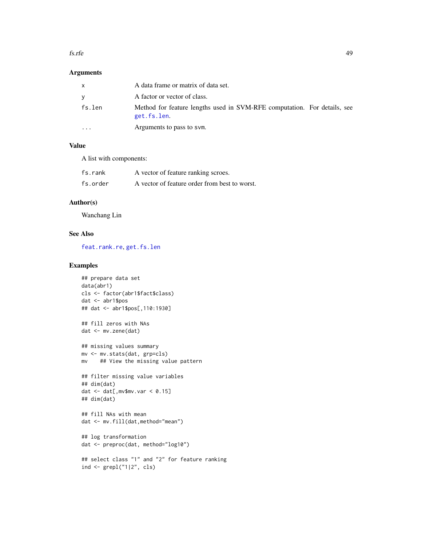#### fs.rfe 49

### Arguments

|           | A data frame or matrix of data set.                                                     |  |
|-----------|-----------------------------------------------------------------------------------------|--|
| v         | A factor or vector of class.                                                            |  |
| fs.len    | Method for feature lengths used in SVM-RFE computation. For details, see<br>get.fs.len. |  |
| $\ddotsc$ | Arguments to pass to sym.                                                               |  |

### Value

A list with components:

| fs.rank  | A vector of feature ranking scroes.           |
|----------|-----------------------------------------------|
| fs.order | A vector of feature order from best to worst. |

## Author(s)

Wanchang Lin

### See Also

[feat.rank.re](#page-28-0), [get.fs.len](#page-53-0)

```
## prepare data set
data(abr1)
cls <- factor(abr1$fact$class)
dat <- abr1$pos
## dat <- abr1$pos[,110:1930]
## fill zeros with NAs
dat <- mv.zene(dat)
## missing values summary
mv <- mv.stats(dat, grp=cls)
mv ## View the missing value pattern
## filter missing value variables
## dim(dat)
dat \leq dat[, mv$mv.var \leq 0.15]
## dim(dat)
## fill NAs with mean
dat <- mv.fill(dat,method="mean")
## log transformation
dat <- preproc(dat, method="log10")
## select class "1" and "2" for feature ranking
ind \leq grepl("1|2", cls)
```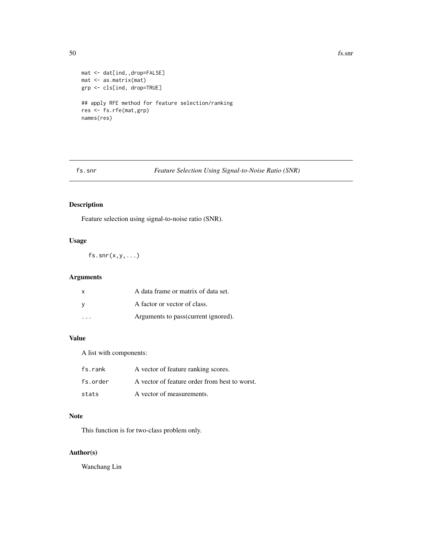$50$  fs.snr

```
mat <- dat[ind,,drop=FALSE]
mat <- as.matrix(mat)
grp <- cls[ind, drop=TRUE]
## apply RFE method for feature selection/ranking
res <- fs.rfe(mat,grp)
names(res)
```
fs.snr *Feature Selection Using Signal-to-Noise Ratio (SNR)*

# Description

Feature selection using signal-to-noise ratio (SNR).

## Usage

 $fs.snr(x,y,...)$ 

## Arguments

| $\mathsf{x}$ | A data frame or matrix of data set.  |
|--------------|--------------------------------------|
| - V          | A factor or vector of class.         |
| .            | Arguments to pass (current ignored). |

### Value

A list with components:

| fs.rank  | A vector of feature ranking scores.           |
|----------|-----------------------------------------------|
| fs.order | A vector of feature order from best to worst. |
| stats    | A vector of measurements.                     |

### Note

This function is for two-class problem only.

### Author(s)

Wanchang Lin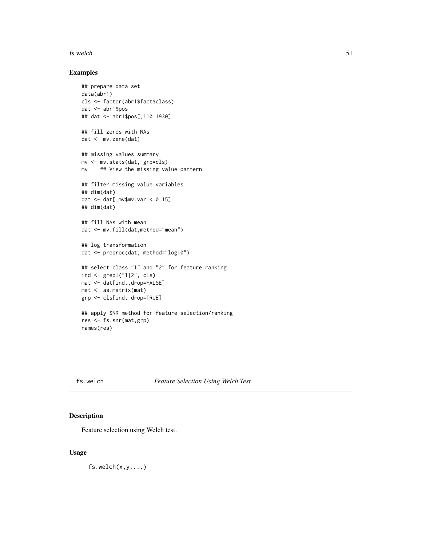#### $f$ s.welch  $51$

## Examples

```
## prepare data set
data(abr1)
cls <- factor(abr1$fact$class)
dat <- abr1$pos
## dat <- abr1$pos[,110:1930]
## fill zeros with NAs
dat <- mv.zene(dat)
## missing values summary
mv <- mv.stats(dat, grp=cls)
mv ## View the missing value pattern
## filter missing value variables
## dim(dat)
dat \leq dat[, mv$mv.var \leq 0.15]
## dim(dat)
## fill NAs with mean
dat <- mv.fill(dat,method="mean")
## log transformation
dat <- preproc(dat, method="log10")
## select class "1" and "2" for feature ranking
ind <- grepl("1|2", cls)
mat <- dat[ind,,drop=FALSE]
mat <- as.matrix(mat)
grp <- cls[ind, drop=TRUE]
## apply SNR method for feature selection/ranking
res <- fs.snr(mat,grp)
names(res)
```
fs.welch *Feature Selection Using Welch Test*

## Description

Feature selection using Welch test.

### Usage

 $fs.we1ch(x,y,...)$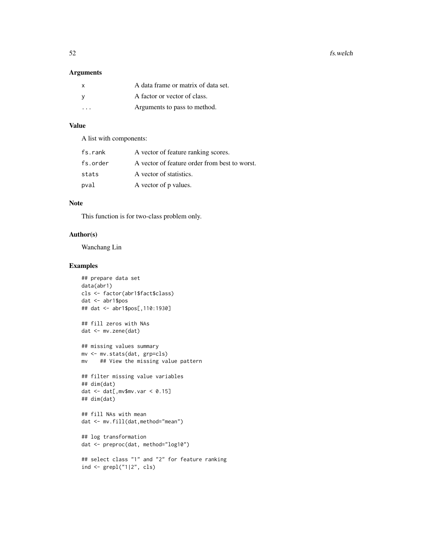### Arguments

| <b>X</b> | A data frame or matrix of data set. |
|----------|-------------------------------------|
|          | A factor or vector of class.        |
| $\cdot$  | Arguments to pass to method.        |

## Value

A list with components:

| fs.rank  | A vector of feature ranking scores.           |
|----------|-----------------------------------------------|
| fs.order | A vector of feature order from best to worst. |
| stats    | A vector of statistics.                       |
| pval     | A vector of p values.                         |

### Note

This function is for two-class problem only.

## Author(s)

Wanchang Lin

```
## prepare data set
data(abr1)
cls <- factor(abr1$fact$class)
dat <- abr1$pos
## dat <- abr1$pos[,110:1930]
## fill zeros with NAs
dat <- mv.zene(dat)
## missing values summary
mv <- mv.stats(dat, grp=cls)
mv ## View the missing value pattern
## filter missing value variables
## dim(dat)
dat \leq dat[, mv$mv.var \leq 0.15]
## dim(dat)
## fill NAs with mean
dat <- mv.fill(dat,method="mean")
## log transformation
dat <- preproc(dat, method="log10")
## select class "1" and "2" for feature ranking
ind \leq grepl("1|2", cls)
```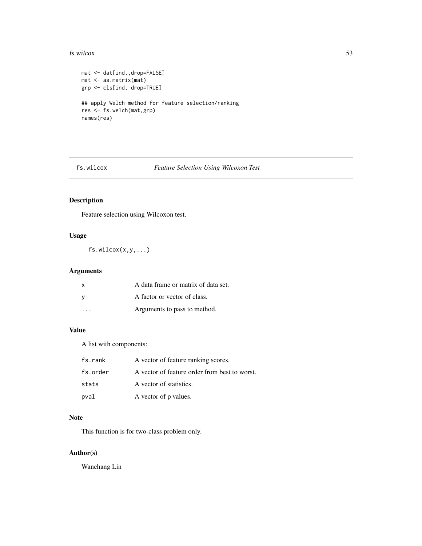#### fs.wilcox 53

```
mat <- dat[ind,,drop=FALSE]
mat <- as.matrix(mat)
grp <- cls[ind, drop=TRUE]
## apply Welch method for feature selection/ranking
res <- fs.welch(mat,grp)
names(res)
```
# fs.wilcox *Feature Selection Using Wilcoxon Test*

## Description

Feature selection using Wilcoxon test.

# Usage

fs.wilcox(x,y,...)

## Arguments

| X | A data frame or matrix of data set. |
|---|-------------------------------------|
| V | A factor or vector of class.        |
|   | Arguments to pass to method.        |

# Value

A list with components:

| fs.rank  | A vector of feature ranking scores.           |
|----------|-----------------------------------------------|
| fs.order | A vector of feature order from best to worst. |
| stats    | A vector of statistics.                       |
| pval     | A vector of p values.                         |

# Note

This function is for two-class problem only.

### Author(s)

Wanchang Lin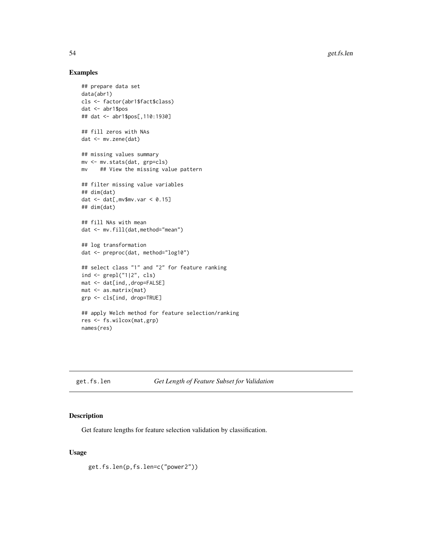### Examples

```
## prepare data set
data(abr1)
cls <- factor(abr1$fact$class)
dat <- abr1$pos
## dat <- abr1$pos[,110:1930]
## fill zeros with NAs
dat <- mv.zene(dat)
## missing values summary
mv <- mv.stats(dat, grp=cls)
mv ## View the missing value pattern
## filter missing value variables
## dim(dat)
dat \leq dat[, mv$mv.var \leq 0.15]
## dim(dat)
## fill NAs with mean
dat <- mv.fill(dat,method="mean")
## log transformation
dat <- preproc(dat, method="log10")
## select class "1" and "2" for feature ranking
ind <- grepl("1|2", cls)
mat <- dat[ind,,drop=FALSE]
mat <- as.matrix(mat)
grp <- cls[ind, drop=TRUE]
## apply Welch method for feature selection/ranking
res <- fs.wilcox(mat,grp)
names(res)
```
<span id="page-53-0"></span>get.fs.len *Get Length of Feature Subset for Validation*

#### Description

Get feature lengths for feature selection validation by classification.

### Usage

get.fs.len(p,fs.len=c("power2"))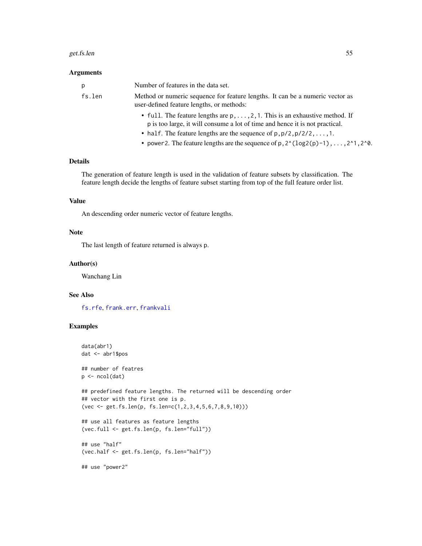#### get.fs.len 55

#### Arguments

| p      | Number of features in the data set.                                                                                                                                  |
|--------|----------------------------------------------------------------------------------------------------------------------------------------------------------------------|
| fs.len | Method or numeric sequence for feature lengths. It can be a numeric vector as<br>user-defined feature lengths, or methods:                                           |
|        | • full. The feature lengths are $p, \ldots, 2, 1$ . This is an exhaustive method. If<br>p is too large, it will consume a lot of time and hence it is not practical. |
|        | • half. The feature lengths are the sequence of $p, p/2, p/2/2, , 1$ .                                                                                               |
|        | • power 2. The feature lengths are the sequence of $p$ , $2^{(10g2(p)-1)}$ , , $2^{(10g2(p)-1)}$ , , $2^{(10g2(p)-1)}$                                               |
|        |                                                                                                                                                                      |

### Details

The generation of feature length is used in the validation of feature subsets by classification. The feature length decide the lengths of feature subset starting from top of the full feature order list.

## Value

An descending order numeric vector of feature lengths.

#### Note

The last length of feature returned is always p.

#### Author(s)

Wanchang Lin

### See Also

[fs.rfe](#page-47-0), [frank.err](#page-30-0), [frankvali](#page-32-0)

```
data(abr1)
dat <- abr1$pos
## number of featres
p \leftarrow \text{ncol}(\text{dat})## predefined feature lengths. The returned will be descending order
## vector with the first one is p.
(vec <- get.fs.len(p, fs.len=c(1,2,3,4,5,6,7,8,9,10)))
## use all features as feature lengths
(vec.full <- get.fs.len(p, fs.len="full"))
## use "half"
(vec.half <- get.fs.len(p, fs.len="half"))
## use "power2"
```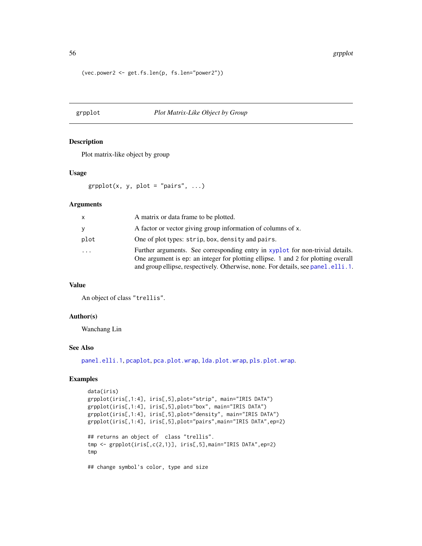(vec.power2 <- get.fs.len(p, fs.len="power2"))

### <span id="page-55-0"></span>grpplot *Plot Matrix-Like Object by Group*

### Description

Plot matrix-like object by group

### Usage

```
graphot(x, y, plot = "pairs", ...)
```
### Arguments

| x    | A matrix or data frame to be plotted.                                                                                                                                                                                                                    |
|------|----------------------------------------------------------------------------------------------------------------------------------------------------------------------------------------------------------------------------------------------------------|
| v    | A factor or vector giving group information of columns of x.                                                                                                                                                                                             |
| plot | One of plot types: strip, box, density and pairs.                                                                                                                                                                                                        |
| .    | Further arguments. See corresponding entry in xyplot for non-trivial details.<br>One argument is ep: an integer for plotting ellipse. 1 and 2 for plotting overall<br>and group ellipse, respectively. Otherwise, none. For details, see panel. elli. 1. |

## Value

An object of class "trellis".

### Author(s)

Wanchang Lin

#### See Also

[panel.elli.1](#page-74-0), [pcaplot](#page-85-0), [pca.plot.wrap](#page-80-0), [lda.plot.wrap](#page-80-1), [pls.plot.wrap](#page-80-1).

```
data(iris)
grpplot(iris[,1:4], iris[,5],plot="strip", main="IRIS DATA")
grpplot(iris[,1:4], iris[,5],plot="box", main="IRIS DATA")
grpplot(iris[,1:4], iris[,5],plot="density", main="IRIS DATA")
grpplot(iris[,1:4], iris[,5],plot="pairs",main="IRIS DATA",ep=2)
## returns an object of class "trellis".
tmp <- grpplot(iris[,c(2,1)], iris[,5],main="IRIS DATA",ep=2)
tmp
## change symbol's color, type and size
```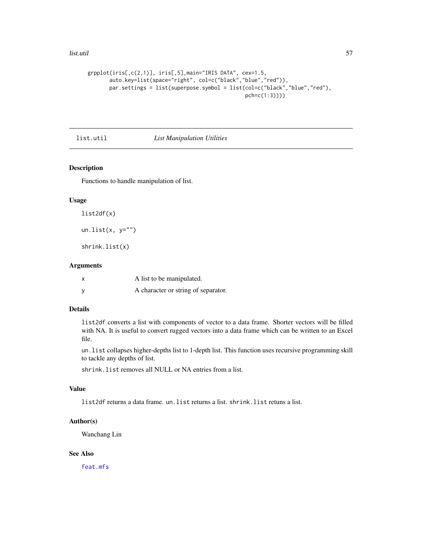#### list.util 57

```
grpplot(iris[,c(2,1)], iris[,5],main="IRIS DATA", cex=1.5,
       auto.key=list(space="right", col=c("black","blue","red")),
       par.settings = list(superpose.symbol = list(col=c("black","blue","red"),
                                                   pch=c(1:3))))
```
list.util *List Manipulation Utilities*

### Description

Functions to handle manipulation of list.

## Usage

```
list2df(x)
```
un.list $(x, y="")$ 

shrink.list(x)

## Arguments

| $\boldsymbol{\mathsf{x}}$ | A list to be manipulated.           |
|---------------------------|-------------------------------------|
| <b>V</b>                  | A character or string of separator. |

## Details

list2df converts a list with components of vector to a data frame. Shorter vectors will be filled with NA. It is useful to convert rugged vectors into a data frame which can be written to an Excel file.

un.list collapses higher-depths list to 1-depth list. This function uses recursive programming skill to tackle any depths of list.

shrink.list removes all NULL or NA entries from a list.

### Value

list2df returns a data frame. un.list returns a list. shrink.list retuns a list.

## Author(s)

Wanchang Lin

## See Also

[feat.mfs](#page-26-0)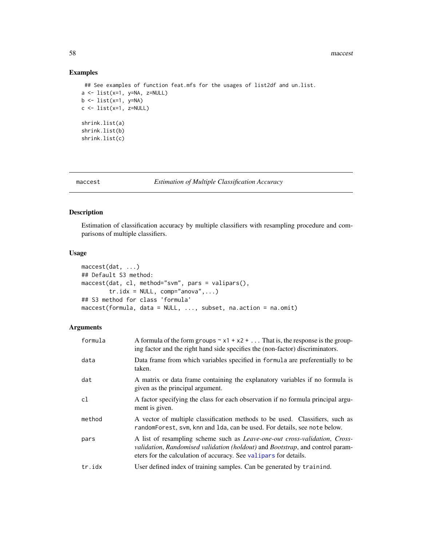## Examples

```
## See examples of function feat.mfs for the usages of list2df and un.list.
a \leftarrow list(x=1, y=NA, z=NULL)b \leftarrow list(x=1, y=NA)c \leftarrow list(x=1, z=NULL)shrink.list(a)
shrink.list(b)
shrink.list(c)
```
<span id="page-57-0"></span>maccest *Estimation of Multiple Classification Accuracy*

# Description

Estimation of classification accuracy by multiple classifiers with resampling procedure and comparisons of multiple classifiers.

### Usage

```
maccest(dat, ...)
## Default S3 method:
maccest(dat, cl, method="svm", pars = valipars(),
        tr.idx = NULL, comp="anova",...)
## S3 method for class 'formula'
maccest(formula, data = NULL, ..., subset, na.action = na.omit)
```
## Arguments

| formula | A formula of the form groups $\sim x1 + x2 + $ That is, the response is the group-<br>ing factor and the right hand side specifies the (non-factor) discriminators.                                                                            |
|---------|------------------------------------------------------------------------------------------------------------------------------------------------------------------------------------------------------------------------------------------------|
| data    | Data frame from which variables specified in formula are preferentially to be<br>taken.                                                                                                                                                        |
| dat     | A matrix or data frame containing the explanatory variables if no formula is<br>given as the principal argument.                                                                                                                               |
| cl      | A factor specifying the class for each observation if no formula principal argu-<br>ment is given.                                                                                                                                             |
| method  | A vector of multiple classification methods to be used. Classifiers, such as<br>randomForest, svm, knn and 1da, can be used. For details, see note below.                                                                                      |
| pars    | A list of resampling scheme such as <i>Leave-one-out cross-validation</i> , <i>Cross-</i><br>validation, Randomised validation (holdout) and Bootstrap, and control param-<br>eters for the calculation of accuracy. See valipars for details. |
| tr.idx  | User defined index of training samples. Can be generated by trainind.                                                                                                                                                                          |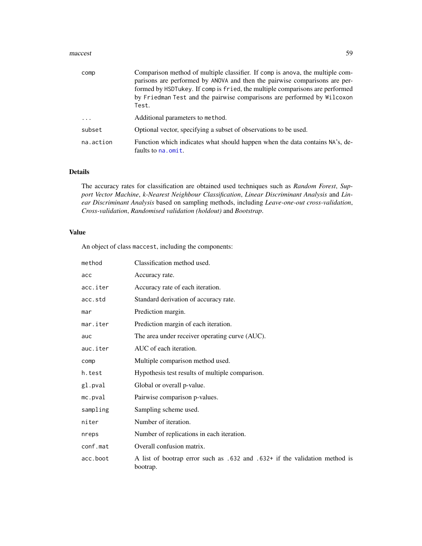#### maccest 59

| comp       | Comparison method of multiple classifier. If comp is anova, the multiple com-<br>parisons are performed by ANOVA and then the pairwise comparisons are per-<br>formed by HSDTukey. If comp is fried, the multiple comparisons are performed<br>by Friedman Test and the pairwise comparisons are performed by Wilcoxon<br>Test. |
|------------|---------------------------------------------------------------------------------------------------------------------------------------------------------------------------------------------------------------------------------------------------------------------------------------------------------------------------------|
| $\ddots$ . | Additional parameters to method.                                                                                                                                                                                                                                                                                                |
| subset     | Optional vector, specifying a subset of observations to be used.                                                                                                                                                                                                                                                                |
| na.action  | Function which indicates what should happen when the data contains NA's, de-<br>faults to na. omit.                                                                                                                                                                                                                             |

## Details

The accuracy rates for classification are obtained used techniques such as *Random Forest*, *Support Vector Machine*, *k-Nearest Neighbour Classification*, *Linear Discriminant Analysis* and *Linear Discriminant Analysis* based on sampling methods, including *Leave-one-out cross-validation*, *Cross-validation*, *Randomised validation (holdout)* and *Bootstrap*.

### Value

An object of class maccest, including the components:

| method   | Classification method used.                                                            |
|----------|----------------------------------------------------------------------------------------|
| acc      | Accuracy rate.                                                                         |
| acc.iter | Accuracy rate of each iteration.                                                       |
| acc.std  | Standard derivation of accuracy rate.                                                  |
| mar      | Prediction margin.                                                                     |
| mar.iter | Prediction margin of each iteration.                                                   |
| auc      | The area under receiver operating curve (AUC).                                         |
| auc.iter | AUC of each iteration.                                                                 |
| comp     | Multiple comparison method used.                                                       |
| h.test   | Hypothesis test results of multiple comparison.                                        |
| gl.pval  | Global or overall p-value.                                                             |
| mc.pyal  | Pairwise comparison p-values.                                                          |
| sampling | Sampling scheme used.                                                                  |
| niter    | Number of iteration.                                                                   |
| nreps    | Number of replications in each iteration.                                              |
| conf.mat | Overall confusion matrix.                                                              |
| acc.boot | A list of bootrap error such as .632 and .632+ if the validation method is<br>bootrap. |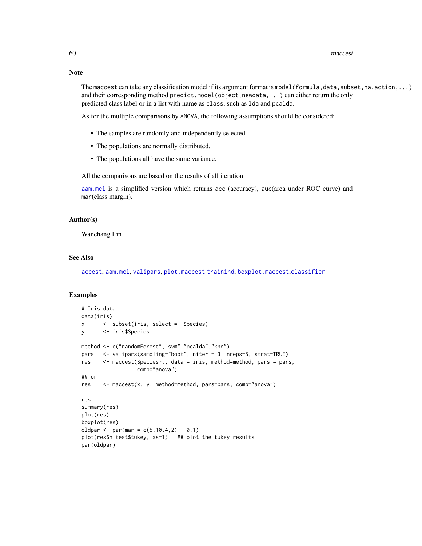### Note

The maccest can take any classification model if its argument format is model (formula, data, subset, na. action, ...) and their corresponding method predict.model(object,newdata,...) can either return the only predicted class label or in a list with name as class, such as lda and pcalda.

As for the multiple comparisons by ANOVA, the following assumptions should be considered:

- The samples are randomly and independently selected.
- The populations are normally distributed.
- The populations all have the same variance.

All the comparisons are based on the results of all iteration.

[aam.mcl](#page-3-0) is a simplified version which returns acc (accuracy), auc(area under ROC curve) and mar(class margin).

#### Author(s)

Wanchang Lin

### See Also

[accest](#page-3-1), [aam.mcl](#page-3-0), [valipars](#page-107-0), [plot.maccest](#page-88-0) [trainind](#page-104-0), [boxplot.maccest](#page-10-0),[classifier](#page-14-0)

```
# Iris data
data(iris)
x <- subset(iris, select = -Species)
y <- iris$Species
method <- c("randomForest","svm","pcalda","knn")
pars <- valipars(sampling="boot", niter = 3, nreps=5, strat=TRUE)
res <- maccest(Species~., data = iris, method=method, pars = pars,
                 comp="anova")
## or
res <- maccest(x, y, method=method, pars=pars, comp="anova")
res
summary(res)
plot(res)
boxplot(res)
oldpar <- par(mar = c(5, 10, 4, 2) + 0.1)
plot(res$h.test$tukey,las=1) ## plot the tukey results
par(oldpar)
```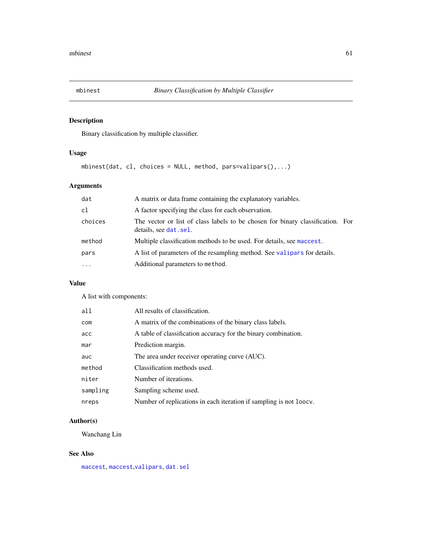## Description

Binary classification by multiple classifier.

## Usage

 $mbinest(data, cl, choices = NULL, method, pars=valipars(),...)$ 

## Arguments

| dat      | A matrix or data frame containing the explanatory variables.                                             |
|----------|----------------------------------------------------------------------------------------------------------|
| cl       | A factor specifying the class for each observation.                                                      |
| choices  | The vector or list of class labels to be chosen for binary classification. For<br>details, see dat. sel. |
| method   | Multiple classification methods to be used. For details, see maccest.                                    |
| pars     | A list of parameters of the resampling method. See valipars for details.                                 |
| $\cdots$ | Additional parameters to method.                                                                         |

# Value

A list with components:

| all      | All results of classification.                                     |
|----------|--------------------------------------------------------------------|
| com      | A matrix of the combinations of the binary class labels.           |
| acc      | A table of classification accuracy for the binary combination.     |
| mar      | Prediction margin.                                                 |
| auc      | The area under receiver operating curve (AUC).                     |
| method   | Classification methods used.                                       |
| niter    | Number of iterations.                                              |
| sampling | Sampling scheme used.                                              |
| nreps    | Number of replications in each iteration if sampling is not loocv. |

## Author(s)

Wanchang Lin

## See Also

[maccest](#page-57-0), [maccest](#page-57-0),[valipars](#page-107-0), [dat.sel](#page-20-0)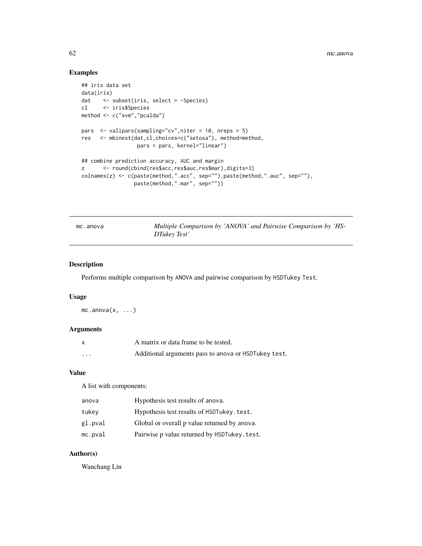# Examples

```
## iris data set
data(iris)
dat <- subset(iris, select = -Species)
cl <- iris$Species
method <- c("svm","pcalda")
pars <- valipars(sampling="cv",niter = 10, nreps = 5)
res <- mbinest(dat,cl,choices=c("setosa"), method=method,
                 pars = pars, kernel="linear")
## combine prediction accuracy, AUC and margin
z <- round(cbind(res$acc,res$auc,res$mar),digits=3)
colnames(z) <- c(paste(method,".acc", sep=""),paste(method,".auc", sep=""),
                paste(method,".mar", sep=""))
```
<span id="page-61-0"></span>mc.anova *Multiple Comparison by 'ANOVA' and Pairwise Comparison by 'HS-DTukey Test'*

## Description

Performs multiple comparison by ANOVA and pairwise comparison by HSDTukey Test.

#### Usage

 $mc.annotation(x, ...)$ 

### Arguments

|          | A matrix or data frame to be tested.                 |
|----------|------------------------------------------------------|
| $\cdots$ | Additional arguments pass to anova or HSDTukey test. |

#### Value

A list with components:

| anova   | Hypothesis test results of anova.            |
|---------|----------------------------------------------|
| tukev   | Hypothesis test results of HSDTukey. test.   |
| gl.pval | Global or overall p value returned by anova. |
| mc.pval | Pairwise p value returned by HSDTukey. test. |

### Author(s)

Wanchang Lin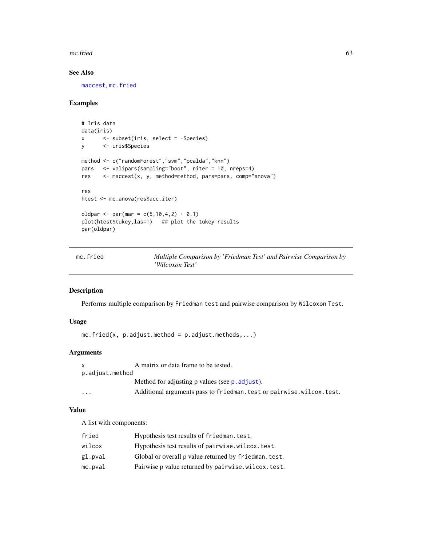#### $\epsilon$  mc.fried 63

# See Also

[maccest](#page-57-0), [mc.fried](#page-62-0)

## Examples

```
# Iris data
data(iris)
x <- subset(iris, select = -Species)
y <- iris$Species
method <- c("randomForest","svm","pcalda","knn")
pars <- valipars(sampling="boot", niter = 10, nreps=4)
res <- maccest(x, y, method=method, pars=pars, comp="anova")
res
htest <- mc.anova(res$acc.iter)
oldpar <- par(mar = c(5, 10, 4, 2) + 0.1)
plot(htest$tukey,las=1) ## plot the tukey results
par(oldpar)
```
<span id="page-62-0"></span>

| mc.fried | Multiple Comparison by 'Friedman Test' and Pairwise Comparison by |
|----------|-------------------------------------------------------------------|
|          | 'Wilcoxon Test'                                                   |

### Description

Performs multiple comparison by Friedman test and pairwise comparison by Wilcoxon Test.

### Usage

 $mc.fried(x, p.addjust.method = p.addjust.methods,...)$ 

## Arguments

| p.adjust.method         | A matrix or data frame to be tested.                                   |
|-------------------------|------------------------------------------------------------------------|
|                         | Method for adjusting p values (see p. adjust).                         |
| $\cdot$ $\cdot$ $\cdot$ | Additional arguments pass to friedman. test or pairwise. wilcox. test. |

### Value

A list with components:

| fried   | Hypothesis test results of friedman. test.            |
|---------|-------------------------------------------------------|
| wilcox  | Hypothesis test results of pairwise.wilcox.test.      |
| gl.pval | Global or overall p value returned by friedman. test. |
| mc.pval | Pairwise p value returned by pairwise.wilcox.test.    |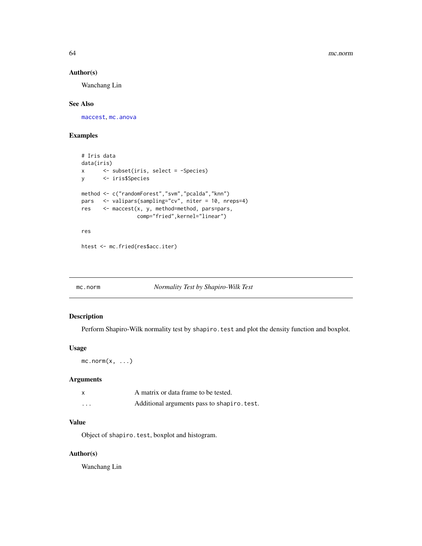### Author(s)

Wanchang Lin

## See Also

[maccest](#page-57-0), [mc.anova](#page-61-0)

## Examples

```
# Iris data
data(iris)
x <- subset(iris, select = -Species)
y <- iris$Species
method <- c("randomForest","svm","pcalda","knn")
pars <- valipars(sampling="cv", niter = 10, nreps=4)
res <- maccest(x, y, method=method, pars=pars,
                 comp="fried",kernel="linear")
res
```

```
htest <- mc.fried(res$acc.iter)
```
### mc.norm *Normality Test by Shapiro-Wilk Test*

### Description

Perform Shapiro-Wilk normality test by shapiro. test and plot the density function and boxplot.

### Usage

 $mc.norm(x, \ldots)$ 

### Arguments

| x       | A matrix or data frame to be tested.        |
|---------|---------------------------------------------|
| $\cdot$ | Additional arguments pass to shapiro. test. |

### Value

Object of shapiro.test, boxplot and histogram.

## Author(s)

Wanchang Lin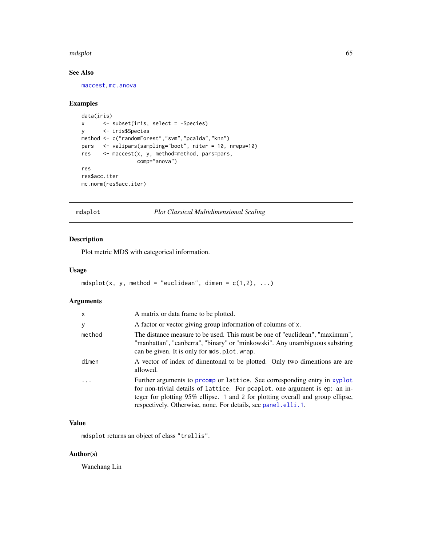#### mdsplot 65

## See Also

[maccest](#page-57-0), [mc.anova](#page-61-0)

### Examples

```
data(iris)
x <- subset(iris, select = -Species)
y <- iris$Species
method <- c("randomForest","svm","pcalda","knn")
pars <- valipars(sampling="boot", niter = 10, nreps=10)
res <- maccest(x, y, method=method, pars=pars,
                 comp="anova")
res
res$acc.iter
mc.norm(res$acc.iter)
```
mdsplot *Plot Classical Multidimensional Scaling*

### Description

Plot metric MDS with categorical information.

### Usage

```
mdsplot(x, y, method = "euclidean", dimen = c(1,2), ...)
```
## Arguments

| $\mathsf{x}$ | A matrix or data frame to be plotted.                                                                                                                                                                                                                                                                       |
|--------------|-------------------------------------------------------------------------------------------------------------------------------------------------------------------------------------------------------------------------------------------------------------------------------------------------------------|
| У            | A factor or vector giving group information of columns of x.                                                                                                                                                                                                                                                |
| method       | The distance measure to be used. This must be one of "euclidean", "maximum",<br>"manhattan", "canberra", "binary" or "minkowski". Any unambiguous substring<br>can be given. It is only for mds. plot. wrap.                                                                                                |
| dimen        | A vector of index of dimentonal to be plotted. Only two dimentions are are<br>allowed.                                                                                                                                                                                                                      |
|              | Further arguments to promp or lattice. See corresponding entry in xyplot<br>for non-trivial details of lattice. For peaplot, one argument is ep: an in-<br>teger for plotting 95% ellipse. 1 and 2 for plotting overall and group ellipse,<br>respectively. Otherwise, none. For details, see panel.elli.1. |

### Value

mdsplot returns an object of class "trellis".

## Author(s)

Wanchang Lin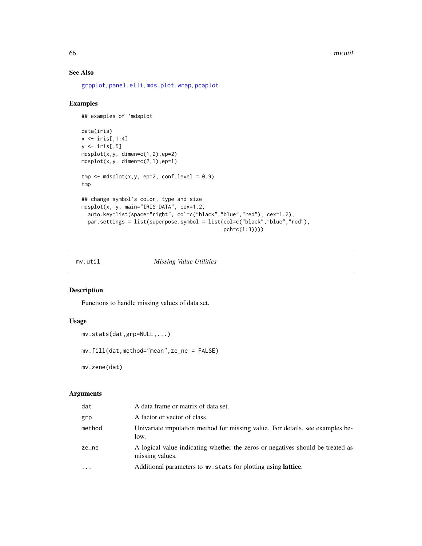66 mv.util

## See Also

[grpplot](#page-55-0), [panel.elli](#page-74-0), [mds.plot.wrap](#page-80-1), [pcaplot](#page-85-0)

### Examples

```
## examples of 'mdsplot'
data(iris)
x \leftarrow \text{iris}[, 1:4]y \leftarrow \text{iris}[, 5]mdsplot(x,y, dimen=c(1,2),ep=2)
mdsplot(x,y, dimen=c(2,1),ep=1)tmp \leftarrow mdsplot(x, y, ep=2, conf.level = 0.9)tmp
## change symbol's color, type and size
mdsplot(x, y, main="IRIS DATA", cex=1.2,
  auto.key=list(space="right", col=c("black","blue","red"), cex=1.2),
  par.settings = list(superpose.symbol = list(col=c("black","blue","red"),
                                                   pch=c(1:3))))
```
## mv.util *Missing Value Utilities*

### Description

Functions to handle missing values of data set.

### Usage

```
mv.stats(dat,grp=NULL,...)
```
mv.fill(dat,method="mean",ze\_ne = FALSE)

mv.zene(dat)

## Arguments

| dat      | A data frame or matrix of data set.                                                               |
|----------|---------------------------------------------------------------------------------------------------|
| grp      | A factor or vector of class.                                                                      |
| method   | Univariate imputation method for missing value. For details, see examples be-<br>low.             |
| ze_ne    | A logical value indicating whether the zeros or negatives should be treated as<br>missing values. |
| $\ddots$ | Additional parameters to mv. stats for plotting using <b>lattice</b> .                            |
|          |                                                                                                   |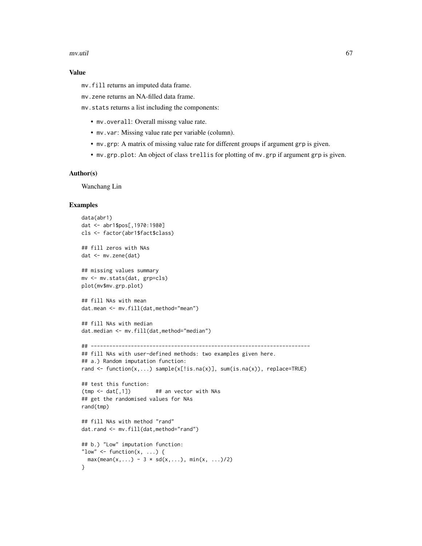#### mv.util 67

### Value

mv.fill returns an imputed data frame.

mv.zene returns an NA-filled data frame.

mv.stats returns a list including the components:

- mv.overall: Overall missng value rate.
- mv.var: Missing value rate per variable (column).
- mv.grp: A matrix of missing value rate for different groups if argument grp is given.
- mv.grp.plot: An object of class trellis for plotting of mv.grp if argument grp is given.

### Author(s)

Wanchang Lin

```
data(abr1)
dat <- abr1$pos[,1970:1980]
cls <- factor(abr1$fact$class)
## fill zeros with NAs
dat <- mv.zene(dat)
## missing values summary
mv <- mv.stats(dat, grp=cls)
plot(mv$mv.grp.plot)
## fill NAs with mean
dat.mean <- mv.fill(dat,method="mean")
## fill NAs with median
dat.median <- mv.fill(dat,method="median")
## -----------------------------------------------------------------------
## fill NAs with user-defined methods: two examples given here.
## a.) Random imputation function:
rand <- function(x,...) sample(x[!is.na(x)], sum(is.na(x)), replace=TRUE)
## test this function:
(tmp < - \text{dat}[, 1]) ## an vector with NAs
## get the randomised values for NAs
rand(tmp)
## fill NAs with method "rand"
dat.rand <- mv.fill(dat,method="rand")
## b.) "Low" imputation function:
"low" \leq function(x, ...) {
 max(mean(x, ...) - 3 * sd(x, ...), min(x, ...)/2)
}
```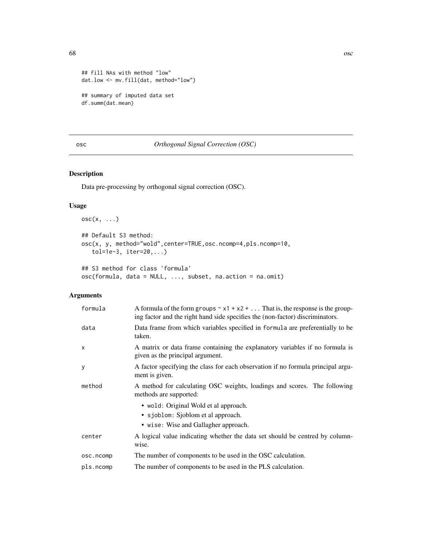68 oscillation of the contract of the contract of the contract of the contract of the contract of the contract of the contract of the contract of the contract of the contract of the contract of the contract of the contract

```
## fill NAs with method "low"
dat.low <- mv.fill(dat, method="low")
## summary of imputed data set
df.summ(dat.mean)
```
# <span id="page-67-0"></span>osc *Orthogonal Signal Correction (OSC)*

## Description

Data pre-processing by orthogonal signal correction (OSC).

## Usage

```
osc(x, \ldots)## Default S3 method:
osc(x, y, method="wold",center=TRUE,osc.ncomp=4,pls.ncomp=10,
   tol=1e-3, iter=20,...)
## S3 method for class 'formula'
osc(formula, data = NULL, ..., subset, na.action = na.omit)
```
# Arguments

| formula      | A formula of the form groups $\sim x1 + x2 + $ That is, the response is the group-<br>ing factor and the right hand side specifies the (non-factor) discriminators. |
|--------------|---------------------------------------------------------------------------------------------------------------------------------------------------------------------|
| data         | Data frame from which variables specified in formula are preferentially to be<br>taken.                                                                             |
| $\mathsf{x}$ | A matrix or data frame containing the explanatory variables if no formula is<br>given as the principal argument.                                                    |
| У            | A factor specifying the class for each observation if no formula principal argu-<br>ment is given.                                                                  |
| method       | A method for calculating OSC weights, loadings and scores. The following<br>methods are supported:                                                                  |
|              | • wold: Original Wold et al approach.                                                                                                                               |
|              | • sjoblom: Sjoblom et al approach.                                                                                                                                  |
|              | • wise: Wise and Gallagher approach.                                                                                                                                |
| center       | A logical value indicating whether the data set should be centred by column-<br>wise.                                                                               |
| osc.ncomp    | The number of components to be used in the OSC calculation.                                                                                                         |
| pls.ncomp    | The number of components to be used in the PLS calculation.                                                                                                         |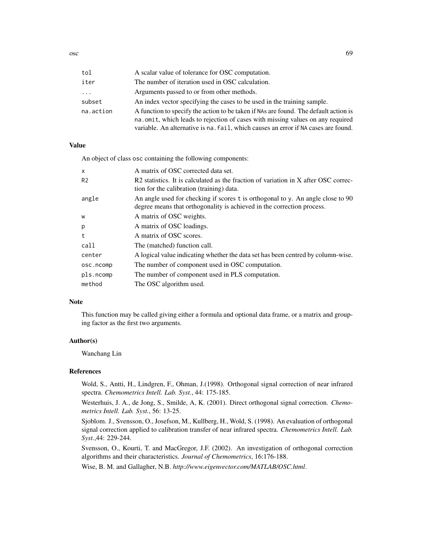| tol       | A scalar value of tolerance for OSC computation.                                                                                                                                                                                                             |
|-----------|--------------------------------------------------------------------------------------------------------------------------------------------------------------------------------------------------------------------------------------------------------------|
| iter      | The number of iteration used in OSC calculation.                                                                                                                                                                                                             |
| $\cdots$  | Arguments passed to or from other methods.                                                                                                                                                                                                                   |
| subset    | An index vector specifying the cases to be used in the training sample.                                                                                                                                                                                      |
| na.action | A function to specify the action to be taken if NAs are found. The default action is<br>na.omit, which leads to rejection of cases with missing values on any required<br>variable. An alternative is na. fail, which causes an error if NA cases are found. |
|           |                                                                                                                                                                                                                                                              |

#### Value

An object of class osc containing the following components:

| $\times$       | A matrix of OSC corrected data set.                                                                                                                       |
|----------------|-----------------------------------------------------------------------------------------------------------------------------------------------------------|
| R <sub>2</sub> | R2 statistics. It is calculated as the fraction of variation in X after OSC correc-<br>tion for the calibration (training) data.                          |
| angle          | An angle used for checking if scores t is orthogonal to y. An angle close to 90<br>degree means that orthogonality is achieved in the correction process. |
| W              | A matrix of OSC weights.                                                                                                                                  |
| p              | A matrix of OSC loadings.                                                                                                                                 |
| t              | A matrix of OSC scores.                                                                                                                                   |
| call           | The (matched) function call.                                                                                                                              |
| center         | A logical value indicating whether the data set has been centred by column-wise.                                                                          |
| osc.ncomp      | The number of component used in OSC computation.                                                                                                          |
| pls.ncomp      | The number of component used in PLS computation.                                                                                                          |
| method         | The OSC algorithm used.                                                                                                                                   |

#### Note

This function may be called giving either a formula and optional data frame, or a matrix and grouping factor as the first two arguments.

### Author(s)

Wanchang Lin

#### References

Wold, S., Antti, H., Lindgren, F., Ohman, J.(1998). Orthogonal signal correction of near infrared spectra. *Chemometrics Intell. Lab. Syst.*, 44: 175-185.

Westerhuis, J. A., de Jong, S., Smilde, A, K. (2001). Direct orthogonal signal correction. *Chemometrics Intell. Lab. Syst.*, 56: 13-25.

Sjoblom. J., Svensson, O., Josefson, M., Kullberg, H., Wold, S. (1998). An evaluation of orthogonal signal correction applied to calibration transfer of near infrared spectra. *Chemometrics Intell. Lab. Syst.*,44: 229-244.

Svensson, O., Kourti, T. and MacGregor, J.F. (2002). An investigation of orthogonal correction algorithms and their characteristics. *Journal of Chemometrics*, 16:176-188.

Wise, B. M. and Gallagher, N.B. *http://www.eigenvector.com/MATLAB/OSC.html*.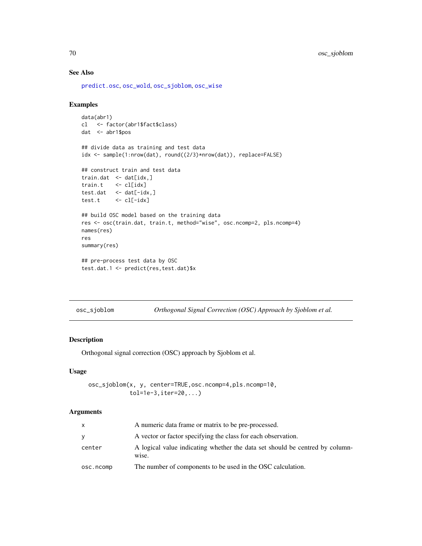## See Also

[predict.osc](#page-94-0), [osc\\_wold](#page-73-0), [osc\\_sjoblom](#page-69-0), [osc\\_wise](#page-71-0)

## Examples

```
data(abr1)
cl <- factor(abr1$fact$class)
dat <- abr1$pos
## divide data as training and test data
idx <- sample(1:nrow(dat), round((2/3)*nrow(dat)), replace=FALSE)
## construct train and test data
train.dat <- dat[idx,]
train.t <- cl[idx]
test.dat \leq dat[-idx,]
test.t <- cl[-idx]
## build OSC model based on the training data
res <- osc(train.dat, train.t, method="wise", osc.ncomp=2, pls.ncomp=4)
names(res)
res
summary(res)
## pre-process test data by OSC
test.dat.1 <- predict(res,test.dat)$x
```
<span id="page-69-0"></span>osc\_sjoblom *Orthogonal Signal Correction (OSC) Approach by Sjoblom et al.*

## Description

Orthogonal signal correction (OSC) approach by Sjoblom et al.

### Usage

```
osc_sjoblom(x, y, center=TRUE,osc.ncomp=4,pls.ncomp=10,
            tol=1e-3,iter=20,...)
```
#### Arguments

| X         | A numeric data frame or matrix to be pre-processed.                                   |
|-----------|---------------------------------------------------------------------------------------|
| V         | A vector or factor specifying the class for each observation.                         |
| center    | A logical value indicating whether the data set should be centred by column-<br>wise. |
| osc.ncomp | The number of components to be used in the OSC calculation.                           |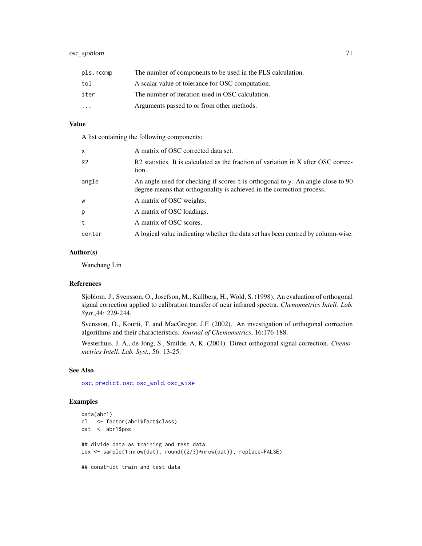| pls.ncomp | The number of components to be used in the PLS calculation. |
|-----------|-------------------------------------------------------------|
| tol       | A scalar value of tolerance for OSC computation.            |
| iter      | The number of iteration used in OSC calculation.            |
| $\cdots$  | Arguments passed to or from other methods.                  |

### Value

A list containing the following components:

| $\mathsf{x}$   | A matrix of OSC corrected data set.                                                                                                                       |
|----------------|-----------------------------------------------------------------------------------------------------------------------------------------------------------|
| R <sub>2</sub> | R2 statistics. It is calculated as the fraction of variation in X after OSC correc-<br>tion.                                                              |
| angle          | An angle used for checking if scores t is orthogonal to y. An angle close to 90<br>degree means that orthogonality is achieved in the correction process. |
| W              | A matrix of OSC weights.                                                                                                                                  |
| p              | A matrix of OSC loadings.                                                                                                                                 |
| t              | A matrix of OSC scores.                                                                                                                                   |
| center         | A logical value indicating whether the data set has been centred by column-wise.                                                                          |

## Author(s)

Wanchang Lin

### References

Sjoblom. J., Svensson, O., Josefson, M., Kullberg, H., Wold, S. (1998). An evaluation of orthogonal signal correction applied to calibration transfer of near infrared spectra. *Chemometrics Intell. Lab. Syst.*,44: 229-244.

Svensson, O., Kourti, T. and MacGregor, J.F. (2002). An investigation of orthogonal correction algorithms and their characteristics. *Journal of Chemometrics*, 16:176-188.

Westerhuis, J. A., de Jong, S., Smilde, A, K. (2001). Direct orthogonal signal correction. *Chemometrics Intell. Lab. Syst.*, 56: 13-25.

## See Also

[osc](#page-67-0), [predict.osc](#page-94-0), [osc\\_wold](#page-73-0), [osc\\_wise](#page-71-0)

```
data(abr1)
cl <- factor(abr1$fact$class)
dat <- abr1$pos
## divide data as training and test data
idx <- sample(1:nrow(dat), round((2/3)*nrow(dat)), replace=FALSE)
## construct train and test data
```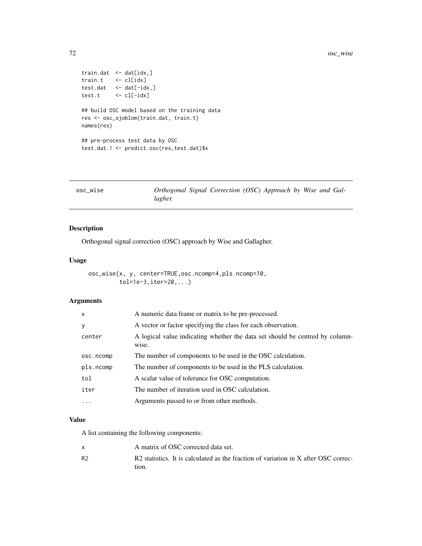```
train.dat <- dat[idx,]
train.t <- cl[idx]
test.dat <- dat[-idx,]
test.t \leftarrow cl[-idx]
## build OSC model based on the training data
res <- osc_sjoblom(train.dat, train.t)
names(res)
## pre-process test data by OSC
test.dat.1 <- predict.osc(res,test.dat)$x
```
<span id="page-71-0"></span>

| Orthogonal Signal Correction (OSC) Approach by Wise and Gal- |
|--------------------------------------------------------------|
|                                                              |

# Description

Orthogonal signal correction (OSC) approach by Wise and Gallagher.

### Usage

```
osc_wise(x, y, center=TRUE,osc.ncomp=4,pls.ncomp=10,
        tol=1e-3,iter=20,...)
```
## Arguments

| $\mathsf{x}$ | A numeric data frame or matrix to be pre-processed.                                   |
|--------------|---------------------------------------------------------------------------------------|
| У            | A vector or factor specifying the class for each observation.                         |
| center       | A logical value indicating whether the data set should be centred by column-<br>wise. |
| osc.ncomp    | The number of components to be used in the OSC calculation.                           |
| pls.ncomp    | The number of components to be used in the PLS calculation.                           |
| tol          | A scalar value of tolerance for OSC computation.                                      |
| iter         | The number of iteration used in OSC calculation.                                      |
| $\ddotsc$    | Arguments passed to or from other methods.                                            |
|              |                                                                                       |

### Value

A list containing the following components:

|                | A matrix of OSC corrected data set.                                                 |
|----------------|-------------------------------------------------------------------------------------|
| R <sub>2</sub> | R2 statistics. It is calculated as the fraction of variation in X after OSC correc- |
|                | tion.                                                                               |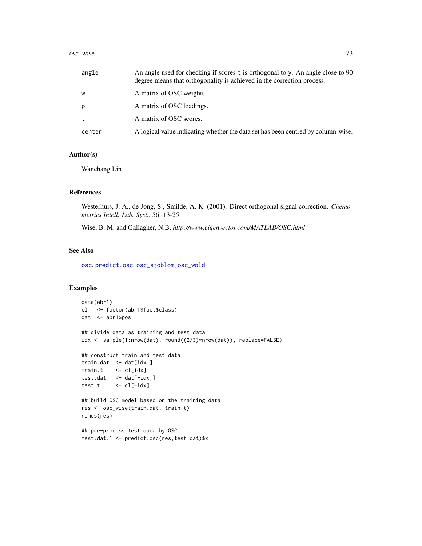#### osc\_wise 73

| angle  | An angle used for checking if scores t is orthogonal to y. An angle close to 90<br>degree means that orthogonality is achieved in the correction process. |
|--------|-----------------------------------------------------------------------------------------------------------------------------------------------------------|
| W      | A matrix of OSC weights.                                                                                                                                  |
| p      | A matrix of OSC loadings.                                                                                                                                 |
| t      | A matrix of OSC scores.                                                                                                                                   |
| center | A logical value indicating whether the data set has been centred by column-wise.                                                                          |

### Author(s)

Wanchang Lin

### References

Westerhuis, J. A., de Jong, S., Smilde, A, K. (2001). Direct orthogonal signal correction. *Chemometrics Intell. Lab. Syst.*, 56: 13-25.

Wise, B. M. and Gallagher, N.B. *http://www.eigenvector.com/MATLAB/OSC.html*.

# See Also

[osc](#page-67-0), [predict.osc](#page-94-0), [osc\\_sjoblom](#page-69-0), [osc\\_wold](#page-73-0)

```
data(abr1)
cl <- factor(abr1$fact$class)
dat <- abr1$pos
## divide data as training and test data
idx <- sample(1:nrow(dat), round((2/3)*nrow(dat)), replace=FALSE)
## construct train and test data
train.dat <- dat[idx,]
train.t <- cl[idx]
test.dat <- dat[-idx,]
test.t <- cl[-idx]
## build OSC model based on the training data
res <- osc_wise(train.dat, train.t)
names(res)
## pre-process test data by OSC
test.dat.1 <- predict.osc(res,test.dat)$x
```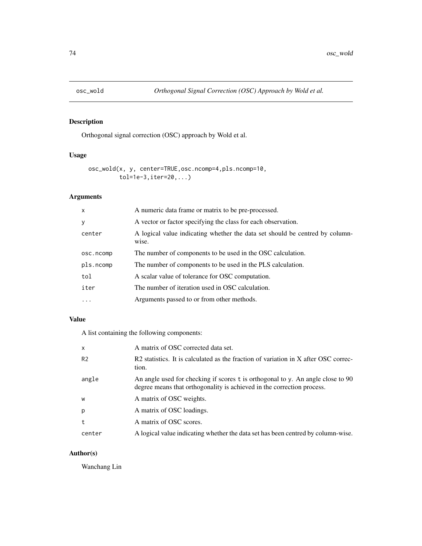<span id="page-73-0"></span>

# Description

Orthogonal signal correction (OSC) approach by Wold et al.

## Usage

```
osc_wold(x, y, center=TRUE,osc.ncomp=4,pls.ncomp=10,
         tol=1e-3,iter=20,...)
```
## Arguments

| $\mathsf{x}$ | A numeric data frame or matrix to be pre-processed.                                   |
|--------------|---------------------------------------------------------------------------------------|
| y            | A vector or factor specifying the class for each observation.                         |
| center       | A logical value indicating whether the data set should be centred by column-<br>wise. |
| osc.ncomp    | The number of components to be used in the OSC calculation.                           |
| pls.ncomp    | The number of components to be used in the PLS calculation.                           |
| tol          | A scalar value of tolerance for OSC computation.                                      |
| iter         | The number of iteration used in OSC calculation.                                      |
| $\ddotsc$    | Arguments passed to or from other methods.                                            |

# Value

A list containing the following components:

| $\mathsf{x}$   | A matrix of OSC corrected data set.                                                                                                                       |
|----------------|-----------------------------------------------------------------------------------------------------------------------------------------------------------|
| R <sub>2</sub> | R2 statistics. It is calculated as the fraction of variation in X after OSC correc-<br>tion.                                                              |
| angle          | An angle used for checking if scores t is orthogonal to y. An angle close to 90<br>degree means that orthogonality is achieved in the correction process. |
| W              | A matrix of OSC weights.                                                                                                                                  |
| p              | A matrix of OSC loadings.                                                                                                                                 |
| t              | A matrix of OSC scores.                                                                                                                                   |
| center         | A logical value indicating whether the data set has been centred by column-wise.                                                                          |

# Author(s)

Wanchang Lin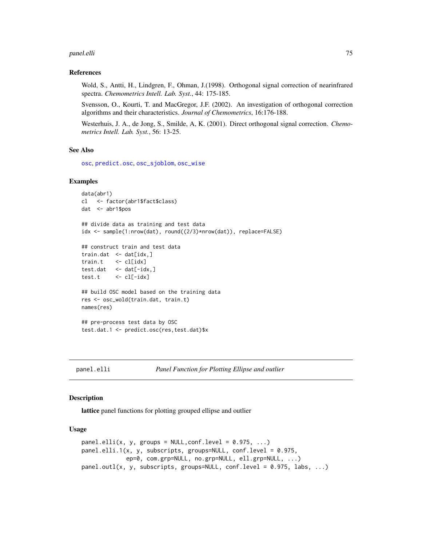#### panel.elli 75

### References

Wold, S., Antti, H., Lindgren, F., Ohman, J.(1998). Orthogonal signal correction of nearinfrared spectra. *Chemometrics Intell. Lab. Syst.*, 44: 175-185.

Svensson, O., Kourti, T. and MacGregor, J.F. (2002). An investigation of orthogonal correction algorithms and their characteristics. *Journal of Chemometrics*, 16:176-188.

Westerhuis, J. A., de Jong, S., Smilde, A, K. (2001). Direct orthogonal signal correction. *Chemometrics Intell. Lab. Syst.*, 56: 13-25.

### See Also

[osc](#page-67-0), [predict.osc](#page-94-0), [osc\\_sjoblom](#page-69-0), [osc\\_wise](#page-71-0)

#### Examples

```
data(abr1)
cl <- factor(abr1$fact$class)
dat <- abr1$pos
## divide data as training and test data
idx <- sample(1:nrow(dat), round((2/3)*nrow(dat)), replace=FALSE)
## construct train and test data
train.dat <- dat[idx,]
train.t <- cl[idx]
test.dat <- dat[-idx,]
test.t <- cl[-idx]
## build OSC model based on the training data
res <- osc_wold(train.dat, train.t)
names(res)
## pre-process test data by OSC
test.dat.1 <- predict.osc(res,test.dat)$x
```
<span id="page-74-0"></span>

```
panel.elli Panel Function for Plotting Ellipse and outlier
```
### <span id="page-74-1"></span>**Description**

lattice panel functions for plotting grouped ellipse and outlier

#### Usage

```
panel.elli(x, y, groups = NULL,conf.level = 0.975, ...)
panel.elli.1(x, y, subscripts, groups=NULL, conf.level = 0.975,
             ep=0, com.grp=NULL, no.grp=NULL, ell.grp=NULL, ...)
panel.outl(x, y, subscripts, groups=NULL, conf.level = 0.975, labs, ...)
```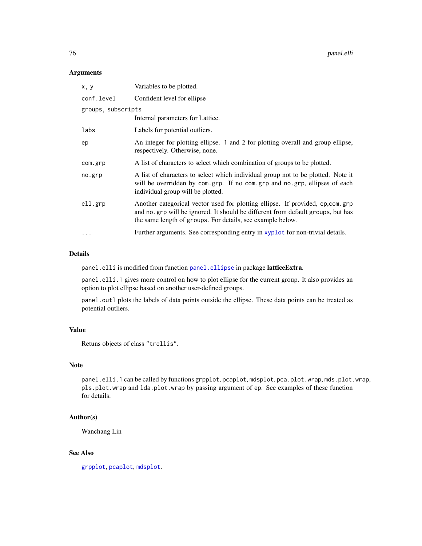### Arguments

| x, y               | Variables to be plotted.                                                                                                                                                                                                       |
|--------------------|--------------------------------------------------------------------------------------------------------------------------------------------------------------------------------------------------------------------------------|
| conf.level         | Confident level for ellipse                                                                                                                                                                                                    |
| groups, subscripts |                                                                                                                                                                                                                                |
|                    | Internal parameters for Lattice.                                                                                                                                                                                               |
| labs               | Labels for potential outliers.                                                                                                                                                                                                 |
| ep                 | An integer for plotting ellipse. 1 and 2 for plotting overall and group ellipse,<br>respectively. Otherwise, none.                                                                                                             |
| com.grp            | A list of characters to select which combination of groups to be plotted.                                                                                                                                                      |
| no.grp             | A list of characters to select which individual group not to be plotted. Note it<br>will be overridden by com.grp. If no com.grp and no.grp, ellipses of each<br>individual group will be plotted.                             |
| ell.grp            | Another categorical vector used for plotting ellipse. If provided, ep,com.grp<br>and no.grp will be ignored. It should be different from default groups, but has<br>the same length of groups. For details, see example below. |
|                    | Further arguments. See corresponding entry in xyplot for non-trivial details.                                                                                                                                                  |

## Details

panel.elli is modified from function [panel.ellipse](#page-0-0) in package latticeExtra.

panel.elli.1 gives more control on how to plot ellipse for the current group. It also provides an option to plot ellipse based on another user-defined groups.

panel. out1 plots the labels of data points outside the ellipse. These data points can be treated as potential outliers.

### Value

Retuns objects of class "trellis".

## Note

panel.elli.1 can be called by functions grpplot, pcaplot, mdsplot, pca.plot.wrap, mds.plot.wrap, pls.plot.wrap and lda.plot.wrap by passing argument of ep. See examples of these function for details.

## Author(s)

Wanchang Lin

## See Also

[grpplot](#page-55-0), [pcaplot](#page-85-0), [mdsplot](#page-64-0).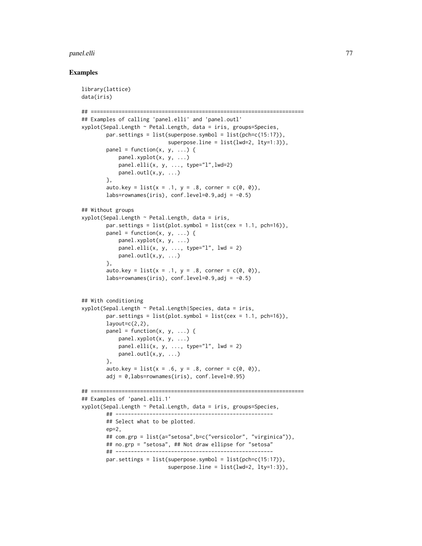#### panel.elli 77

```
library(lattice)
data(iris)
## =====================================================================
## Examples of calling 'panel.elli' and 'panel.outl'
xyplot(Sepal.Length ~ Petal.Length, data = iris, groups=Species,
       par.settings = list(superpose.symbol = list(pch=c(15:17)),
                            superpose.line = list(lwd=2, lty=1:3)),panel = function(x, y, ...) {
           panel.xyplot(x, y, ...)
           panel.elli(x, y, ..., type="l",lwd=2)
           panel.outl(x,y, ...)},
       auto.key = list(x = .1, y = .8, corner = c(0, 0)),
       labs=rownames(iris), conf.level=0.9,adj = -0.5)
## Without groups
xyplot(Sepal.length ~ Petal.length, data = iris,par.settings = list(plot.symbol = list(cex = 1.1, pch=16)),panel = function(x, y, ...) {
           panel.xyplot(x, y, ...)
           panel.elli(x, y, ..., type="l", lwd = 2)
           panel.outl(x,y, ...)
       },
       auto.key = list(x = .1, y = .8, corner = c(0, 0)),labs=rownames(iris), conf.level=0.9,adj = -0.5)
## With conditioning
xyplot(Sepal.Length ~ Petal.Length|Species, data = iris,
       par.settings = list(plot.symbol = list(cex = 1.1, pch=16)),layout=c(2,2),
       panel = function(x, y, ...) {
           panel.xyplot(x, y, ...)
           panel.elli(x, y, ..., type="l", lwd = 2)
           panel.outl(x,y, ...)},
        auto.key = list(x = .6, y = .8, corner = c(0, 0)),
       adj = 0,labs=rownames(iris), conf.level=0.95)
## =====================================================================
## Examples of 'panel.elli.1'
xyplot(Sepal.Length ~ Petal.Length, data = iris, groups=Species,
       ## ---------------------------------------------------
       ## Select what to be plotted.
       ep=2.
       ## com.grp = list(a="setosa",b=c("versicolor", "virginica")),
       ## no.grp = "setosa", ## Not draw ellipse for "setosa"
       ## ---------------------------------------------------
       par.settings = list(superpose.symbol = list(pch=c(15:17)),
                            superposeline = list(lwd=2, lty=1:3)),
```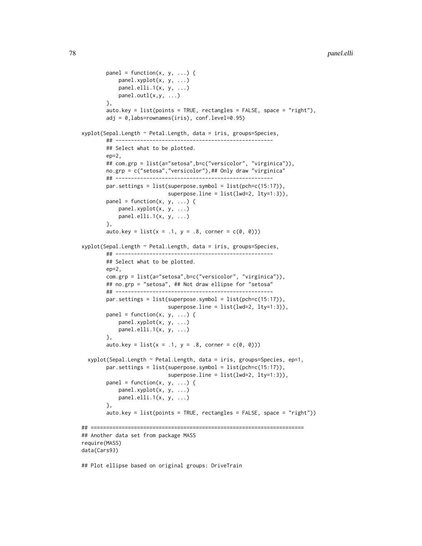```
panel = function(x, y, ...) {
            panel.xyplot(x, y, ...)
            panel.elli.1(x, y, ...)
            panel.outl(x,y, ...)},
       auto.key = list(points = TRUE, rectangles = FALSE, space = "right"),
       adj = 0,labs=rownames(iris), conf.level=0.95)
xyplot(Sepal.Length ~ Petal.Length, data = iris, groups=Species,
       ## ---------------------------------------------------
       ## Select what to be plotted.
       ep=2,
       ## com.grp = list(a="setosa",b=c("versicolor", "virginica")),
       no.grp = c("setosa", "versicolor"),## Only draw "virginica"
       ## ---------------------------------------------------
       par.settings = list(superpose.symbol = list(pch=c(15:17)),
                            superpose.line = list(lwd=2, lty=1:3)),
       panel = function(x, y, ...) {
            panel.xyplot(x, y, ...)
            panel.elli.1(x, y, ...)
       },
       auto.key = list(x = .1, y = .8, corner = c(0, 0)))xyplot(Sepal.Length ~ Petal.Length, data = iris, groups=Species,
       ## ---------------------------------------------------
       ## Select what to be plotted.
       ep=2,
       com.grp = list(a="setosa",b=c("versicolor", "virginica")),
       ## no.grp = "setosa", ## Not draw ellipse for "setosa"
       ## ---------------------------------------------------
       par.settings = list(superpose.symbol = list(pch=c(15:17)),
                            superposeline = list(lwd=2, lty=1:3)),panel = function(x, y, ...) {
            panel.xyplot(x, y, ...)
            panel.elli.1(x, y, ...)
       },
       auto.key = list(x = .1, y = .8, corner = c(0, 0)))xyplot(Sepal.Length ~ Petal.Length, data = iris, groups=Species, ep=1,
       par.settings = list(superpose.symbol = list(pch=c(15:17)),
                            superpose.line = list(lwd=2, lty=1:3)),panel = function(x, y, ...)panel.xyplot(x, y, ...)
            panel.elli.1(x, y, ...)
       },
        auto.key = list(points = TRUE, rectangles = FALSE, space = "right"))
## =====================================================================
## Another data set from package MASS
require(MASS)
data(Cars93)
```
## Plot ellipse based on original groups: DriveTrain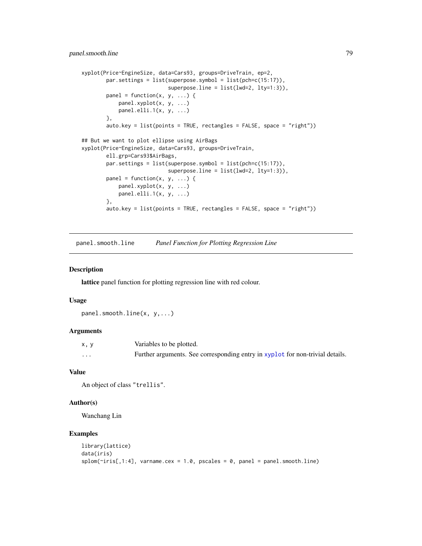```
xyplot(Price~EngineSize, data=Cars93, groups=DriveTrain, ep=2,
       par.settings = list(superpose.symbol = list(pch=c(15:17)),
                            superpose.line = list(lwd=2, lty=1:3)),
       panel = function(x, y, ...) {
           panel.xyplot(x, y, ...)
           panel.elli.1(x, y, ...)
       },
       auto.key = list(points = TRUE, rectangles = FALSE, space = "right"))
## But we want to plot ellipse using AirBags
xyplot(Price~EngineSize, data=Cars93, groups=DriveTrain,
       ell.grp=Cars93$AirBags,
       par.settings = list(superpose.symbol = list(pch=c(15:17)),
                            superposeline = list(lwd=2, lty=1:3)),panel = function(x, y, ...) {
           panel.xyplot(x, y, ...)
           panel.elli.1(x, y, ...)
       },
       auto.key = list(points = TRUE, rectangles = FALSE, space = "right")
```
panel.smooth.line *Panel Function for Plotting Regression Line*

### Description

lattice panel function for plotting regression line with red colour.

#### Usage

panel.smooth.line(x, y,...)

### Arguments

| x, y    | Variables to be plotted.                                                      |
|---------|-------------------------------------------------------------------------------|
| $\cdot$ | Further arguments. See corresponding entry in xyplot for non-trivial details. |

### Value

An object of class "trellis".

### Author(s)

Wanchang Lin

```
library(lattice)
data(iris)
splom(\text{riris}[,1:4], \text{ varname.cex = } 1.0, \text{ pscales = } 0, \text{ panel = panel. smooth. line})
```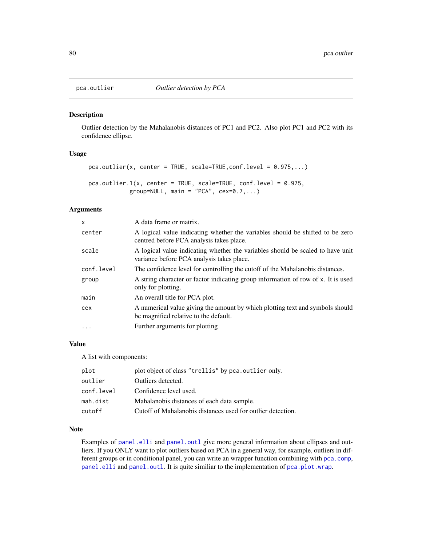## Description

Outlier detection by the Mahalanobis distances of PC1 and PC2. Also plot PC1 and PC2 with its confidence ellipse.

#### Usage

```
pca.outlier(x, center = TRUE, scale=TRUE,conf.level = 0.975,...)
pca.outlier.1(x, center = TRUE, scale=TRUE, conf.level = 0.975,
            group=NULL, main = "PCA", cex=0.7,...)
```
## Arguments

| x          | A data frame or matrix.                                                                                                     |
|------------|-----------------------------------------------------------------------------------------------------------------------------|
| center     | A logical value indicating whether the variables should be shifted to be zero<br>centred before PCA analysis takes place.   |
| scale      | A logical value indicating whether the variables should be scaled to have unit<br>variance before PCA analysis takes place. |
| conf.level | The confidence level for controlling the cutoff of the Mahalanobis distances.                                               |
| group      | A string character or factor indicating group information of row of x. It is used<br>only for plotting.                     |
| main       | An overall title for PCA plot.                                                                                              |
| cex        | A numerical value giving the amount by which plotting text and symbols should<br>be magnified relative to the default.      |
| .          | Further arguments for plotting                                                                                              |
|            |                                                                                                                             |

# Value

A list with components:

| plot       | plot object of class "trellis" by pca.outlier only.         |
|------------|-------------------------------------------------------------|
| outlier    | Outliers detected.                                          |
| conf.level | Confidence level used.                                      |
| mah.dist   | Mahalanobis distances of each data sample.                  |
| cutoff     | Cutoff of Mahalanobis distances used for outlier detection. |

### Note

Examples of [panel.elli](#page-74-0) and [panel.outl](#page-74-1) give more general information about ellipses and outliers. If you ONLY want to plot outliers based on PCA in a general way, for example, outliers in different groups or in conditional panel, you can write an wrapper function combining with [pca.comp](#page-85-1), [panel.elli](#page-74-0) and [panel.outl](#page-74-1). It is quite similiar to the implementation of [pca.plot.wrap](#page-80-0).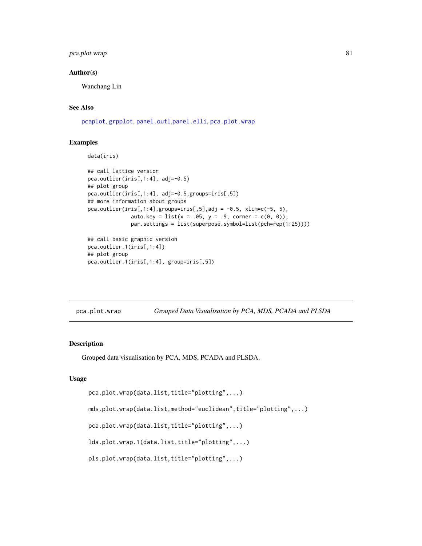## pca.plot.wrap 81

## Author(s)

Wanchang Lin

# See Also

[pcaplot](#page-85-0), [grpplot](#page-55-0), [panel.outl](#page-74-1),[panel.elli](#page-74-0), [pca.plot.wrap](#page-80-0)

# Examples

```
data(iris)
```

```
## call lattice version
pca.outlier(iris[,1:4], adj=-0.5)
## plot group
pca.outlier(iris[,1:4], adj=-0.5,groups=iris[,5])
## more information about groups
pca.outlier(iris[,1:4],groups=iris[,5],adj = -0.5, xlim=c(-5, 5),
              auto.key = list(x = .05, y = .9, corner = c(0, 0)),par.settings = list(superpose.symbol=list(pch=rep(1:25))))
## call basic graphic version
pca.outlier.1(iris[,1:4])
```

```
## plot group
pca.outlier.1(iris[,1:4], group=iris[,5])
```
<span id="page-80-0"></span>

| pca.plot.wrap |  |  | Grouped Data Visualisation by PCA, MDS, PCADA and PLSDA |
|---------------|--|--|---------------------------------------------------------|
|               |  |  |                                                         |

#### <span id="page-80-1"></span>Description

Grouped data visualisation by PCA, MDS, PCADA and PLSDA.

## Usage

```
pca.plot.wrap(data.list,title="plotting",...)
```
mds.plot.wrap(data.list,method="euclidean",title="plotting",...)

pca.plot.wrap(data.list,title="plotting",...)

lda.plot.wrap.1(data.list,title="plotting",...)

pls.plot.wrap(data.list,title="plotting",...)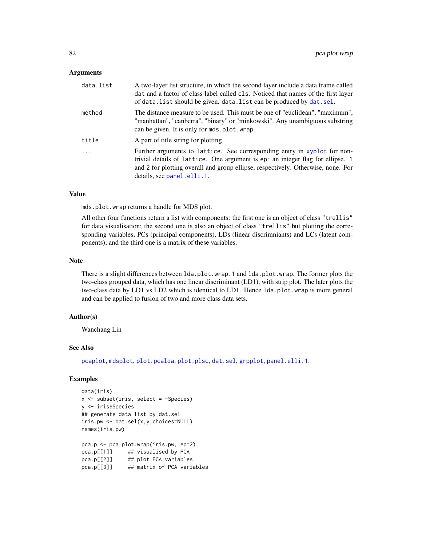### Arguments

| data.list | A two-layer list structure, in which the second layer include a data frame called<br>dat and a factor of class label called cls. Noticed that names of the first layer<br>of data. list should be given. data. list can be produced by dat. sel.                             |
|-----------|------------------------------------------------------------------------------------------------------------------------------------------------------------------------------------------------------------------------------------------------------------------------------|
| method    | The distance measure to be used. This must be one of "euclidean", "maximum",<br>"manhattan", "canberra", "binary" or "minkowski". Any unambiguous substring<br>can be given. It is only for mds. plot. wrap.                                                                 |
| title     | A part of title string for plotting.                                                                                                                                                                                                                                         |
| .         | Further arguments to lattice. See corresponding entry in xyplot for non-<br>trivial details of lattice. One argument is ep: an integer flag for ellipse. 1<br>and 2 for plotting overall and group ellipse, respectively. Otherwise, none. For<br>details, see panel.elli.1. |

## Value

mds.plot.wrap returns a handle for MDS plot.

All other four functions return a list with components: the first one is an object of class "trellis" for data visualisation; the second one is also an object of class "trellis" but plotting the corresponding variables, PCs (principal components), LDs (linear discrimniants) and LCs (latent components); and the third one is a matrix of these variables.

### Note

There is a slight differences between lda.plot.wrap.1 and lda.plot.wrap. The former plots the two-class grouped data, which has one linear discriminant (LD1), with strip plot. The later plots the two-class data by LD1 vs LD2 which is identical to LD1. Hence lda.plot.wrap is more general and can be applied to fusion of two and more class data sets.

### Author(s)

Wanchang Lin

#### See Also

[pcaplot](#page-85-0), [mdsplot](#page-64-0), [plot.pcalda](#page-89-0), [plot.plsc](#page-90-0), [dat.sel](#page-20-0), [grpplot](#page-55-0), [panel.elli.1](#page-74-0).

```
data(iris)
x <- subset(iris, select = -Species)
y <- iris$Species
## generate data list by dat.sel
iris.pw <- dat.sel(x,y,choices=NULL)
names(iris.pw)
pca.p <- pca.plot.wrap(iris.pw, ep=2)
pca.p[[1]] ## visualised by PCA
pca.p[[2]] ## plot PCA variables
```

```
pca.p[[3]] ## matrix of PCA variables
```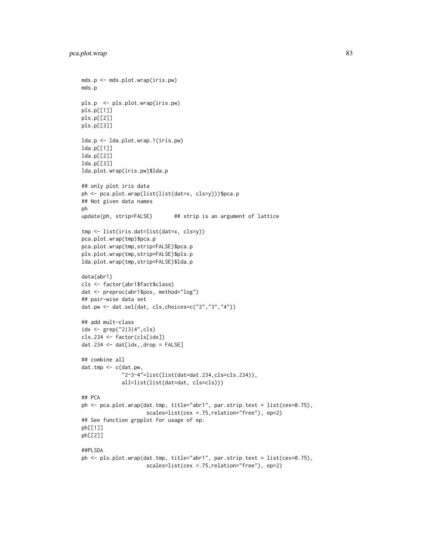```
mds.p <- mds.plot.wrap(iris.pw)
mds.p
pls.p <- pls.plot.wrap(iris.pw)
pls.p[[1]]
pls.p[[2]]
pls.p[[3]]
lda.p <- lda.plot.wrap.1(iris.pw)
lda.p[[1]]
lda.p[[2]]
lda.p[[3]]
lda.plot.wrap(iris.pw)$lda.p
## only plot iris data
ph <- pca.plot.wrap(list(list(dat=x, cls=y)))$pca.p
## Not given data names
ph
update(ph, strip=FALSE) ## strip is an argument of lattice
tmp <- list(iris.dat=list(dat=x, cls=y))
pca.plot.wrap(tmp)$pca.p
pca.plot.wrap(tmp,strip=FALSE)$pca.p
pls.plot.wrap(tmp,strip=FALSE)$pls.p
lda.plot.wrap(tmp,strip=FALSE)$lda.p
data(abr1)
cls <- factor(abr1$fact$class)
dat <- preproc(abr1$pos, method="log")
## pair-wise data set
dat.pw <- dat.sel(dat, cls,choices=c("2","3","4"))
## add mult-class
idx <- grep("2|3|4",cls)
cls.234 <- factor(cls[idx])
dat.234 \leq dat[idx,,drop = FALSE]
## combine all
dat.tmp <- c(dat.pw,
             "2~3~4"=list(list(dat=dat.234,cls=cls.234)),
             all=list(list(dat=dat, cls=cls)))
## PCA
ph <- pca.plot.wrap(dat.tmp, title="abr1", par.strip.text = list(cex=0.75),
                     scales=list(cex =.75,relation="free"), ep=2)
## See function grpplot for usage of ep.
ph[[1]]
ph[[2]]
##PLSDA
ph <- pls.plot.wrap(dat.tmp, title="abr1", par.strip.text = list(cex=0.75),
                     scales=list(cex =.75,relation="free"), ep=2)
```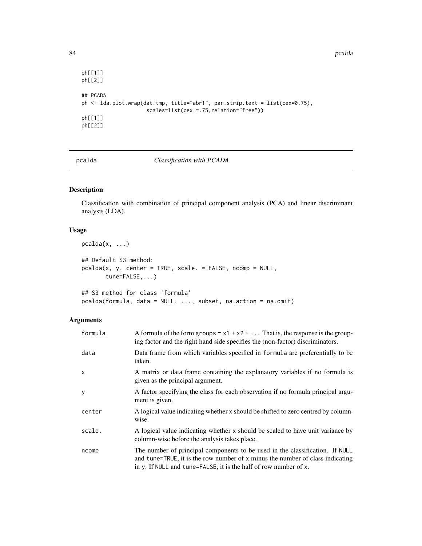84 pcalda

```
ph[[1]]
ph[[2]]
## PCADA
ph <- lda.plot.wrap(dat.tmp, title="abr1", par.strip.text = list(cex=0.75),
                     scales=list(cex =.75,relation="free"))
ph[[1]]
ph[[2]]
```
<span id="page-83-0"></span>

pcalda *Classification with PCADA*

## Description

Classification with combination of principal component analysis (PCA) and linear discriminant analysis (LDA).

### Usage

```
pcalda(x, \ldots)## Default S3 method:
pcalda(x, y, center = TRUE, scale. = FALSE, ncomp = NULL,
       tune=FALSE,...)
## S3 method for class 'formula'
pcalda(formula, data = NULL, ..., subset, na.action = na.omit)
```
## Arguments

| formula | A formula of the form groups $\sim x1 + x2 + $ That is, the response is the group-<br>ing factor and the right hand side specifies the (non-factor) discriminators.                                                               |
|---------|-----------------------------------------------------------------------------------------------------------------------------------------------------------------------------------------------------------------------------------|
| data    | Data frame from which variables specified in formula are preferentially to be<br>taken.                                                                                                                                           |
| x       | A matrix or data frame containing the explanatory variables if no formula is<br>given as the principal argument.                                                                                                                  |
| y       | A factor specifying the class for each observation if no formula principal argu-<br>ment is given.                                                                                                                                |
| center  | A logical value indicating whether x should be shifted to zero centred by column-<br>wise.                                                                                                                                        |
| scale.  | A logical value indicating whether x should be scaled to have unit variance by<br>column-wise before the analysis takes place.                                                                                                    |
| ncomp   | The number of principal components to be used in the classification. If NULL<br>and tune=TRUE, it is the row number of x minus the number of class indicating<br>in y. If NULL and tune=FALSE, it is the half of row number of x. |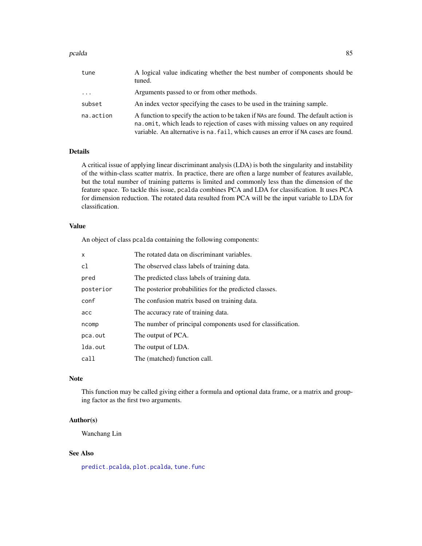#### pcalda and the set of the set of the set of the set of the set of the set of the set of the set of the set of the set of the set of the set of the set of the set of the set of the set of the set of the set of the set of th

| tune      | A logical value indicating whether the best number of components should be<br>tuned.                                                                                                                                                                          |
|-----------|---------------------------------------------------------------------------------------------------------------------------------------------------------------------------------------------------------------------------------------------------------------|
| $\cdots$  | Arguments passed to or from other methods.                                                                                                                                                                                                                    |
| subset    | An index vector specifying the cases to be used in the training sample.                                                                                                                                                                                       |
| na.action | A function to specify the action to be taken if NAs are found. The default action is<br>na. omit, which leads to rejection of cases with missing values on any required<br>variable. An alternative is na. fail, which causes an error if NA cases are found. |

# Details

A critical issue of applying linear discriminant analysis (LDA) is both the singularity and instability of the within-class scatter matrix. In practice, there are often a large number of features available, but the total number of training patterns is limited and commonly less than the dimension of the feature space. To tackle this issue, pcalda combines PCA and LDA for classification. It uses PCA for dimension reduction. The rotated data resulted from PCA will be the input variable to LDA for classification.

### Value

An object of class pcalda containing the following components:

| $\mathsf{x}$ | The rotated data on discriminant variables.                 |
|--------------|-------------------------------------------------------------|
| c1           | The observed class labels of training data.                 |
| pred         | The predicted class labels of training data.                |
| posterior    | The posterior probabilities for the predicted classes.      |
| conf         | The confusion matrix based on training data.                |
| acc          | The accuracy rate of training data.                         |
| ncomp        | The number of principal components used for classification. |
| pca.out      | The output of PCA.                                          |
| lda.out      | The output of LDA.                                          |
| call         | The (matched) function call.                                |

#### Note

This function may be called giving either a formula and optional data frame, or a matrix and grouping factor as the first two arguments.

## Author(s)

Wanchang Lin

### See Also

[predict.pcalda](#page-96-0), [plot.pcalda](#page-89-0), [tune.func](#page-105-0)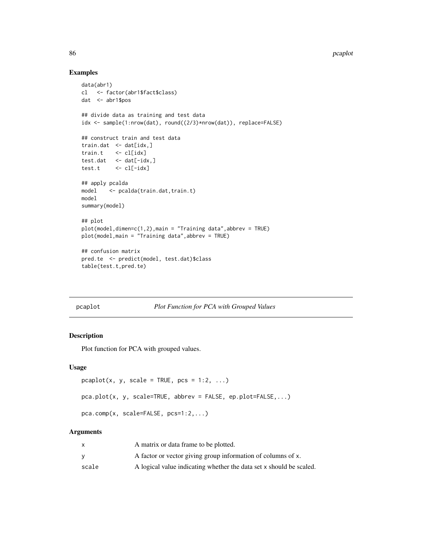## Examples

```
data(abr1)
cl <- factor(abr1$fact$class)
dat <- abr1$pos
## divide data as training and test data
idx <- sample(1:nrow(dat), round((2/3)*nrow(dat)), replace=FALSE)
## construct train and test data
train.dat \leq dat[idx,]
train.t <- cl[idx]
test.dat <- dat[-idx,]
test.t <- cl[-idx]
## apply pcalda
model <- pcalda(train.dat,train.t)
model
summary(model)
## plot
plot(model,dimen=c(1,2),main = "Training data",abbrev = TRUE)
plot(model,main = "Training data",abbrev = TRUE)
## confusion matrix
pred.te <- predict(model, test.dat)$class
table(test.t,pred.te)
```
<span id="page-85-0"></span>pcaplot *Plot Function for PCA with Grouped Values*

### <span id="page-85-1"></span>Description

Plot function for PCA with grouped values.

### Usage

```
pcaplot(x, y, scale = TRUE, pcs = 1:2, ...)
pca.plot(x, y, scale=TRUE, abbrev = FALSE, ep.plot=FALSE,...)
pca.comp(x, scale=FALSE, pcs=1:2,...)
```
## Arguments

|       | A matrix or data frame to be plotted.                               |
|-------|---------------------------------------------------------------------|
|       | A factor or vector giving group information of columns of x.        |
| scale | A logical value indicating whether the data set x should be scaled. |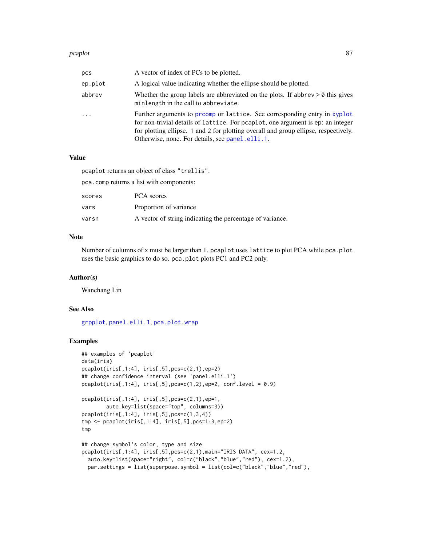#### pcaplot 87

| pcs      | A vector of index of PCs to be plotted.                                                                                                                                                                                                                                                               |
|----------|-------------------------------------------------------------------------------------------------------------------------------------------------------------------------------------------------------------------------------------------------------------------------------------------------------|
| ep.plot  | A logical value indicating whether the ellipse should be plotted.                                                                                                                                                                                                                                     |
| abbrev   | Whether the group labels are abbreviated on the plots. If abbrev $> 0$ this gives<br>minlength in the call to abbreviate.                                                                                                                                                                             |
| $\cdots$ | Further arguments to promp or lattice. See corresponding entry in xyplot<br>for non-trivial details of lattice. For peaplot, one argument is ep: an integer<br>for plotting ellipse. 1 and 2 for plotting overall and group ellipse, respectively.<br>Otherwise, none. For details, see panel.elli.1. |

## Value

pcaplot returns an object of class "trellis".

pca.comp returns a list with components:

| scores | <b>PCA</b> scores                                         |
|--------|-----------------------------------------------------------|
| vars   | Proportion of variance                                    |
| varsn  | A vector of string indicating the percentage of variance. |

## Note

Number of columns of x must be larger than 1. pcaplot uses lattice to plot PCA while pca.plot uses the basic graphics to do so. pca.plot plots PC1 and PC2 only.

### Author(s)

Wanchang Lin

## See Also

[grpplot](#page-55-0), [panel.elli.1](#page-74-0), [pca.plot.wrap](#page-80-0)

```
## examples of 'pcaplot'
data(iris)
pcaplot(iris[,1:4], iris[,5],pcs=c(2,1),ep=2)
## change confidence interval (see 'panel.elli.1')
pcaplot(iris[, 1:4], iris[, 5], pcs=c(1,2), ep=2, conf.level = 0.9)pcaplot(iris[,1:4], iris[,5],pcs=c(2,1),ep=1,
       auto.key=list(space="top", columns=3))
pcaplot(iris[,1:4], iris[,5], pcs=c(1,3,4))tmp <- pcaplot(iris[,1:4], iris[,5],pcs=1:3,ep=2)
tmp
## change symbol's color, type and size
pcaplot(iris[,1:4], iris[,5],pcs=c(2,1),main="IRIS DATA", cex=1.2,
  auto.key=list(space="right", col=c("black","blue","red"), cex=1.2),
  par.settings = list(superpose.symbol = list(col=c("black","blue","red"),
```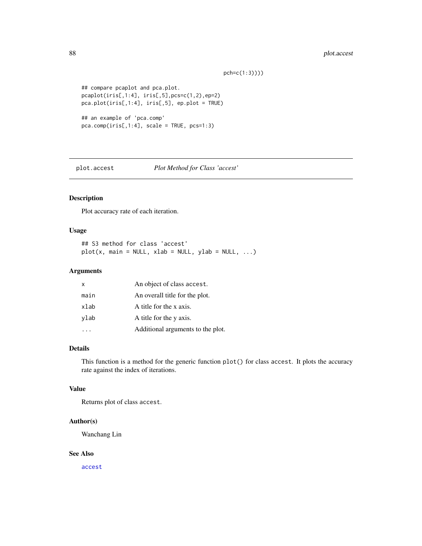## 88 plot.accest

pch=c(1:3))))

```
## compare pcaplot and pca.plot.
pcaplot(iris[,1:4], iris[,5],pcs=c(1,2),ep=2)
pca.plot(iris[,1:4], iris[,5], ep.plot = TRUE)
## an example of 'pca.comp'
pca.comp(iris[,1:4], scale = TRUE, pcs=1:3)
```
plot.accest *Plot Method for Class 'accest'*

## Description

Plot accuracy rate of each iteration.

### Usage

```
## S3 method for class 'accest'
plot(x, main = NULL, xlab = NULL, ylab = NULL, ...)
```
#### Arguments

| x    | An object of class accest.        |
|------|-----------------------------------|
| main | An overall title for the plot.    |
| xlab | A title for the x axis.           |
| vlab | A title for the y axis.           |
|      | Additional arguments to the plot. |

## Details

This function is a method for the generic function plot() for class accest. It plots the accuracy rate against the index of iterations.

### Value

Returns plot of class accest.

### Author(s)

Wanchang Lin

## See Also

[accest](#page-3-0)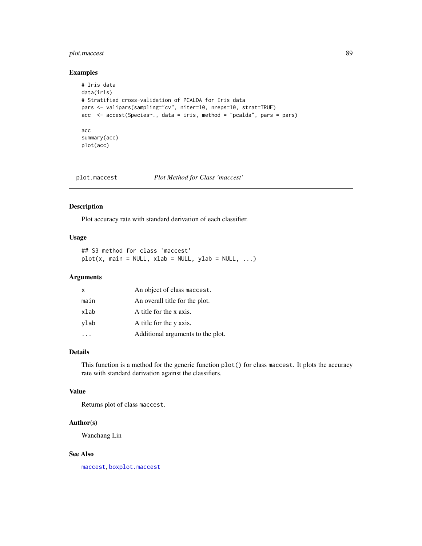## plot.maccest 89

## Examples

```
# Iris data
data(iris)
# Stratified cross-validation of PCALDA for Iris data
pars <- valipars(sampling="cv", niter=10, nreps=10, strat=TRUE)
acc <- accest(Species~., data = iris, method = "pcalda", pars = pars)
acc
summary(acc)
plot(acc)
```
plot.maccest *Plot Method for Class 'maccest'*

## Description

Plot accuracy rate with standard derivation of each classifier.

### Usage

## S3 method for class 'maccest'  $plot(x, main = NULL, xlab = NULL, ylab = NULL, ...)$ 

## Arguments

| X    | An object of class maccest.       |
|------|-----------------------------------|
| main | An overall title for the plot.    |
| xlab | A title for the x axis.           |
| ylab | A title for the y axis.           |
|      | Additional arguments to the plot. |

### Details

This function is a method for the generic function plot() for class maccest. It plots the accuracy rate with standard derivation against the classifiers.

## Value

Returns plot of class maccest.

### Author(s)

Wanchang Lin

## See Also

[maccest](#page-57-0), [boxplot.maccest](#page-10-0)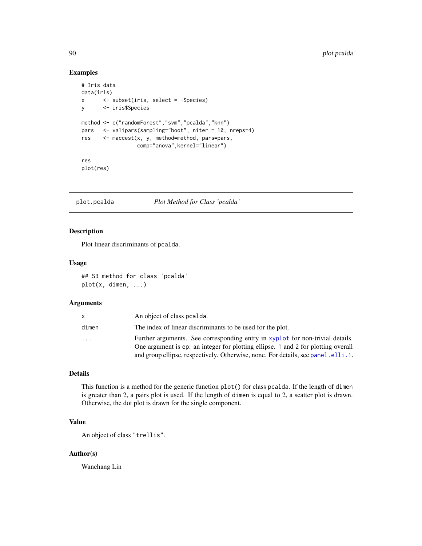# Examples

```
# Iris data
data(iris)
x <- subset(iris, select = -Species)
y <- iris$Species
method <- c("randomForest","svm","pcalda","knn")
pars <- valipars(sampling="boot", niter = 10, nreps=4)
res <- maccest(x, y, method=method, pars=pars,
                 comp="anova",kernel="linear")
res
plot(res)
```
<span id="page-89-0"></span>plot.pcalda *Plot Method for Class 'pcalda'*

## Description

Plot linear discriminants of pcalda.

#### Usage

## S3 method for class 'pcalda' plot(x, dimen, ...)

## Arguments

| x.    | An object of class pealda.                                                                                                                                                                                                                               |
|-------|----------------------------------------------------------------------------------------------------------------------------------------------------------------------------------------------------------------------------------------------------------|
| dimen | The index of linear discriminants to be used for the plot.                                                                                                                                                                                               |
| .     | Further arguments. See corresponding entry in xyplot for non-trivial details.<br>One argument is ep: an integer for plotting ellipse. 1 and 2 for plotting overall<br>and group ellipse, respectively. Otherwise, none. For details, see panel. elli. 1. |

## Details

This function is a method for the generic function plot() for class pcalda. If the length of dimen is greater than 2, a pairs plot is used. If the length of dimen is equal to 2, a scatter plot is drawn. Otherwise, the dot plot is drawn for the single component.

# Value

An object of class "trellis".

## Author(s)

Wanchang Lin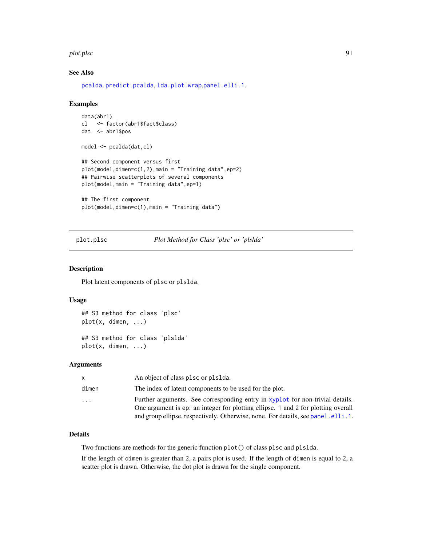#### plot.plsc 91

## See Also

[pcalda](#page-83-0), [predict.pcalda](#page-96-0), [lda.plot.wrap](#page-80-1),[panel.elli.1](#page-74-0).

#### Examples

```
data(abr1)
cl <- factor(abr1$fact$class)
dat <- abr1$pos
model <- pcalda(dat,cl)
## Second component versus first
plot(model, dimen=c(1,2),main = "Training data", ep=2)## Pairwise scatterplots of several components
plot(model,main = "Training data",ep=1)
## The first component
plot(model,dimen=c(1),main = "Training data")
```
<span id="page-90-0"></span>plot.plsc *Plot Method for Class 'plsc' or 'plslda'*

### <span id="page-90-1"></span>Description

Plot latent components of plsc or plslda.

#### Usage

```
## S3 method for class 'plsc'
plot(x, dimen, ...)
```
## S3 method for class 'plslda' plot(x, dimen, ...)

## Arguments

| x.        | An object of class plsc or plslda.                                                                                                                                                                                                                       |
|-----------|----------------------------------------------------------------------------------------------------------------------------------------------------------------------------------------------------------------------------------------------------------|
| dimen     | The index of latent components to be used for the plot.                                                                                                                                                                                                  |
| $\ddotsc$ | Further arguments. See corresponding entry in xyplot for non-trivial details.<br>One argument is ep: an integer for plotting ellipse. 1 and 2 for plotting overall<br>and group ellipse, respectively. Otherwise, none. For details, see panel. elli. 1. |

### Details

Two functions are methods for the generic function plot() of class plsc and plslda.

If the length of dimen is greater than 2, a pairs plot is used. If the length of dimen is equal to 2, a scatter plot is drawn. Otherwise, the dot plot is drawn for the single component.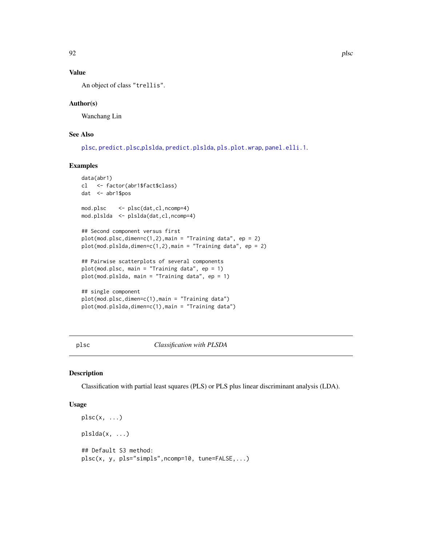# Value

An object of class "trellis".

### Author(s)

Wanchang Lin

## See Also

[plsc](#page-91-0), [predict.plsc](#page-97-0),[plslda](#page-91-1), [predict.plslda](#page-97-1), [pls.plot.wrap](#page-80-1), [panel.elli.1](#page-74-0).

### Examples

```
data(abr1)
cl <- factor(abr1$fact$class)
dat <- abr1$pos
mod.plsc <- plsc(dat,cl,ncomp=4)
mod.plslda <- plslda(dat,cl,ncomp=4)
## Second component versus first
plot(mod. p lsc, dimen=c(1,2), main = "Training data", ep = 2)plot(mod.plslda,dimen=c(1,2),main = "Training data", ep = 2)
## Pairwise scatterplots of several components
plot(mod.plsc, main = "Training data", ep = 1)
plot(mod.plslda, main = "Training data", ep = 1)
## single component
plot(mod.plsc,dimen=c(1),main = "Training data")
plot(mod.plslda,dimen=c(1),main = "Training data")
```
<span id="page-91-0"></span>plsc *Classification with PLSDA*

#### <span id="page-91-1"></span>Description

Classification with partial least squares (PLS) or PLS plus linear discriminant analysis (LDA).

### Usage

```
plsc(x, \ldots)plslda(x, ...)
## Default S3 method:
plsc(x, y, pls="simpls",ncomp=10, tune=FALSE,...)
```
92 plsc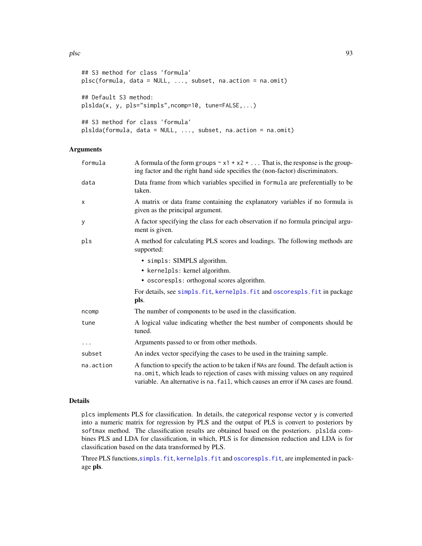```
## S3 method for class 'formula'
plsc(formula, data = NULL, ..., subset, na.action = na.omit)
## Default S3 method:
plslda(x, y, pls="simpls",ncomp=10, tune=FALSE,...)
## S3 method for class 'formula'
plslda(formula, data = NULL, ..., subset, na.action = na.omit)
```
### Arguments

| formula   | A formula of the form groups $\sim x1 + x2 + $ That is, the response is the group-<br>ing factor and the right hand side specifies the (non-factor) discriminators.                                                                                           |
|-----------|---------------------------------------------------------------------------------------------------------------------------------------------------------------------------------------------------------------------------------------------------------------|
| data      | Data frame from which variables specified in formula are preferentially to be<br>taken.                                                                                                                                                                       |
| X         | A matrix or data frame containing the explanatory variables if no formula is<br>given as the principal argument.                                                                                                                                              |
| y         | A factor specifying the class for each observation if no formula principal argu-<br>ment is given.                                                                                                                                                            |
| pls       | A method for calculating PLS scores and loadings. The following methods are<br>supported:                                                                                                                                                                     |
|           | • simpls: SIMPLS algorithm.                                                                                                                                                                                                                                   |
|           | • kernelpls: kernel algorithm.                                                                                                                                                                                                                                |
|           | • oscorespls: orthogonal scores algorithm.                                                                                                                                                                                                                    |
|           | For details, see simpls. fit, kernelpls. fit and oscorespls. fit in package<br>pls.                                                                                                                                                                           |
| ncomp     | The number of components to be used in the classification.                                                                                                                                                                                                    |
| tune      | A logical value indicating whether the best number of components should be<br>tuned.                                                                                                                                                                          |
| $\cdots$  | Arguments passed to or from other methods.                                                                                                                                                                                                                    |
| subset    | An index vector specifying the cases to be used in the training sample.                                                                                                                                                                                       |
| na.action | A function to specify the action to be taken if NAs are found. The default action is<br>na. omit, which leads to rejection of cases with missing values on any required<br>variable. An alternative is na. fail, which causes an error if NA cases are found. |

#### Details

plcs implements PLS for classification. In details, the categorical response vector y is converted into a numeric matrix for regression by PLS and the output of PLS is convert to posteriors by softmax method. The classification results are obtained based on the posteriors. plslda combines PLS and LDA for classification, in which, PLS is for dimension reduction and LDA is for classification based on the data transformed by PLS.

Three PLS functions, [simpls.fit](#page-0-0), [kernelpls.fit](#page-0-0) and [oscorespls.fit](#page-0-0), are implemented in package pls.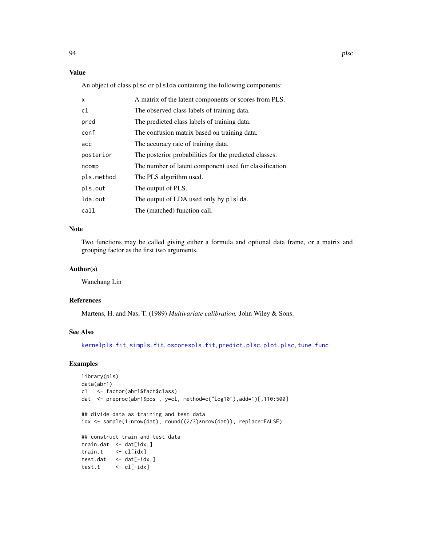## Value

An object of class plsc or plslda containing the following components:

| $\mathsf{x}$ | A matrix of the latent components or scores from PLS.   |
|--------------|---------------------------------------------------------|
| c1           | The observed class labels of training data.             |
| pred         | The predicted class labels of training data.            |
| conf         | The confusion matrix based on training data.            |
| acc          | The accuracy rate of training data.                     |
| posterior    | The posterior probabilities for the predicted classes.  |
| ncomp        | The number of latent component used for classification. |
| pls.method   | The PLS algorithm used.                                 |
| pls.out      | The output of PLS.                                      |
| lda.out      | The output of LDA used only by plslda.                  |
| call         | The (matched) function call.                            |

### Note

Two functions may be called giving either a formula and optional data frame, or a matrix and grouping factor as the first two arguments.

## Author(s)

Wanchang Lin

## References

Martens, H. and Nas, T. (1989) *Multivariate calibration.* John Wiley & Sons.

### See Also

[kernelpls.fit](#page-0-0), [simpls.fit](#page-0-0), [oscorespls.fit](#page-0-0), [predict.plsc](#page-97-0), [plot.plsc](#page-90-0), [tune.func](#page-105-0)

```
library(pls)
data(abr1)
cl <- factor(abr1$fact$class)
dat <- preproc(abr1$pos , y=cl, method=c("log10"),add=1)[,110:500]
## divide data as training and test data
idx <- sample(1:nrow(dat), round((2/3)*nrow(dat)), replace=FALSE)
## construct train and test data
train.dat <- dat[idx,]
train.t <- cl[idx]
test.dat <- dat[-idx,]
test.t <- cl[-idx]
```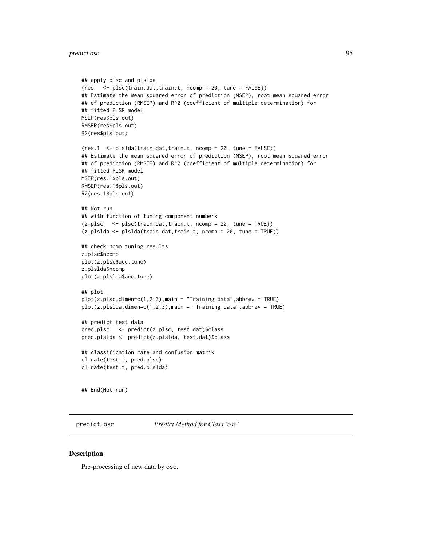#### predict.osc 95

```
## apply plsc and plslda
(res <- plsc(train.dat,train.t, ncomp = 20, tune = FALSE))
## Estimate the mean squared error of prediction (MSEP), root mean squared error
## of prediction (RMSEP) and R^2 (coefficient of multiple determination) for
## fitted PLSR model
MSEP(res$pls.out)
RMSEP(res$pls.out)
R2(res$pls.out)
(res.1 <- plslda(train.dat,train.t, ncomp = 20, tune = FALSE))
## Estimate the mean squared error of prediction (MSEP), root mean squared error
## of prediction (RMSEP) and R^2 (coefficient of multiple determination) for
## fitted PLSR model
MSEP(res.1$pls.out)
RMSEP(res.1$pls.out)
R2(res.1$pls.out)
## Not run:
## with function of tuning component numbers
(z.plsc <- plsc(train.dat,train.t, ncomp = 20, tune = TRUE))
(z.plslda <- plslda(train.dat,train.t, ncomp = 20, tune = TRUE))
## check nomp tuning results
z.plsc$ncomp
plot(z.plsc$acc.tune)
z.plslda$ncomp
plot(z.plslda$acc.tune)
## plot
plot(z.plsc,dimen=c(1,2,3),main = "Training data",abbrev = TRUE)
plot(z.plslda,dimen=c(1,2,3),main = "Training data",abbrev = TRUE)
## predict test data
pred.plsc <- predict(z.plsc, test.dat)$class
pred.plslda <- predict(z.plslda, test.dat)$class
## classification rate and confusion matrix
cl.rate(test.t, pred.plsc)
cl.rate(test.t, pred.plslda)
```
## End(Not run)

<span id="page-94-0"></span>predict.osc *Predict Method for Class 'osc'*

### **Description**

Pre-processing of new data by osc.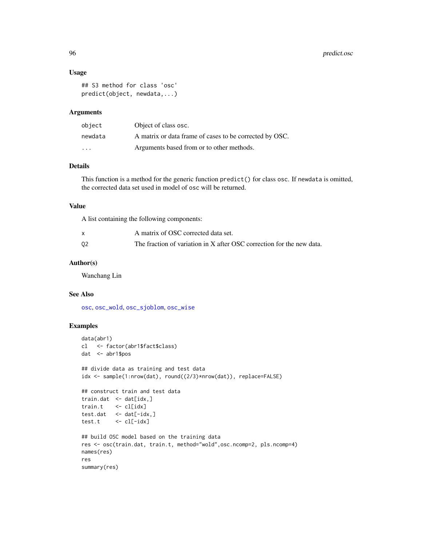### Usage

```
## S3 method for class 'osc'
predict(object, newdata,...)
```
### Arguments

| object                  | Object of class osc.                                    |
|-------------------------|---------------------------------------------------------|
| newdata                 | A matrix or data frame of cases to be corrected by OSC. |
| $\cdot$ $\cdot$ $\cdot$ | Arguments based from or to other methods.               |

## Details

This function is a method for the generic function predict() for class osc. If newdata is omitted, the corrected data set used in model of osc will be returned.

### Value

A list containing the following components:

|    | A matrix of OSC corrected data set.                                   |
|----|-----------------------------------------------------------------------|
| 02 | The fraction of variation in X after OSC correction for the new data. |

## Author(s)

Wanchang Lin

### See Also

[osc](#page-67-0), [osc\\_wold](#page-73-0), [osc\\_sjoblom](#page-69-0), [osc\\_wise](#page-71-0)

```
data(abr1)
cl <- factor(abr1$fact$class)
dat <- abr1$pos
## divide data as training and test data
idx <- sample(1:nrow(dat), round((2/3)*nrow(dat)), replace=FALSE)
## construct train and test data
train.dat <- dat[idx,]
train.t <- cl[idx]
test.dat <- dat[-idx,]
test.t <- cl[-idx]
## build OSC model based on the training data
res <- osc(train.dat, train.t, method="wold",osc.ncomp=2, pls.ncomp=4)
names(res)
res
summary(res)
```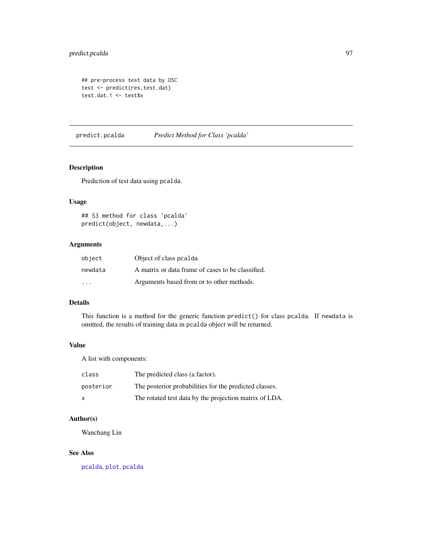## predict.pcalda 97

```
## pre-process test data by OSC
test <- predict(res,test.dat)
test.dat.1 <- test$x
```
<span id="page-96-0"></span>predict.pcalda *Predict Method for Class 'pcalda'*

## Description

Prediction of test data using pcalda.

## Usage

## S3 method for class 'pcalda' predict(object, newdata,...)

# Arguments

| object  | Object of class pealda.                           |
|---------|---------------------------------------------------|
| newdata | A matrix or data frame of cases to be classified. |
| .       | Arguments based from or to other methods.         |

#### Details

This function is a method for the generic function predict() for class pcalda. If newdata is omitted, the results of training data in pcalda object will be returned.

# Value

A list with components:

| class     | The predicted class (a factor).                        |
|-----------|--------------------------------------------------------|
| posterior | The posterior probabilities for the predicted classes. |
| X         | The rotated test data by the projection matrix of LDA. |

## Author(s)

Wanchang Lin

#### See Also

[pcalda](#page-83-0), [plot.pcalda](#page-89-0)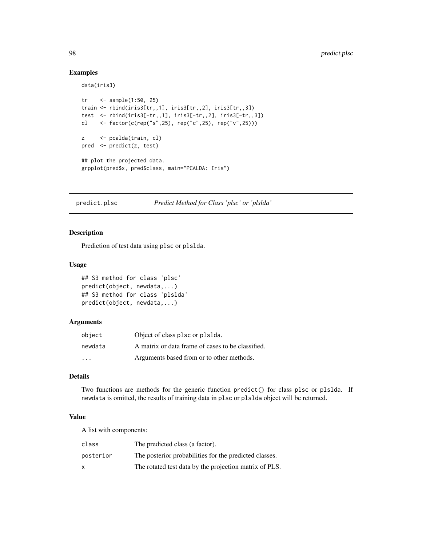### Examples

data(iris3)

```
tr <- sample(1:50, 25)
train <- rbind(iris3[tr,,1], iris3[tr,,2], iris3[tr,,3])
test <- rbind(iris3[-tr,,1], iris3[-tr,,2], iris3[-tr,,3])
cl <- factor(c(rep("s",25), rep("c",25), rep("v",25)))
z <- pcalda(train, cl)
pred <- predict(z, test)
## plot the projected data.
grpplot(pred$x, pred$class, main="PCALDA: Iris")
```
<span id="page-97-0"></span>predict.plsc *Predict Method for Class 'plsc' or 'plslda'*

#### <span id="page-97-1"></span>Description

Prediction of test data using plsc or plslda.

## Usage

```
## S3 method for class 'plsc'
predict(object, newdata,...)
## S3 method for class 'plslda'
predict(object, newdata,...)
```
#### Arguments

| object                  | Object of class plsc or plslda.                   |
|-------------------------|---------------------------------------------------|
| newdata                 | A matrix or data frame of cases to be classified. |
| $\cdot$ $\cdot$ $\cdot$ | Arguments based from or to other methods.         |

### Details

Two functions are methods for the generic function predict() for class plsc or plslda. If newdata is omitted, the results of training data in plsc or plslda object will be returned.

## Value

A list with components:

| class     | The predicted class (a factor).                        |
|-----------|--------------------------------------------------------|
| posterior | The posterior probabilities for the predicted classes. |
| x         | The rotated test data by the projection matrix of PLS. |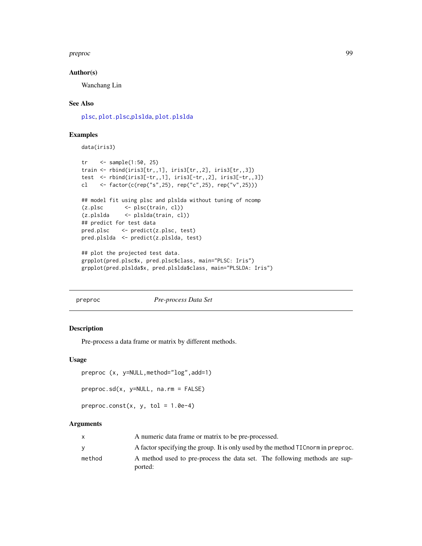preproc that the set of the set of the set of the set of the set of the set of the set of the set of the set of the set of the set of the set of the set of the set of the set of the set of the set of the set of the set of

### Author(s)

Wanchang Lin

### See Also

[plsc](#page-91-0), [plot.plsc](#page-90-0),[plslda](#page-91-1), [plot.plslda](#page-90-1)

### Examples

data(iris3)

```
tr <- sample(1:50, 25)
train <- rbind(iris3[tr,,1], iris3[tr,,2], iris3[tr,,3])
test <- rbind(iris3[-tr,,1], iris3[-tr,,2], iris3[-tr,,3])
cl <- factor(c(rep("s",25), rep("c",25), rep("v",25)))
## model fit using plsc and plslda without tuning of ncomp
(z.plsc <- plsc(train, cl))
(z.plslda <- plslda(train, cl))
## predict for test data
pred.plsc <- predict(z.plsc, test)
pred.plslda <- predict(z.plslda, test)
## plot the projected test data.
grpplot(pred.plsc$x, pred.plsc$class, main="PLSC: Iris")
grpplot(pred.plslda$x, pred.plslda$class, main="PLSLDA: Iris")
```
#### preproc *Pre-process Data Set*

#### Description

Pre-process a data frame or matrix by different methods.

### Usage

```
preproc (x, y=NULL,method="log",add=1)
```

```
preproc.sd(x, y=NULL, na.rm = FALSE)
```

```
preproc.const(x, y, tol = 1.0e-4)
```
## Arguments

|        | A numeric data frame or matrix to be pre-processed.                               |
|--------|-----------------------------------------------------------------------------------|
|        | A factor specifying the group. It is only used by the method TIC norm in preproc. |
| method | A method used to pre-process the data set. The following methods are sup-         |
|        | ported:                                                                           |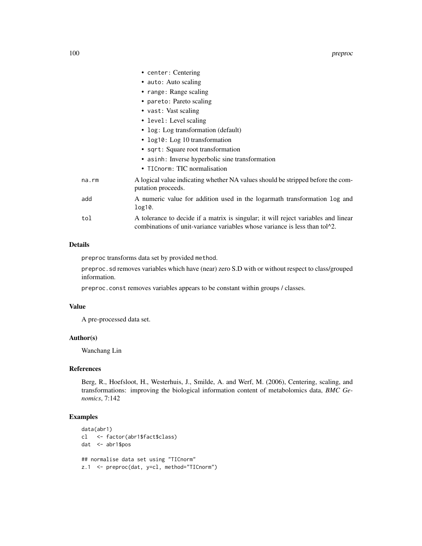|       | • center: Centering                                                                                                                                                           |
|-------|-------------------------------------------------------------------------------------------------------------------------------------------------------------------------------|
|       | • auto: Auto scaling                                                                                                                                                          |
|       | • range: Range scaling                                                                                                                                                        |
|       | • pareto: Pareto scaling                                                                                                                                                      |
|       | • vast: Vast scaling                                                                                                                                                          |
|       | • level: Level scaling                                                                                                                                                        |
|       | • log: Log transformation (default)                                                                                                                                           |
|       | • log10: Log 10 transformation                                                                                                                                                |
|       | • sqrt: Square root transformation                                                                                                                                            |
|       | • as inh: Inverse hyperbolic sine transformation                                                                                                                              |
|       | • TICnorm: TIC normalisation                                                                                                                                                  |
| na.rm | A logical value indicating whether NA values should be stripped before the com-<br>putation proceeds.                                                                         |
| add   | A numeric value for addition used in the logarmath transformation log and<br>$log10$ .                                                                                        |
| tol   | A tolerance to decide if a matrix is singular; it will reject variables and linear<br>combinations of unit-variance variables whose variance is less than tol <sup>1</sup> 2. |

## Details

preproc transforms data set by provided method.

preproc.sd removes variables which have (near) zero S.D with or without respect to class/grouped information.

preproc.const removes variables appears to be constant within groups / classes.

### Value

A pre-processed data set.

#### Author(s)

Wanchang Lin

### References

Berg, R., Hoefsloot, H., Westerhuis, J., Smilde, A. and Werf, M. (2006), Centering, scaling, and transformations: improving the biological information content of metabolomics data, *BMC Genomics*, 7:142

```
data(abr1)
cl <- factor(abr1$fact$class)
dat <- abr1$pos
## normalise data set using "TICnorm"
z.1 <- preproc(dat, y=cl, method="TICnorm")
```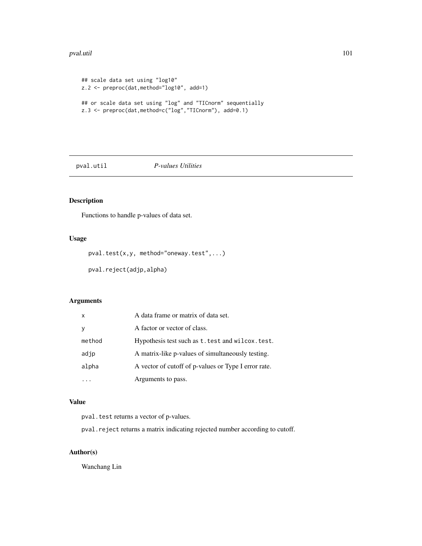#### pval.util 101

```
## scale data set using "log10"
z.2 <- preproc(dat,method="log10", add=1)
## or scale data set using "log" and "TICnorm" sequentially
z.3 <- preproc(dat,method=c("log","TICnorm"), add=0.1)
```
### pval.util *P-values Utilities*

# Description

Functions to handle p-values of data set.

### Usage

pval.test(x,y, method="oneway.test",...)

pval.reject(adjp,alpha)

# Arguments

| $\mathsf{x}$ | A data frame or matrix of data set.                  |
|--------------|------------------------------------------------------|
| <b>V</b>     | A factor or vector of class.                         |
| method       | Hypothesis test such as t. test and wilcox. test.    |
| adjp         | A matrix-like p-values of simultaneously testing.    |
| alpha        | A vector of cutoff of p-values or Type I error rate. |
|              | Arguments to pass.                                   |

# Value

pval.test returns a vector of p-values.

pval.reject returns a matrix indicating rejected number according to cutoff.

# Author(s)

Wanchang Lin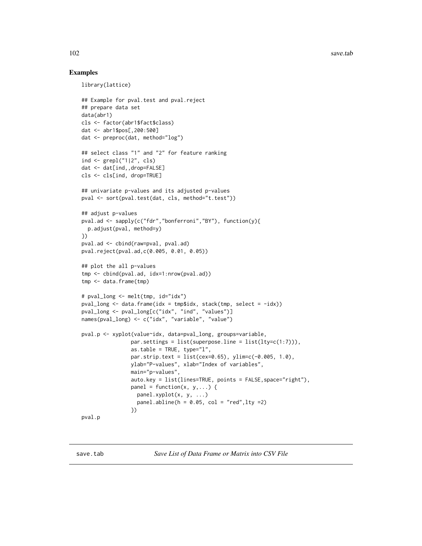### Examples

```
library(lattice)
```

```
## Example for pval.test and pval.reject
## prepare data set
data(abr1)
cls <- factor(abr1$fact$class)
dat <- abr1$pos[,200:500]
dat <- preproc(dat, method="log")
## select class "1" and "2" for feature ranking
ind <- grepl("1|2", cls)
dat <- dat[ind,,drop=FALSE]
cls <- cls[ind, drop=TRUE]
## univariate p-values and its adjusted p-values
pval <- sort(pval.test(dat, cls, method="t.test"))
## adjust p-values
pval.ad <- sapply(c("fdr","bonferroni","BY"), function(y){
  p.adjust(pval, method=y)
})
pval.ad <- cbind(raw=pval, pval.ad)
pval.reject(pval.ad,c(0.005, 0.01, 0.05))
## plot the all p-values
tmp <- cbind(pval.ad, idx=1:nrow(pval.ad))
tmp <- data.frame(tmp)
# pval_long <- melt(tmp, id="idx")
pval_long <- data.frame(idx = tmp$idx, stack(tmp, select = -idx))
pval_long <- pval_long[c("idx", "ind", "values")]
names(pval_long) <- c("idx", "variable", "value")
pval.p <- xyplot(value~idx, data=pval_long, groups=variable,
                par.settings = list(superpose.line = list(lty=c(1:7))),
                as.table = TRUE, type="1",
                par.strip.text = list(cex=0.65), ylim=c(-0.005, 1.0),
                ylab="P-values", xlab="Index of variables",
                main="p-values",
                auto.key = list(lines=TRUE, points = FALSE, space="right"),
                panel = function(x, y,...) {
                  panel.xyplot(x, y, ...)
                  panel.abline(h = 0.05, col = "red", lty =2)
                })
pval.p
```
save.tab *Save List of Data Frame or Matrix into CSV File*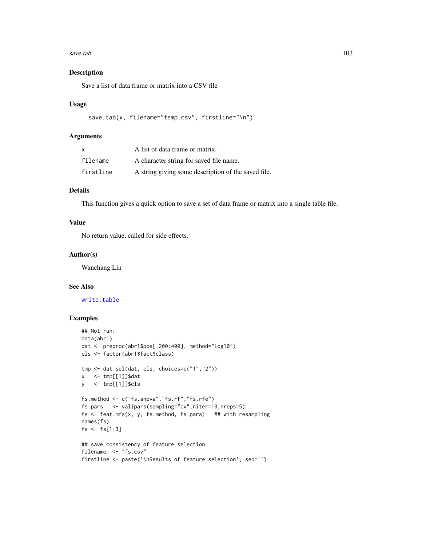#### save.tab 103

## Description

Save a list of data frame or matrix into a CSV file

### Usage

```
save.tab(x, filename="temp.csv", firstline="\n")
```
### Arguments

| X         | A list of data frame or matrix.                     |
|-----------|-----------------------------------------------------|
| filename  | A character string for saved file name.             |
| firstline | A string giving some description of the saved file. |

## Details

This function gives a quick option to save a set of data frame or matrix into a single table file.

### Value

No return value, called for side effects.

### Author(s)

Wanchang Lin

## See Also

[write.table](#page-0-0)

```
## Not run:
data(abr1)
dat <- preproc(abr1$pos[,200:400], method="log10")
cls <- factor(abr1$fact$class)
tmp <- dat.sel(dat, cls, choices=c("1","2"))
x \leq -\text{tmp}[[1]]$dat
y <- tmp[[1]]$cls
fs.method <- c("fs.anova","fs.rf","fs.rfe")
fs.pars <- valipars(sampling="cv",niter=10,nreps=5)
fs \le feat.mfs(x, y, fs.method, fs.pars) ## with resampling
names(fs)
fs < -fs[1:3]## save consistency of feature selection
filename <- "fs.csv"
firstline <- paste('\nResults of feature selection', sep='')
```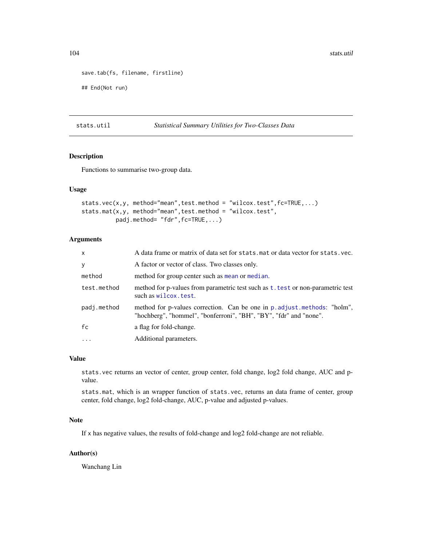```
save.tab(fs, filename, firstline)
## End(Not run)
```
## stats.util *Statistical Summary Utilities for Two-Classes Data*

## Description

Functions to summarise two-group data.

## Usage

```
stats.vec(x,y, method="mean",test.method = "wilcox.test",fc=TRUE,...)
stats.mat(x,y, method="mean",test.method = "wilcox.test",
         padj.method= "fdr",fc=TRUE,...)
```
# Arguments

| $\mathsf{x}$ | A data frame or matrix of data set for stats mat or data vector for stats vec.                                                                 |
|--------------|------------------------------------------------------------------------------------------------------------------------------------------------|
| y            | A factor or vector of class. Two classes only.                                                                                                 |
| method       | method for group center such as mean or median.                                                                                                |
| test.method  | method for p-values from parametric test such as t. test or non-parametric test<br>such as wilcox. test.                                       |
| padj.method  | method for p-values correction. Can be one in p. adjust. methods: "holm",<br>"hochberg", "hommel", "bonferroni", "BH", "BY", "fdr" and "none". |
| fc           | a flag for fold-change.                                                                                                                        |
| $\cdots$     | Additional parameters.                                                                                                                         |

#### Value

stats.vec returns an vector of center, group center, fold change, log2 fold change, AUC and pvalue.

stats.mat, which is an wrapper function of stats.vec, returns an data frame of center, group center, fold change, log2 fold-change, AUC, p-value and adjusted p-values.

### Note

If x has negative values, the results of fold-change and log2 fold-change are not reliable.

### Author(s)

Wanchang Lin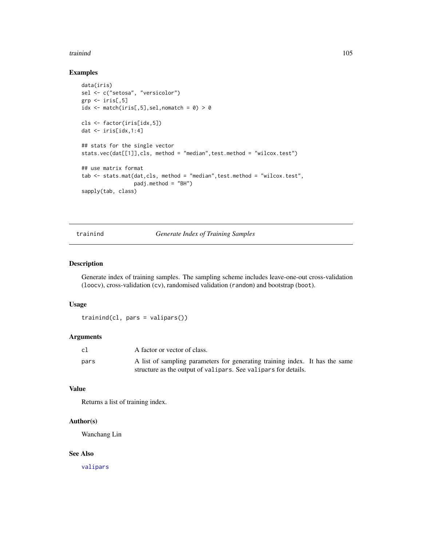#### trainind the contract of the contract of the contract of the contract of the contract of the contract of the contract of the contract of the contract of the contract of the contract of the contract of the contract of the c

## Examples

```
data(iris)
sel <- c("setosa", "versicolor")
grp \leftarrow iris[,5]
idx \leq match(iris[,5],sel,nomatch = 0) > 0
cls <- factor(iris[idx,5])
dat <- iris[idx,1:4]
## stats for the single vector
stats.vec(dat[[1]],cls, method = "median",test.method = "wilcox.test")
## use matrix format
tab <- stats.mat(dat,cls, method = "median",test.method = "wilcox.test",
                 padj.method = "BH")
sapply(tab, class)
```
trainind *Generate Index of Training Samples*

### Description

Generate index of training samples. The sampling scheme includes leave-one-out cross-validation (loocv), cross-validation (cv), randomised validation (random) and bootstrap (boot).

#### Usage

```
trainind(cl, pars = valipars())
```
# Arguments

| cl   | A factor or vector of class.                                                 |  |
|------|------------------------------------------------------------------------------|--|
| pars | A list of sampling parameters for generating training index. It has the same |  |
|      | structure as the output of valipars. See valipars for details.               |  |

## Value

Returns a list of training index.

## Author(s)

Wanchang Lin

# See Also

[valipars](#page-107-0)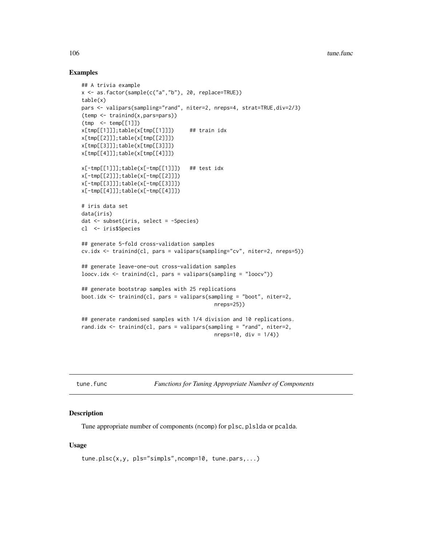### Examples

```
## A trivia example
x <- as.factor(sample(c("a","b"), 20, replace=TRUE))
table(x)
pars <- valipars(sampling="rand", niter=2, nreps=4, strat=TRUE,div=2/3)
(temp <- trainind(x,pars=pars))
(tmp <- temp[[1]])
x[tmp[[1]]];table(x[tmp[[1]]]) ## train idx
x[tmp[[2]]];table(x[tmp[[2]]])
x[tmp[[3]]];table(x[tmp[[3]]])
x[tmp[[4]]];table(x[tmp[[4]]])
x[-tmp[[1]]];table(x[-tmp[[1]]]) ## test idx
x[-tmp[[2]]];table(x[-tmp[[2]]])
x[-tmp[[3]]];table(x[-tmp[[3]]])
x[-tmp[[4]]];table(x[-tmp[[4]]])
# iris data set
data(iris)
dat <- subset(iris, select = -Species)
cl <- iris$Species
## generate 5-fold cross-validation samples
cv.idx <- trainind(cl, pars = valipars(sampling="cv", niter=2, nreps=5))
## generate leave-one-out cross-validation samples
loocv.idx <- trainind(cl, pars = valipars(sampling = "loocv"))
## generate bootstrap samples with 25 replications
boot.idx <- trainind(cl, pars = valipars(sampling = "boot", niter=2,
                                           nreps=25))
## generate randomised samples with 1/4 division and 10 replications.
rand.idx <- trainind(cl, pars = valipars(sampling = "rand", niter=2,
                                           nreps=10, div = 1/4)
```
<span id="page-105-0"></span>tune.func *Functions for Tuning Appropriate Number of Components*

## Description

Tune appropriate number of components (ncomp) for plsc, plslda or pcalda.

#### Usage

```
tune.plsc(x,y, pls="simpls",ncomp=10, tune.pars,...)
```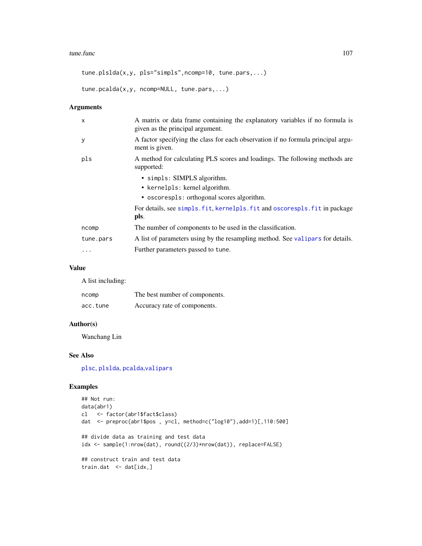#### tune.func 107

tune.plslda(x,y, pls="simpls",ncomp=10, tune.pars,...)

```
tune.pcalda(x,y, ncomp=NULL, tune.pars,...)
```
## Arguments

| $\mathsf{x}$ | A matrix or data frame containing the explanatory variables if no formula is<br>given as the principal argument. |
|--------------|------------------------------------------------------------------------------------------------------------------|
| y            | A factor specifying the class for each observation if no formula principal argu-<br>ment is given.               |
| pls          | A method for calculating PLS scores and loadings. The following methods are<br>supported:                        |
|              | • simpls: SIMPLS algorithm.                                                                                      |
|              | • kernelpls: kernel algorithm.                                                                                   |
|              | • oscorespls: orthogonal scores algorithm.                                                                       |
|              | For details, see simpls. fit, kernelpls. fit and oscorespls. fit in package                                      |
|              | pls.                                                                                                             |
| ncomp        | The number of components to be used in the classification.                                                       |
| tune.pars    | A list of parameters using by the resampling method. See valipars for details.                                   |
| .            | Further parameters passed to tune.                                                                               |

### Value

A list including:

| ncomp    | The best number of components. |
|----------|--------------------------------|
| acc.tune | Accuracy rate of components.   |

## Author(s)

Wanchang Lin

## See Also

[plsc](#page-91-0), [plslda](#page-91-1), [pcalda](#page-83-0),[valipars](#page-107-0)

```
## Not run:
data(abr1)
cl <- factor(abr1$fact$class)
dat <- preproc(abr1$pos , y=cl, method=c("log10"),add=1)[,110:500]
## divide data as training and test data
idx <- sample(1:nrow(dat), round((2/3)*nrow(dat)), replace=FALSE)
## construct train and test data
train.dat <- dat[idx,]
```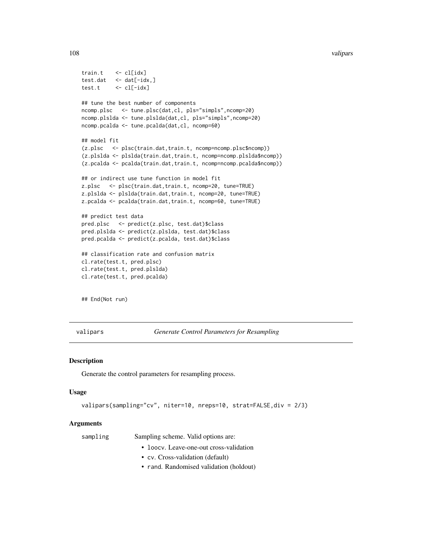#### 108 valipars and the contract of the contract of the contract of the contract of the contract of the contract of the contract of the contract of the contract of the contract of the contract of the contract of the contract

```
train.t <- cl[idx]
test.dat <- dat[-idx,]
test.t <- cl[-idx]
## tune the best number of components
ncomp.plsc <- tune.plsc(dat,cl, pls="simpls",ncomp=20)
ncomp.plslda <- tune.plslda(dat,cl, pls="simpls",ncomp=20)
ncomp.pcalda <- tune.pcalda(dat,cl, ncomp=60)
## model fit
(z.plsc <- plsc(train.dat,train.t, ncomp=ncomp.plsc$ncomp))
(z.plslda <- plslda(train.dat,train.t, ncomp=ncomp.plslda$ncomp))
(z.pcalda <- pcalda(train.dat,train.t, ncomp=ncomp.pcalda$ncomp))
## or indirect use tune function in model fit
z.plsc <- plsc(train.dat,train.t, ncomp=20, tune=TRUE)
z.plslda <- plslda(train.dat,train.t, ncomp=20, tune=TRUE)
z.pcalda <- pcalda(train.dat,train.t, ncomp=60, tune=TRUE)
## predict test data
pred.plsc <- predict(z.plsc, test.dat)$class
pred.plslda <- predict(z.plslda, test.dat)$class
pred.pcalda <- predict(z.pcalda, test.dat)$class
## classification rate and confusion matrix
cl.rate(test.t, pred.plsc)
cl.rate(test.t, pred.plslda)
cl.rate(test.t, pred.pcalda)
```
## End(Not run)

<span id="page-107-0"></span>valipars *Generate Control Parameters for Resampling*

#### Description

Generate the control parameters for resampling process.

#### Usage

```
valipars(sampling="cv", niter=10, nreps=10, strat=FALSE,div = 2/3)
```
#### Arguments

sampling Sampling scheme. Valid options are:

- loocv. Leave-one-out cross-validation
- cv. Cross-validation (default)
- rand. Randomised validation (holdout)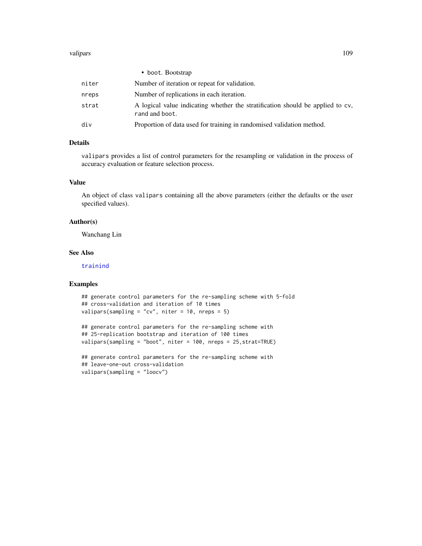#### <span id="page-108-0"></span>valipars to the contract of the contract of the contract of the contract of the contract of the contract of the contract of the contract of the contract of the contract of the contract of the contract of the contract of th

|       | • boot. Bootstrap                                                                                |
|-------|--------------------------------------------------------------------------------------------------|
| niter | Number of iteration or repeat for validation.                                                    |
| nreps | Number of replications in each iteration.                                                        |
| strat | A logical value indicating whether the stratification should be applied to cv,<br>rand and boot. |
| div   | Proportion of data used for training in randomised validation method.                            |

## Details

valipars provides a list of control parameters for the resampling or validation in the process of accuracy evaluation or feature selection process.

### Value

An object of class valipars containing all the above parameters (either the defaults or the user specified values).

#### Author(s)

Wanchang Lin

# See Also

[trainind](#page-104-0)

# Examples

```
## generate control parameters for the re-sampling scheme with 5-fold
## cross-validation and iteration of 10 times
valipars(sampling = "cv", niter = 10, nreps = 5)
```

```
## generate control parameters for the re-sampling scheme with
## 25-replication bootstrap and iteration of 100 times
valipars(sampling = "boot", niter = 100, nreps = 25,strat=TRUE)
```

```
## generate control parameters for the re-sampling scheme with
## leave-one-out cross-validation
valipars(sampling = "loocv")
```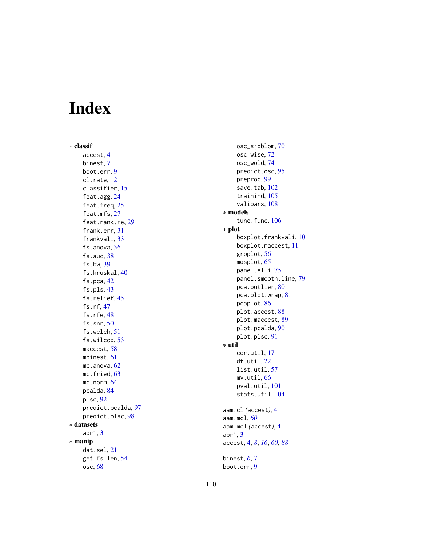# Index

∗ classif accest , [4](#page-3-0) binest , [7](#page-6-0) boot.err , [9](#page-8-0) cl.rate , [12](#page-11-0) classifier , [15](#page-14-0) feat.agg, [24](#page-23-0) feat.freq, [25](#page-24-0) feat.mfs, [27](#page-26-0) feat.rank.re, [29](#page-28-0) frank.err , [31](#page-30-0) frankvali , [33](#page-32-0) fs.anova, [36](#page-35-0) fs.auc , [38](#page-37-0) fs.bw , [39](#page-38-0) fs.kruskal , [40](#page-39-0) fs.pca , [42](#page-41-0) fs.pls , [43](#page-42-0) fs.relief, [45](#page-44-0) fs.rf , [47](#page-46-0) fs.rfe, [48](#page-47-0) fs.snr , [50](#page-49-0) fs.welch , [51](#page-50-0) fs.wilcox , [53](#page-52-0) maccest, <mark>[58](#page-57-0)</mark> mbinest , [61](#page-60-0) mc.anova, [62](#page-61-0) mc.fried, [63](#page-62-0) mc.norm, [64](#page-63-0) pcalda , [84](#page-83-0) plsc , [92](#page-91-0) predict.pcalda , [97](#page-96-0) predict.plsc , [98](#page-97-0) ∗ datasets abr1 , [3](#page-2-0) ∗ manip dat.sel , [21](#page-20-0) get.fs.len , [54](#page-53-0) osc , [68](#page-67-0)

osc\_sjoblom , [70](#page-69-0) osc\_wise , [72](#page-71-0) osc\_wold , [74](#page-73-0) predict.osc , [95](#page-94-0) preproc , [99](#page-98-0) save.tab, [102](#page-101-0) trainind , [105](#page-104-1) valipars, [108](#page-107-0) ∗ models tune.func, [106](#page-105-0) ∗ plot boxplot.frankvali , [10](#page-9-0) boxplot.maccest , [11](#page-10-0) grpplot , [56](#page-55-0) mdsplot , [65](#page-64-0) panel.elli , [75](#page-74-0) panel.smooth.line , [79](#page-78-0) pca.outlier, $80$ pca.plot.wrap , [81](#page-80-0) pcaplot , [86](#page-85-0) plot.accest , [88](#page-87-0) plot.maccest , [89](#page-88-0) plot.pcalda , [90](#page-89-0) plot.plsc , [91](#page-90-0) ∗ util cor.util , [17](#page-16-0) df.util , [22](#page-21-0) list.util , [57](#page-56-0) mv.util, [66](#page-65-0) pval.util , [101](#page-100-0) stats.util, [104](#page-103-0) aam.cl *(*accest *)* , [4](#page-3-0) aam.mcl , *[60](#page-59-0)* aam.mcl *(*accest *)* , [4](#page-3-0) abr1 , [3](#page-2-0) accest , [4](#page-3-0) , *[8](#page-7-0)* , *[16](#page-15-0)* , *[60](#page-59-0)* , *[88](#page-87-0)* binest , *[6](#page-5-0)* , [7](#page-6-0) boot.err , [9](#page-8-0)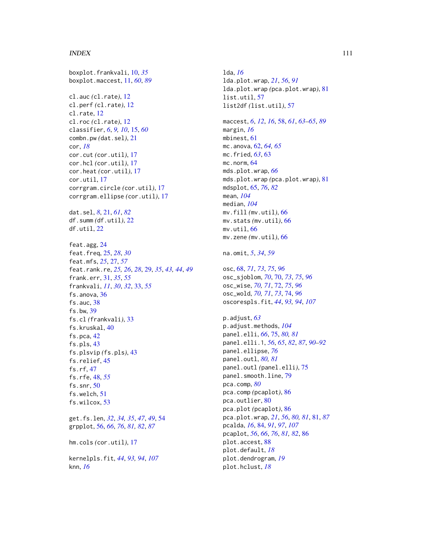#### INDEX 111

boxplot.frankvali, [10,](#page-9-0) *[35](#page-34-0)* boxplot.maccest, [11,](#page-10-0) *[60](#page-59-0)*, *[89](#page-88-0)* cl.auc *(*cl.rate*)*, [12](#page-11-0) cl.perf *(*cl.rate*)*, [12](#page-11-0) cl.rate, [12](#page-11-0) cl.roc *(*cl.rate*)*, [12](#page-11-0) classifier, *[6](#page-5-0)*, *[9,](#page-8-0) [10](#page-9-0)*, [15,](#page-14-0) *[60](#page-59-0)* combn.pw *(*dat.sel*)*, [21](#page-20-0) cor, *[18](#page-17-0)* cor.cut *(*cor.util*)*, [17](#page-16-0) cor.hcl *(*cor.util*)*, [17](#page-16-0) cor.heat *(*cor.util*)*, [17](#page-16-0) cor.util, [17](#page-16-0) corrgram.circle *(*cor.util*)*, [17](#page-16-0) corrgram.ellipse *(*cor.util*)*, [17](#page-16-0) dat.sel, *[8](#page-7-0)*, [21,](#page-20-0) *[61](#page-60-0)*, *[82](#page-81-0)* df.summ *(*df.util*)*, [22](#page-21-0) df.util, [22](#page-21-0) feat.agg, [24](#page-23-0) feat.freq, [25,](#page-24-0) *[28](#page-27-0)*, *[30](#page-29-0)* feat.mfs, *[25](#page-24-0)*, [27,](#page-26-0) *[57](#page-56-0)* feat.rank.re, *[25,](#page-24-0) [26](#page-25-0)*, *[28](#page-27-0)*, [29,](#page-28-0) *[35](#page-34-0)*, *[43,](#page-42-0) [44](#page-43-0)*, *[49](#page-48-0)* frank.err, [31,](#page-30-0) *[35](#page-34-0)*, *[55](#page-54-0)* frankvali, *[11](#page-10-0)*, *[30](#page-29-0)*, *[32](#page-31-0)*, [33,](#page-32-0) *[55](#page-54-0)* fs.anova, [36](#page-35-0) fs.auc, [38](#page-37-0) fs.bw, [39](#page-38-0) fs.cl *(*frankvali*)*, [33](#page-32-0) fs.kruskal, [40](#page-39-0) fs.pca, [42](#page-41-0) fs.pls, [43](#page-42-0) fs.plsvip *(*fs.pls*)*, [43](#page-42-0) fs.relief, [45](#page-44-0) fs.rf, [47](#page-46-0) fs.rfe, [48,](#page-47-0) *[55](#page-54-0)* fs.snr, [50](#page-49-0) fs.welch, [51](#page-50-0) fs.wilcox, [53](#page-52-0) get.fs.len, *[32](#page-31-0)*, *[34,](#page-33-0) [35](#page-34-0)*, *[47](#page-46-0)*, *[49](#page-48-0)*, [54](#page-53-0) grpplot, [56,](#page-55-0) *[66](#page-65-0)*, *[76](#page-75-0)*, *[81,](#page-80-0) [82](#page-81-0)*, *[87](#page-86-0)* hm.cols *(*cor.util*)*, [17](#page-16-0)

kernelpls.fit, *[44](#page-43-0)*, *[93,](#page-92-0) [94](#page-93-0)*, *[107](#page-106-0)* knn, *[16](#page-15-0)*

lda, *[16](#page-15-0)* lda.plot.wrap, *[21](#page-20-0)*, *[56](#page-55-0)*, *[91](#page-90-0)* lda.plot.wrap *(*pca.plot.wrap*)*, [81](#page-80-0) list.util, [57](#page-56-0) list2df *(*list.util*)*, [57](#page-56-0) maccest, *[6](#page-5-0)*, *[12](#page-11-0)*, *[16](#page-15-0)*, [58,](#page-57-0) *[61](#page-60-0)*, *[63](#page-62-0)[–65](#page-64-0)*, *[89](#page-88-0)* margin, *[16](#page-15-0)* mbinest, [61](#page-60-0) mc.anova, [62,](#page-61-0) *[64,](#page-63-0) [65](#page-64-0)* mc.fried, *[63](#page-62-0)*, [63](#page-62-0) mc.norm, [64](#page-63-0) mds.plot.wrap, *[66](#page-65-0)* mds.plot.wrap *(*pca.plot.wrap*)*, [81](#page-80-0) mdsplot, [65,](#page-64-0) *[76](#page-75-0)*, *[82](#page-81-0)* mean, *[104](#page-103-0)* median, *[104](#page-103-0)* mv.fill *(*mv.util*)*, [66](#page-65-0) mv.stats *(*mv.util*)*, [66](#page-65-0) mv.util, [66](#page-65-0) mv.zene *(*mv.util*)*, [66](#page-65-0) na.omit, *[5](#page-4-0)*, *[34](#page-33-0)*, *[59](#page-58-0)* osc, [68,](#page-67-0) *[71](#page-70-0)*, *[73](#page-72-0)*, *[75](#page-74-0)*, *[96](#page-95-0)* osc\_sjoblom, *[70](#page-69-0)*, [70,](#page-69-0) *[73](#page-72-0)*, *[75](#page-74-0)*, *[96](#page-95-0)* osc\_wise, *[70,](#page-69-0) [71](#page-70-0)*, [72,](#page-71-0) *[75](#page-74-0)*, *[96](#page-95-0)* osc\_wold, *[70,](#page-69-0) [71](#page-70-0)*, *[73](#page-72-0)*, [74,](#page-73-0) *[96](#page-95-0)* oscorespls.fit, *[44](#page-43-0)*, *[93,](#page-92-0) [94](#page-93-0)*, *[107](#page-106-0)* p.adjust, *[63](#page-62-0)* p.adjust.methods, *[104](#page-103-0)* panel.elli, *[66](#page-65-0)*, [75,](#page-74-0) *[80,](#page-79-0) [81](#page-80-0)* panel.elli.1, *[56](#page-55-0)*, *[65](#page-64-0)*, *[82](#page-81-0)*, *[87](#page-86-0)*, *[90](#page-89-0)[–92](#page-91-0)* panel.ellipse, *[76](#page-75-0)* panel.outl, *[80,](#page-79-0) [81](#page-80-0)* panel.outl *(*panel.elli*)*, [75](#page-74-0) panel.smooth.line, [79](#page-78-0) pca.comp, *[80](#page-79-0)* pca.comp *(*pcaplot*)*, [86](#page-85-0) pca.outlier, [80](#page-79-0) pca.plot *(*pcaplot*)*, [86](#page-85-0) pca.plot.wrap, *[21](#page-20-0)*, *[56](#page-55-0)*, *[80,](#page-79-0) [81](#page-80-0)*, [81,](#page-80-0) *[87](#page-86-0)* pcalda, *[16](#page-15-0)*, [84,](#page-83-0) *[91](#page-90-0)*, *[97](#page-96-0)*, *[107](#page-106-0)* pcaplot, *[56](#page-55-0)*, *[66](#page-65-0)*, *[76](#page-75-0)*, *[81,](#page-80-0) [82](#page-81-0)*, [86](#page-85-0) plot.accest, [88](#page-87-0) plot.default, *[18](#page-17-0)* plot.dendrogram, *[19](#page-18-0)* plot.hclust, *[18](#page-17-0)*